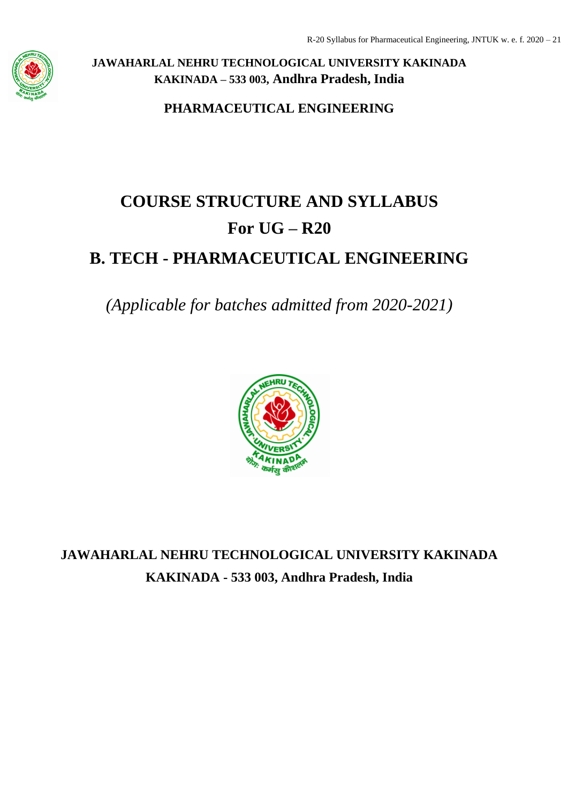

**PHARMACEUTICAL ENGINEERING**

# **COURSE STRUCTURE AND SYLLABUS For UG – R20**

# **B. TECH - PHARMACEUTICAL ENGINEERING**

*(Applicable for batches admitted from 2020-2021)*



**JAWAHARLAL NEHRU TECHNOLOGICAL UNIVERSITY KAKINADA KAKINADA - 533 003, Andhra Pradesh, India**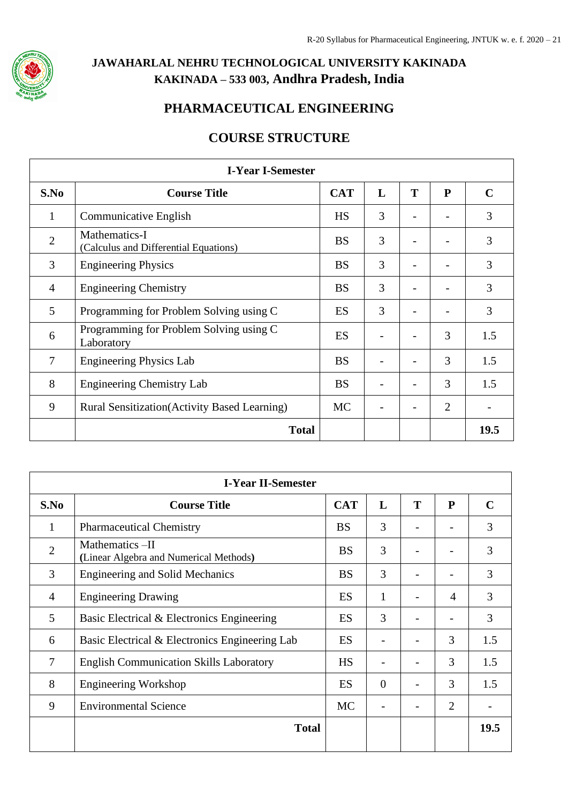

## **PHARMACEUTICAL ENGINEERING**

## **COURSE STRUCTURE**

|                | <b>I-Year I-Semester</b>                               |            |   |   |                |             |
|----------------|--------------------------------------------------------|------------|---|---|----------------|-------------|
| S.No           | <b>Course Title</b>                                    | <b>CAT</b> | L | T | ${\bf P}$      | $\mathbf C$ |
| 1              | Communicative English                                  | <b>HS</b>  | 3 |   |                | 3           |
| $\overline{2}$ | Mathematics-I<br>(Calculus and Differential Equations) | <b>BS</b>  | 3 |   |                | 3           |
| 3              | <b>Engineering Physics</b>                             | <b>BS</b>  | 3 |   |                | 3           |
| $\overline{4}$ | <b>Engineering Chemistry</b>                           | <b>BS</b>  | 3 |   |                | 3           |
| 5              | Programming for Problem Solving using C                | ES         | 3 |   |                | 3           |
| 6              | Programming for Problem Solving using C<br>Laboratory  | ES         |   |   | 3              | 1.5         |
| 7              | <b>Engineering Physics Lab</b>                         | <b>BS</b>  |   |   | 3              | 1.5         |
| 8              | <b>Engineering Chemistry Lab</b>                       | <b>BS</b>  |   |   | 3              | 1.5         |
| 9              | <b>Rural Sensitization</b> (Activity Based Learning)   | <b>MC</b>  |   |   | $\overline{2}$ |             |
|                | <b>Total</b>                                           |            |   |   |                | 19.5        |

| <b>I-Year II-Semester</b> |                                                           |            |          |   |                          |             |
|---------------------------|-----------------------------------------------------------|------------|----------|---|--------------------------|-------------|
| S.No                      | <b>Course Title</b>                                       | <b>CAT</b> | L        | T | ${\bf P}$                | $\mathbf C$ |
| 1                         | <b>Pharmaceutical Chemistry</b>                           | <b>BS</b>  | 3        |   |                          | 3           |
| $\overline{2}$            | Mathematics -II<br>(Linear Algebra and Numerical Methods) | <b>BS</b>  | 3        |   |                          | 3           |
| 3                         | <b>Engineering and Solid Mechanics</b>                    | <b>BS</b>  | 3        |   |                          | 3           |
| $\overline{4}$            | <b>Engineering Drawing</b>                                | <b>ES</b>  | 1        |   | 4                        | 3           |
| 5                         | Basic Electrical & Electronics Engineering                | <b>ES</b>  | 3        |   | $\overline{\phantom{0}}$ | 3           |
| 6                         | Basic Electrical & Electronics Engineering Lab            | <b>ES</b>  |          |   | 3                        | 1.5         |
| $\overline{7}$            | <b>English Communication Skills Laboratory</b>            | <b>HS</b>  |          |   | 3                        | 1.5         |
| 8                         | <b>Engineering Workshop</b>                               | <b>ES</b>  | $\Omega$ |   | 3                        | 1.5         |
| 9                         | <b>Environmental Science</b>                              | <b>MC</b>  |          |   | $\overline{2}$           |             |
|                           | <b>Total</b>                                              |            |          |   |                          | 19.5        |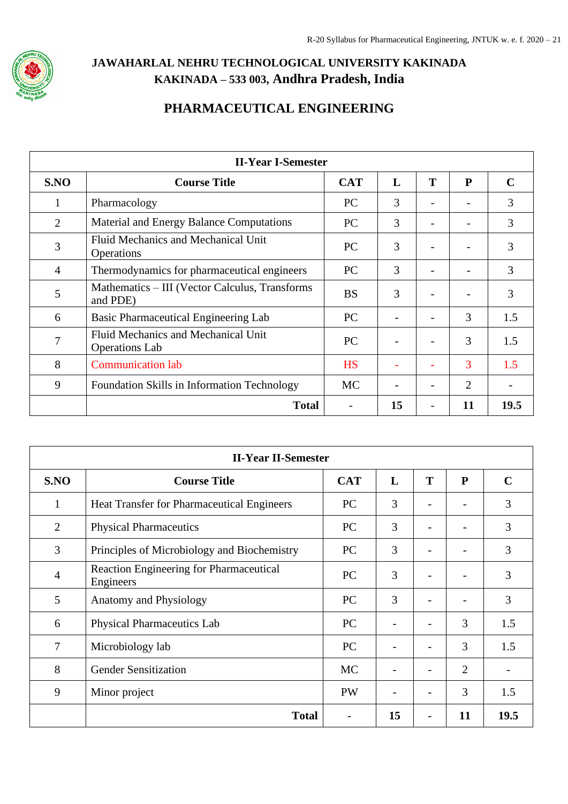

## **PHARMACEUTICAL ENGINEERING**

|                | <b>II-Year I-Semester</b>                                    |            |    |   |    |             |
|----------------|--------------------------------------------------------------|------------|----|---|----|-------------|
| S.NO           | <b>Course Title</b>                                          | <b>CAT</b> | L  | T | P  | $\mathbf C$ |
| 1              | Pharmacology                                                 | <b>PC</b>  | 3  |   |    | 3           |
| 2              | Material and Energy Balance Computations                     | <b>PC</b>  | 3  |   |    | 3           |
| 3              | Fluid Mechanics and Mechanical Unit<br>Operations            | <b>PC</b>  | 3  |   |    | 3           |
| $\overline{4}$ | Thermodynamics for pharmaceutical engineers                  | <b>PC</b>  | 3  |   |    | 3           |
| 5              | Mathematics – III (Vector Calculus, Transforms<br>and PDE)   | <b>BS</b>  | 3  |   |    | 3           |
| 6              | Basic Pharmaceutical Engineering Lab                         | <b>PC</b>  |    |   | 3  | 1.5         |
| 7              | Fluid Mechanics and Mechanical Unit<br><b>Operations</b> Lab | <b>PC</b>  |    |   | 3  | 1.5         |
| 8              | <b>Communication lab</b>                                     | <b>HS</b>  |    |   | 3  | 1.5         |
| 9              | <b>Foundation Skills in Information Technology</b>           | <b>MC</b>  |    |   | 2  |             |
|                | <b>Total</b>                                                 |            | 15 |   | 11 | 19.5        |

|                | <b>II-Year II-Semester</b>                           |            |    |                          |                          |             |
|----------------|------------------------------------------------------|------------|----|--------------------------|--------------------------|-------------|
| S.NO           | <b>Course Title</b>                                  | <b>CAT</b> | L  | T                        | P                        | $\mathbf C$ |
| 1              | Heat Transfer for Pharmaceutical Engineers           | <b>PC</b>  | 3  | $\overline{\phantom{m}}$ |                          | 3           |
| 2              | <b>Physical Pharmaceutics</b>                        | <b>PC</b>  | 3  |                          |                          | 3           |
| 3              | Principles of Microbiology and Biochemistry          | <b>PC</b>  | 3  |                          |                          | 3           |
| $\overline{4}$ | Reaction Engineering for Pharmaceutical<br>Engineers | PC         | 3  |                          |                          | 3           |
| 5              | Anatomy and Physiology                               | PC         | 3  |                          | $\overline{\phantom{a}}$ | 3           |
| 6              | <b>Physical Pharmaceutics Lab</b>                    | PC         |    |                          | 3                        | 1.5         |
| $\overline{7}$ | Microbiology lab                                     | PC         |    |                          | 3                        | 1.5         |
| 8              | <b>Gender Sensitization</b>                          | <b>MC</b>  |    |                          | $\overline{2}$           |             |
| 9              | Minor project                                        | <b>PW</b>  |    |                          | 3                        | 1.5         |
|                | <b>Total</b>                                         |            | 15 |                          | 11                       | 19.5        |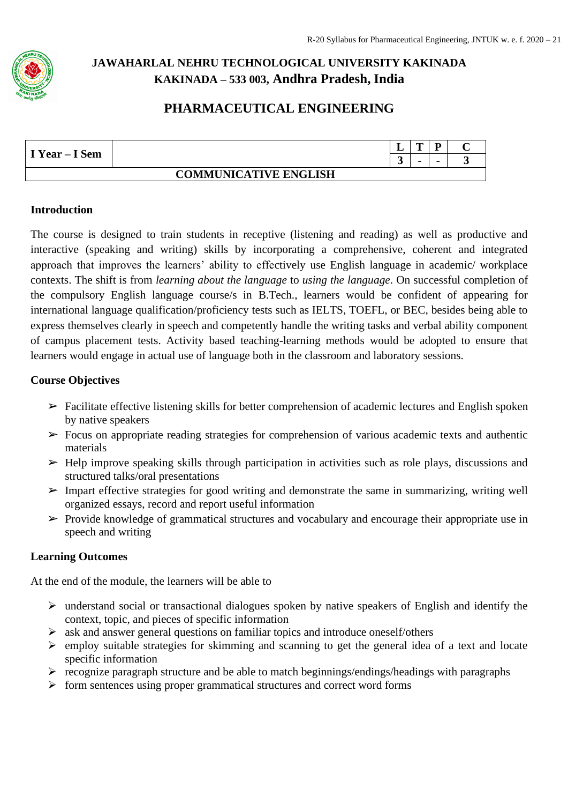

## **PHARMACEUTICAL ENGINEERING**

|                |                              | -         | m              | D |  |
|----------------|------------------------------|-----------|----------------|---|--|
| I Year – I Sem |                              | <u>له</u> | $\blacksquare$ |   |  |
|                | <b>COMMUNICATIVE ENGLISH</b> |           |                |   |  |

#### **Introduction**

The course is designed to train students in receptive (listening and reading) as well as productive and interactive (speaking and writing) skills by incorporating a comprehensive, coherent and integrated approach that improves the learners' ability to effectively use English language in academic/ workplace contexts. The shift is from *learning about the language* to *using the language*. On successful completion of the compulsory English language course/s in B.Tech., learners would be confident of appearing for international language qualification/proficiency tests such as IELTS, TOEFL, or BEC, besides being able to express themselves clearly in speech and competently handle the writing tasks and verbal ability component of campus placement tests. Activity based teaching-learning methods would be adopted to ensure that learners would engage in actual use of language both in the classroom and laboratory sessions.

#### **Course Objectives**

- ➢ Facilitate effective listening skills for better comprehension of academic lectures and English spoken by native speakers
- $\triangleright$  Focus on appropriate reading strategies for comprehension of various academic texts and authentic materials
- $\triangleright$  Help improve speaking skills through participation in activities such as role plays, discussions and structured talks/oral presentations
- ➢ Impart effective strategies for good writing and demonstrate the same in summarizing, writing well organized essays, record and report useful information
- $\triangleright$  Provide knowledge of grammatical structures and vocabulary and encourage their appropriate use in speech and writing

### **Learning Outcomes**

At the end of the module, the learners will be able to

- ➢ understand social or transactional dialogues spoken by native speakers of English and identify the context, topic, and pieces of specific information
- ➢ ask and answer general questions on familiar topics and introduce oneself/others
- ➢ employ suitable strategies for skimming and scanning to get the general idea of a text and locate specific information
- $\triangleright$  recognize paragraph structure and be able to match beginnings/endings/headings with paragraphs
- $\triangleright$  form sentences using proper grammatical structures and correct word forms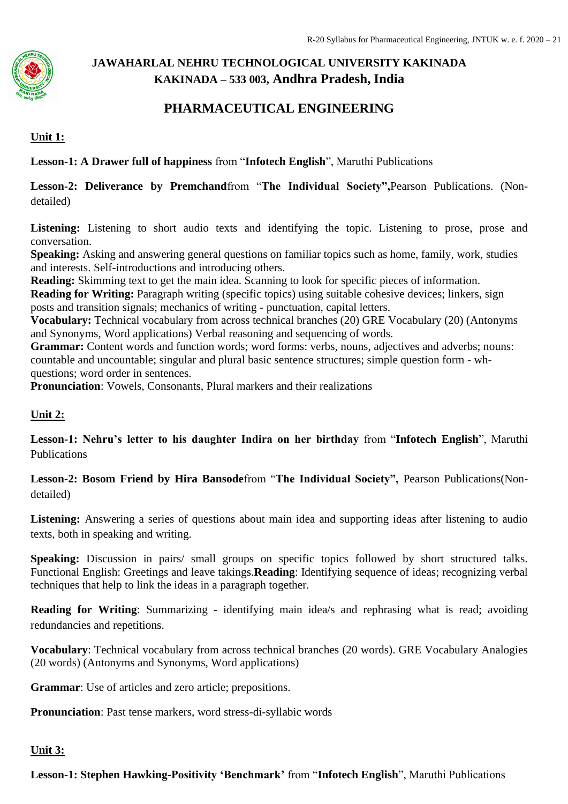

## **PHARMACEUTICAL ENGINEERING**

### **Unit 1:**

**Lesson-1: A Drawer full of happiness** from "**Infotech English**", Maruthi Publications

**Lesson-2: Deliverance by Premchand**from "**The Individual Society",**Pearson Publications. (Nondetailed)

Listening: Listening to short audio texts and identifying the topic. Listening to prose, prose and conversation.

**Speaking:** Asking and answering general questions on familiar topics such as home, family, work, studies and interests. Self-introductions and introducing others.

**Reading:** Skimming text to get the main idea. Scanning to look for specific pieces of information.

**Reading for Writing:** Paragraph writing (specific topics) using suitable cohesive devices; linkers, sign posts and transition signals; mechanics of writing - punctuation, capital letters.

**Vocabulary:** Technical vocabulary from across technical branches (20) GRE Vocabulary (20) (Antonyms and Synonyms, Word applications) Verbal reasoning and sequencing of words.

Grammar: Content words and function words; word forms: verbs, nouns, adjectives and adverbs; nouns: countable and uncountable; singular and plural basic sentence structures; simple question form - whquestions; word order in sentences.

**Pronunciation**: Vowels, Consonants, Plural markers and their realizations

### **Unit 2:**

**Lesson-1: Nehru's letter to his daughter Indira on her birthday** from "**Infotech English**", Maruthi Publications

**Lesson-2: Bosom Friend by Hira Bansode**from "**The Individual Society",** Pearson Publications(Nondetailed)

Listening: Answering a series of questions about main idea and supporting ideas after listening to audio texts, both in speaking and writing.

**Speaking:** Discussion in pairs/ small groups on specific topics followed by short structured talks. Functional English: Greetings and leave takings.**Reading**: Identifying sequence of ideas; recognizing verbal techniques that help to link the ideas in a paragraph together.

**Reading for Writing**: Summarizing - identifying main idea/s and rephrasing what is read; avoiding redundancies and repetitions.

**Vocabulary**: Technical vocabulary from across technical branches (20 words). GRE Vocabulary Analogies (20 words) (Antonyms and Synonyms, Word applications)

**Grammar**: Use of articles and zero article; prepositions.

**Pronunciation**: Past tense markers, word stress-di-syllabic words

#### **Unit 3:**

**Lesson-1: Stephen Hawking-Positivity 'Benchmark'** from "**Infotech English**", Maruthi Publications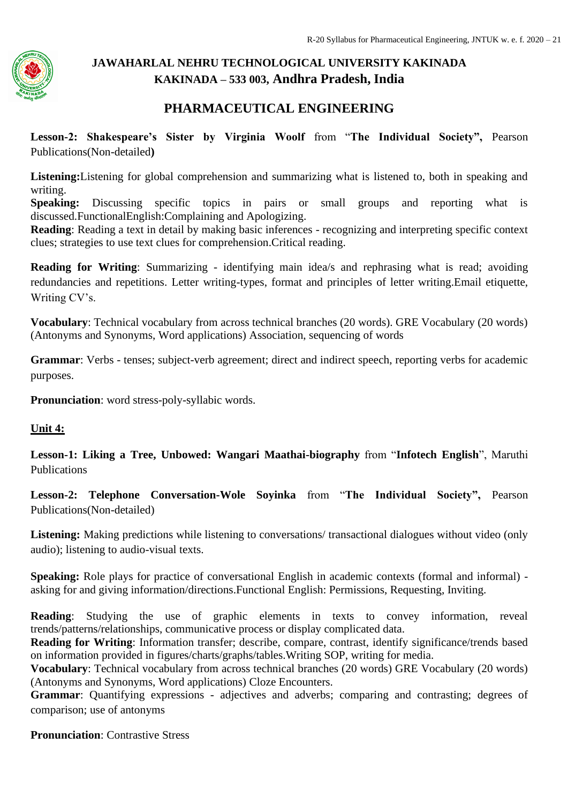

## **PHARMACEUTICAL ENGINEERING**

**Lesson-2: Shakespeare's Sister by Virginia Woolf** from "**The Individual Society",** Pearson Publications(Non-detailed**)**

**Listening:**Listening for global comprehension and summarizing what is listened to, both in speaking and writing.

**Speaking:** Discussing specific topics in pairs or small groups and reporting what is discussed.FunctionalEnglish:Complaining and Apologizing.

**Reading**: Reading a text in detail by making basic inferences - recognizing and interpreting specific context clues; strategies to use text clues for comprehension.Critical reading.

**Reading for Writing**: Summarizing - identifying main idea/s and rephrasing what is read; avoiding redundancies and repetitions. Letter writing-types, format and principles of letter writing.Email etiquette, Writing CV's.

**Vocabulary**: Technical vocabulary from across technical branches (20 words). GRE Vocabulary (20 words) (Antonyms and Synonyms, Word applications) Association, sequencing of words

**Grammar**: Verbs - tenses; subject-verb agreement; direct and indirect speech, reporting verbs for academic purposes.

**Pronunciation**: word stress-poly-syllabic words.

#### **Unit 4:**

**Lesson-1: Liking a Tree, Unbowed: Wangari Maathai-biography** from "**Infotech English**", Maruthi Publications

**Lesson-2: Telephone Conversation-Wole Soyinka** from "**The Individual Society",** Pearson Publications(Non-detailed)

Listening: Making predictions while listening to conversations/ transactional dialogues without video (only audio); listening to audio-visual texts.

**Speaking:** Role plays for practice of conversational English in academic contexts (formal and informal) asking for and giving information/directions.Functional English: Permissions, Requesting, Inviting.

**Reading**: Studying the use of graphic elements in texts to convey information, reveal trends/patterns/relationships, communicative process or display complicated data.

**Reading for Writing**: Information transfer; describe, compare, contrast, identify significance/trends based on information provided in figures/charts/graphs/tables.Writing SOP, writing for media.

**Vocabulary**: Technical vocabulary from across technical branches (20 words) GRE Vocabulary (20 words) (Antonyms and Synonyms, Word applications) Cloze Encounters.

**Grammar**: Quantifying expressions - adjectives and adverbs; comparing and contrasting; degrees of comparison; use of antonyms

**Pronunciation**: Contrastive Stress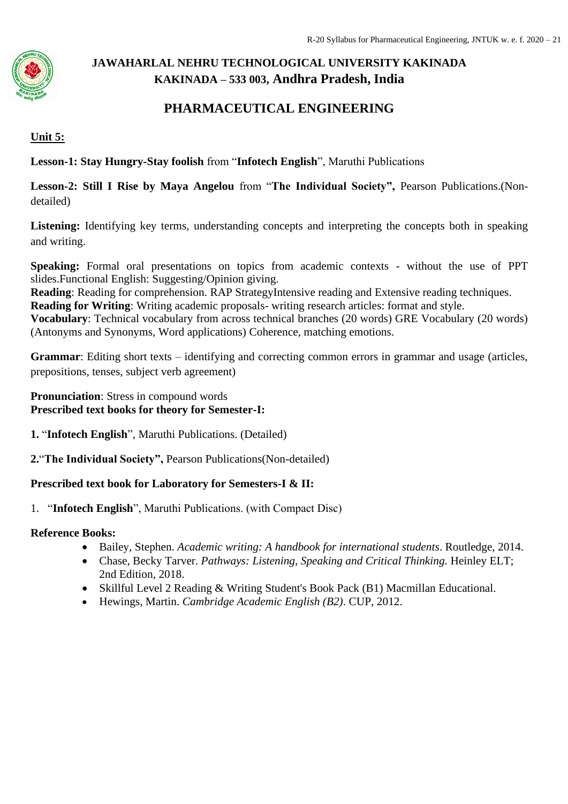

## **PHARMACEUTICAL ENGINEERING**

### **Unit 5:**

**Lesson-1: Stay Hungry-Stay foolish** from "**Infotech English**", Maruthi Publications

**Lesson-2: Still I Rise by Maya Angelou** from "**The Individual Society",** Pearson Publications.(Nondetailed)

Listening: Identifying key terms, understanding concepts and interpreting the concepts both in speaking and writing.

**Speaking:** Formal oral presentations on topics from academic contexts - without the use of PPT slides.Functional English: Suggesting/Opinion giving.

**Reading**: Reading for comprehension. RAP StrategyIntensive reading and Extensive reading techniques.

**Reading for Writing**: Writing academic proposals- writing research articles: format and style.

**Vocabulary**: Technical vocabulary from across technical branches (20 words) GRE Vocabulary (20 words) (Antonyms and Synonyms, Word applications) Coherence, matching emotions.

**Grammar**: Editing short texts – identifying and correcting common errors in grammar and usage (articles, prepositions, tenses, subject verb agreement)

**Pronunciation**: Stress in compound words **Prescribed text books for theory for Semester-I:** 

- **1.** "**Infotech English**", Maruthi Publications. (Detailed)
- **2.**"**The Individual Society",** Pearson Publications(Non-detailed)

### **Prescribed text book for Laboratory for Semesters-I & II:**

1. "**Infotech English**", Maruthi Publications. (with Compact Disc)

#### **Reference Books:**

- Bailey, Stephen. *Academic writing: A handbook for international students*. Routledge, 2014.
- Chase, Becky Tarver. *Pathways: Listening, Speaking and Critical Thinking.* Heinley ELT; 2nd Edition, 2018.
- Skillful Level 2 Reading & Writing Student's Book Pack (B1) Macmillan Educational.
- Hewings, Martin. *Cambridge Academic English (B2)*. CUP, 2012.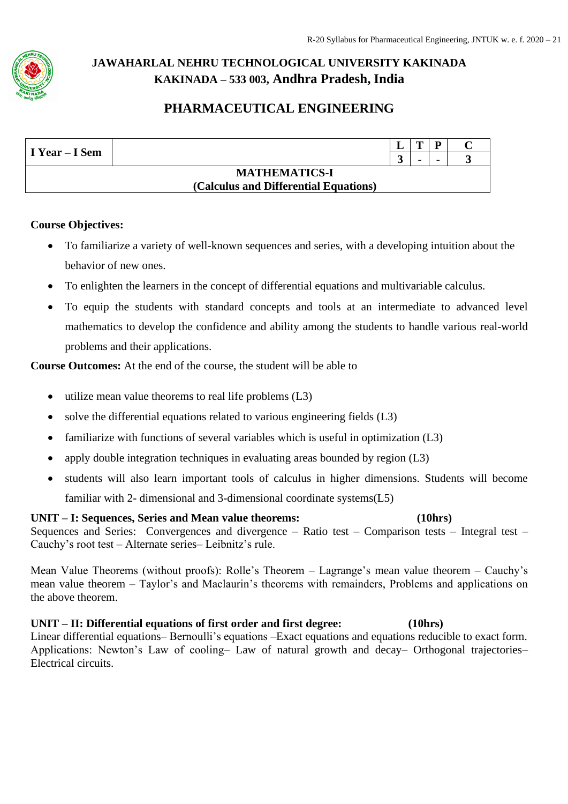

## **PHARMACEUTICAL ENGINEERING**

| I Year – I Sem |                                       | $\mathbf{m}$   |  |
|----------------|---------------------------------------|----------------|--|
|                |                                       | $\blacksquare$ |  |
|                | <b>MATHEMATICS-I</b>                  |                |  |
|                | (Calculus and Differential Equations) |                |  |

### **Course Objectives:**

- To familiarize a variety of well-known sequences and series, with a developing intuition about the behavior of new ones.
- To enlighten the learners in the concept of differential equations and multivariable calculus.
- To equip the students with standard concepts and tools at an intermediate to advanced level mathematics to develop the confidence and ability among the students to handle various real-world problems and their applications.

**Course Outcomes:** At the end of the course, the student will be able to

- utilize mean value theorems to real life problems (L3)
- solve the differential equations related to various engineering fields (L3)
- familiarize with functions of several variables which is useful in optimization (L3)
- apply double integration techniques in evaluating areas bounded by region (L3)
- students will also learn important tools of calculus in higher dimensions. Students will become familiar with 2- dimensional and 3-dimensional coordinate systems(L5)

**UNIT – I: Sequences, Series and Mean value theorems: (10hrs)** Sequences and Series: Convergences and divergence – Ratio test – Comparison tests – Integral test – Cauchy's root test – Alternate series– Leibnitz's rule.

Mean Value Theorems (without proofs): Rolle's Theorem – Lagrange's mean value theorem – Cauchy's mean value theorem – Taylor's and Maclaurin's theorems with remainders, Problems and applications on the above theorem.

#### **UNIT – II: Differential equations of first order and first degree: (10hrs)** Linear differential equations– Bernoulli's equations –Exact equations and equations reducible to exact form. Applications: Newton's Law of cooling– Law of natural growth and decay– Orthogonal trajectories– Electrical circuits.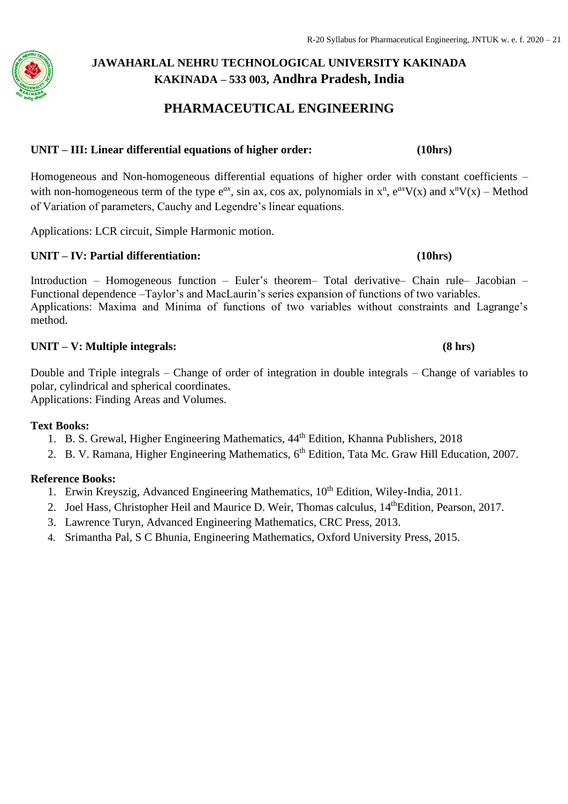### **PHARMACEUTICAL ENGINEERING**

#### **UNIT – III: Linear differential equations of higher order: (10hrs)**

Homogeneous and Non-homogeneous differential equations of higher order with constant coefficients – with non-homogeneous term of the type  $e^{ax}$ , sin ax, cos ax, polynomials in  $x^n$ ,  $e^{ax}V(x)$  and  $x^nV(x)$  – Method of Variation of parameters, Cauchy and Legendre's linear equations.

Applications: LCR circuit, Simple Harmonic motion.

#### **UNIT – IV: Partial differentiation: (10hrs)**

Introduction – Homogeneous function – Euler's theorem– Total derivative– Chain rule– Jacobian – Functional dependence –Taylor's and MacLaurin's series expansion of functions of two variables. Applications: Maxima and Minima of functions of two variables without constraints and Lagrange's method.

#### **UNIT – V: Multiple integrals: (8 hrs)**

Double and Triple integrals – Change of order of integration in double integrals – Change of variables to polar, cylindrical and spherical coordinates. Applications: Finding Areas and Volumes.

#### **Text Books:**

- 1. B. S. Grewal, Higher Engineering Mathematics,  $44<sup>th</sup>$  Edition, Khanna Publishers, 2018
- 2. B. V. Ramana, Higher Engineering Mathematics, 6<sup>th</sup> Edition, Tata Mc. Graw Hill Education, 2007.

#### **Reference Books:**

- 1. Erwin Kreyszig, Advanced Engineering Mathematics, 10<sup>th</sup> Edition, Wiley-India, 2011.
- 2. Joel Hass, Christopher Heil and Maurice D. Weir, Thomas calculus, 14<sup>th</sup>Edition, Pearson, 2017.
- 3. Lawrence Turyn, Advanced Engineering Mathematics, CRC Press, 2013.
- 4. Srimantha Pal, S C Bhunia, Engineering Mathematics, Oxford University Press, 2015.

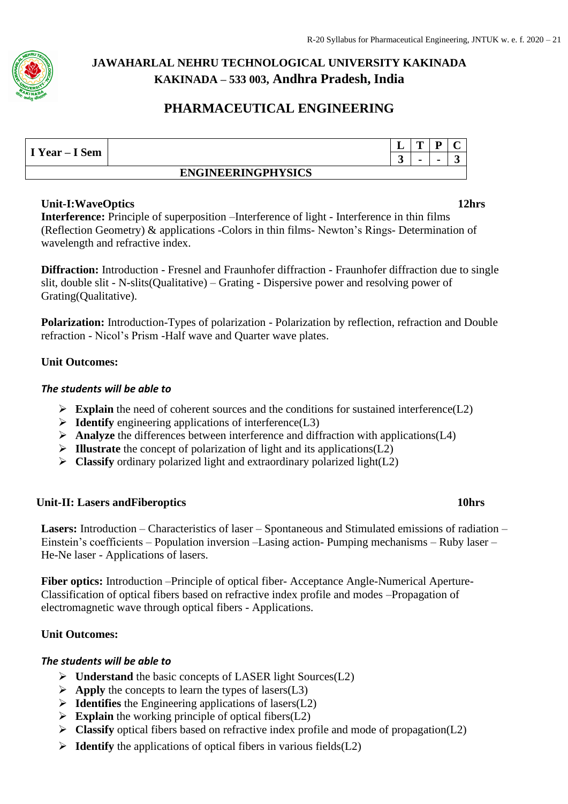

## **PHARMACEUTICAL ENGINEERING**

| I Year – I Sem |                           | ≖ | m | D              |  |
|----------------|---------------------------|---|---|----------------|--|
|                |                           | ູ |   | $\blacksquare$ |  |
|                | <b>ENGINEERINGPHYSICS</b> |   |   |                |  |

#### **Unit-I:WaveOptics 12hrs**

**Interference:** Principle of superposition –Interference of light - Interference in thin films (Reflection Geometry) & applications -Colors in thin films- Newton's Rings- Determination of wavelength and refractive index.

**Diffraction:** Introduction - Fresnel and Fraunhofer diffraction - Fraunhofer diffraction due to single slit, double slit - N-slits(Qualitative) – Grating - Dispersive power and resolving power of Grating(Qualitative).

**Polarization:** Introduction-Types of polarization - Polarization by reflection, refraction and Double refraction - Nicol's Prism -Half wave and Quarter wave plates.

### **Unit Outcomes:**

### *The students will be able to*

- ➢ **Explain** the need of coherent sources and the conditions for sustained interference(L2)
- ➢ **Identify** engineering applications of interference(L3)
- ➢ **Analyze** the differences between interference and diffraction with applications(L4)
- ➢ **Illustrate** the concept of polarization of light and its applications(L2)
- ➢ **Classify** ordinary polarized light and extraordinary polarized light(L2)

### **Unit-II: Lasers andFiberoptics 10hrs**

**Lasers:** Introduction – Characteristics of laser – Spontaneous and Stimulated emissions of radiation – Einstein's coefficients – Population inversion –Lasing action- Pumping mechanisms – Ruby laser – He-Ne laser - Applications of lasers.

**Fiber optics:** Introduction –Principle of optical fiber- Acceptance Angle-Numerical Aperture-Classification of optical fibers based on refractive index profile and modes –Propagation of electromagnetic wave through optical fibers - Applications.

### **Unit Outcomes:**

#### *The students will be able to*

- ➢ **Understand** the basic concepts of LASER light Sources(L2)
- $\triangleright$  **Apply** the concepts to learn the types of lasers(L3)
- ➢ **Identifies** the Engineering applications of lasers(L2)
- ➢ **Explain** the working principle of optical fibers(L2)
- ➢ **Classify** optical fibers based on refractive index profile and mode of propagation(L2)
- ➢ **Identify** the applications of optical fibers in various fields(L2)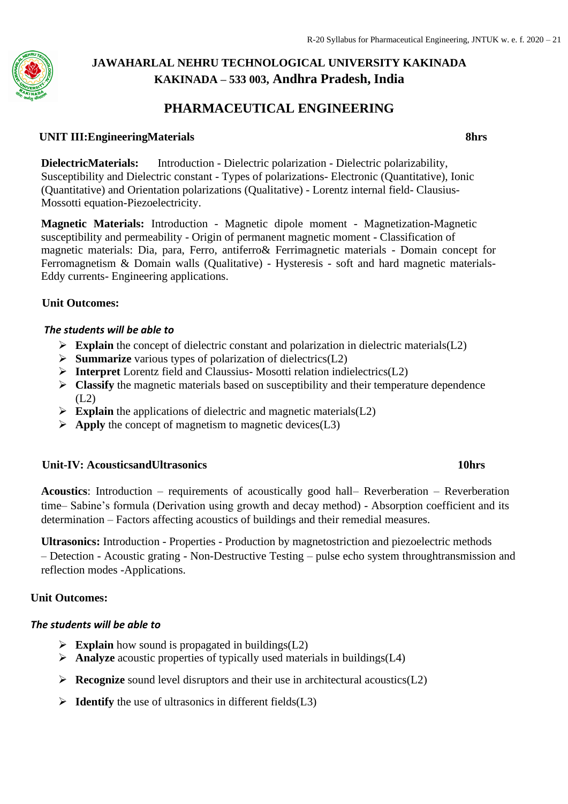### **PHARMACEUTICAL ENGINEERING**

#### **UNIT III:EngineeringMaterials 8hrs**

**DielectricMaterials:** Introduction - Dielectric polarization - Dielectric polarizability, Susceptibility and Dielectric constant - Types of polarizations- Electronic (Quantitative), Ionic (Quantitative) and Orientation polarizations (Qualitative) - Lorentz internal field- Clausius-Mossotti equation-Piezoelectricity.

**Magnetic Materials:** Introduction - Magnetic dipole moment - Magnetization-Magnetic susceptibility and permeability - Origin of permanent magnetic moment - Classification of magnetic materials: Dia, para, Ferro, antiferro& Ferrimagnetic materials - Domain concept for Ferromagnetism & Domain walls (Qualitative) - Hysteresis - soft and hard magnetic materials-Eddy currents- Engineering applications.

#### **Unit Outcomes:**

#### *The students will be able to*

- ➢ **Explain** the concept of dielectric constant and polarization in dielectric materials(L2)
- ➢ **Summarize** various types of polarization of dielectrics(L2)
- ➢ **Interpret** Lorentz field and Claussius- Mosotti relation indielectrics(L2)
- ➢ **Classify** the magnetic materials based on susceptibility and their temperature dependence  $(L2)$
- ➢ **Explain** the applications of dielectric and magnetic materials(L2)
- ➢ **Apply** the concept of magnetism to magnetic devices(L3)

#### **Unit-IV: AcousticsandUltrasonics 10hrs**

**Acoustics**: Introduction – requirements of acoustically good hall– Reverberation – Reverberation time– Sabine's formula (Derivation using growth and decay method) - Absorption coefficient and its determination – Factors affecting acoustics of buildings and their remedial measures.

**Ultrasonics:** Introduction - Properties - Production by magnetostriction and piezoelectric methods – Detection - Acoustic grating - Non-Destructive Testing – pulse echo system throughtransmission and reflection modes -Applications.

#### **Unit Outcomes:**

#### *The students will be able to*

- ➢ **Explain** how sound is propagated in buildings(L2)
- ➢ **Analyze** acoustic properties of typically used materials in buildings(L4)
- ➢ **Recognize** sound level disruptors and their use in architectural acoustics(L2)
- ➢ **Identify** the use of ultrasonics in different fields(L3)

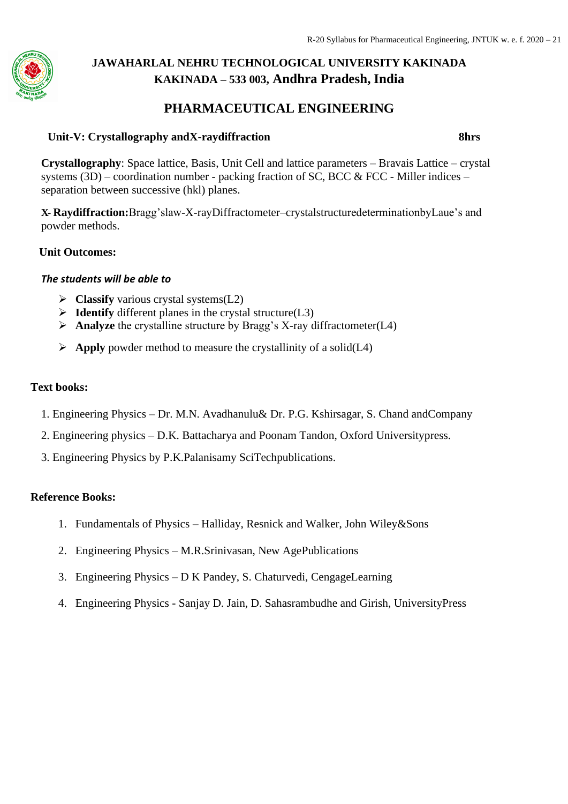### **PHARMACEUTICAL ENGINEERING**

#### **Unit-V: Crystallography andX-raydiffraction 8hrs**

**Crystallography**: Space lattice, Basis, Unit Cell and lattice parameters – Bravais Lattice – crystal systems  $(3D)$  – coordination number - packing fraction of SC, BCC & FCC - Miller indices – separation between successive (hkl) planes.

**X- Raydiffraction:**Bragg'slaw-X-rayDiffractometer–crystalstructuredeterminationbyLaue's and powder methods.

#### **Unit Outcomes:**

#### *The students will be able to*

- ➢ **Classify** various crystal systems(L2)
- ➢ **Identify** different planes in the crystal structure(L3)
- ➢ **Analyze** the crystalline structure by Bragg's X-ray diffractometer(L4)
- $\triangleright$  **Apply** powder method to measure the crystallinity of a solid(L4)

#### **Text books:**

- 1. Engineering Physics Dr. M.N. Avadhanulu& Dr. P.G. Kshirsagar, S. Chand andCompany
- 2. Engineering physics D.K. Battacharya and Poonam Tandon, Oxford Universitypress.
- 3. Engineering Physics by P.K.Palanisamy SciTechpublications.

#### **Reference Books:**

- 1. Fundamentals of Physics Halliday, Resnick and Walker, John Wiley&Sons
- 2. Engineering Physics M.R.Srinivasan, New AgePublications
- 3. Engineering Physics D K Pandey, S. Chaturvedi, CengageLearning
- 4. Engineering Physics Sanjay D. Jain, D. Sahasrambudhe and Girish, UniversityPress

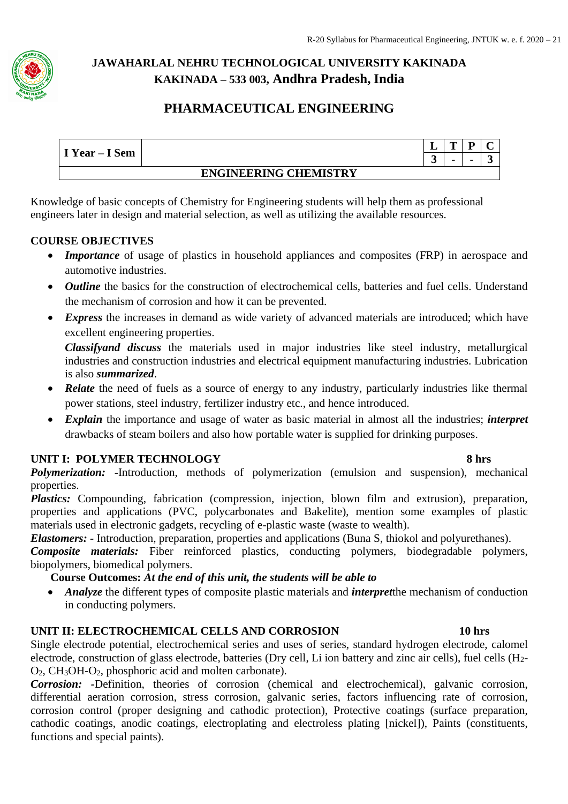

## **PHARMACEUTICAL ENGINEERING**

|                |                              | ≖ |  |  |
|----------------|------------------------------|---|--|--|
| I Year – I Sem |                              | ູ |  |  |
|                | <b>ENGINEERING CHEMISTRY</b> |   |  |  |

Knowledge of basic concepts of Chemistry for Engineering students will help them as professional engineers later in design and material selection, as well as utilizing the available resources.

### **COURSE OBJECTIVES**

- *Importance* of usage of plastics in household appliances and composites (FRP) in aerospace and automotive industries.
- *Outline* the basics for the construction of electrochemical cells, batteries and fuel cells. Understand the mechanism of corrosion and how it can be prevented.
- *Express* the increases in demand as wide variety of advanced materials are introduced; which have excellent engineering properties.

*Classifyand discuss* the materials used in major industries like steel industry, metallurgical industries and construction industries and electrical equipment manufacturing industries. Lubrication is also *summarized*.

- *Relate* the need of fuels as a source of energy to any industry, particularly industries like thermal power stations, steel industry, fertilizer industry etc., and hence introduced.
- *Explain* the importance and usage of water as basic material in almost all the industries; *interpret* drawbacks of steam boilers and also how portable water is supplied for drinking purposes.

### **UNIT I: POLYMER TECHNOLOGY** 8 hrs

*Polymerization: -*Introduction, methods of polymerization (emulsion and suspension), mechanical properties.

*Plastics:* Compounding, fabrication (compression, injection, blown film and extrusion), preparation, properties and applications (PVC, polycarbonates and Bakelite), mention some examples of plastic materials used in electronic gadgets, recycling of e-plastic waste (waste to wealth).

*Elastomers: -* Introduction, preparation, properties and applications (Buna S, thiokol and polyurethanes).

*Composite materials:* Fiber reinforced plastics, conducting polymers, biodegradable polymers, biopolymers, biomedical polymers.

### **Course Outcomes:** *At the end of this unit, the students will be able to*

• *Analyze* the different types of composite plastic materials and *interpret*the mechanism of conduction in conducting polymers.

### **UNIT II: ELECTROCHEMICAL CELLS AND CORROSION 10 hrs**

Single electrode potential, electrochemical series and uses of series, standard hydrogen electrode, calomel electrode, construction of glass electrode, batteries (Dry cell, Li ion battery and zinc air cells), fuel cells (H2- O2, CH3OH-O2, phosphoric acid and molten carbonate).

*Corrosion: -*Definition, theories of corrosion (chemical and electrochemical), galvanic corrosion, differential aeration corrosion, stress corrosion, galvanic series, factors influencing rate of corrosion, corrosion control (proper designing and cathodic protection), Protective coatings (surface preparation, cathodic coatings, anodic coatings, electroplating and electroless plating [nickel]), Paints (constituents, functions and special paints).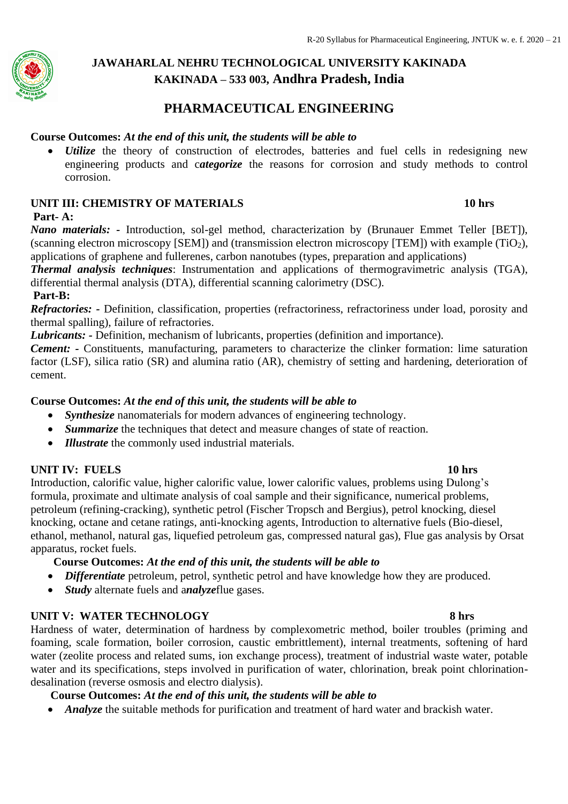

## **PHARMACEUTICAL ENGINEERING**

#### **Course Outcomes:** *At the end of this unit, the students will be able to*

*Utilize* the theory of construction of electrodes, batteries and fuel cells in redesigning new engineering products and c*ategorize* the reasons for corrosion and study methods to control corrosion.

#### **UNIT III: CHEMISTRY OF MATERIALS 10 hrs**

#### **Part- A:**

*Nano materials: -* Introduction, sol-gel method, characterization by (Brunauer Emmet Teller [BET]), (scanning electron microscopy [SEM]) and (transmission electron microscopy [TEM]) with example (TiO<sub>2</sub>), applications of graphene and fullerenes, carbon nanotubes (types, preparation and applications)

*Thermal analysis techniques*: Instrumentation and applications of thermogravimetric analysis (TGA), differential thermal analysis (DTA), differential scanning calorimetry (DSC).

#### **Part-B:**

*Refractories: -* Definition, classification, properties (refractoriness, refractoriness under load, porosity and thermal spalling), failure of refractories.

*Lubricants: -* Definition, mechanism of lubricants, properties (definition and importance).

*Cement: -* Constituents, manufacturing, parameters to characterize the clinker formation: lime saturation factor (LSF), silica ratio (SR) and alumina ratio (AR), chemistry of setting and hardening, deterioration of cement.

#### **Course Outcomes:** *At the end of this unit, the students will be able to*

- *Synthesize* nanomaterials for modern advances of engineering technology.
- *Summarize* the techniques that detect and measure changes of state of reaction.
- *Illustrate* the commonly used industrial materials.

#### **UNIT IV: FUELS 10 hrs**

Introduction, calorific value, higher calorific value, lower calorific values, problems using Dulong's formula, proximate and ultimate analysis of coal sample and their significance, numerical problems, petroleum (refining-cracking), synthetic petrol (Fischer Tropsch and Bergius), petrol knocking, diesel knocking, octane and cetane ratings, anti-knocking agents, Introduction to alternative fuels (Bio-diesel, ethanol, methanol, natural gas, liquefied petroleum gas, compressed natural gas), Flue gas analysis by Orsat apparatus, rocket fuels.

#### **Course Outcomes:** *At the end of this unit, the students will be able to*

- *Differentiate* petroleum, petrol, synthetic petrol and have knowledge how they are produced.
- *Study* alternate fuels and a*nalyze*flue gases.

#### **UNIT V: WATER TECHNOLOGY 8 hrs**

Hardness of water, determination of hardness by complexometric method, boiler troubles (priming and foaming, scale formation, boiler corrosion, caustic embrittlement), internal treatments, softening of hard water (zeolite process and related sums, ion exchange process), treatment of industrial waste water, potable water and its specifications, steps involved in purification of water, chlorination, break point chlorinationdesalination (reverse osmosis and electro dialysis).

#### **Course Outcomes:** *At the end of this unit, the students will be able to*

• *Analyze* the suitable methods for purification and treatment of hard water and brackish water.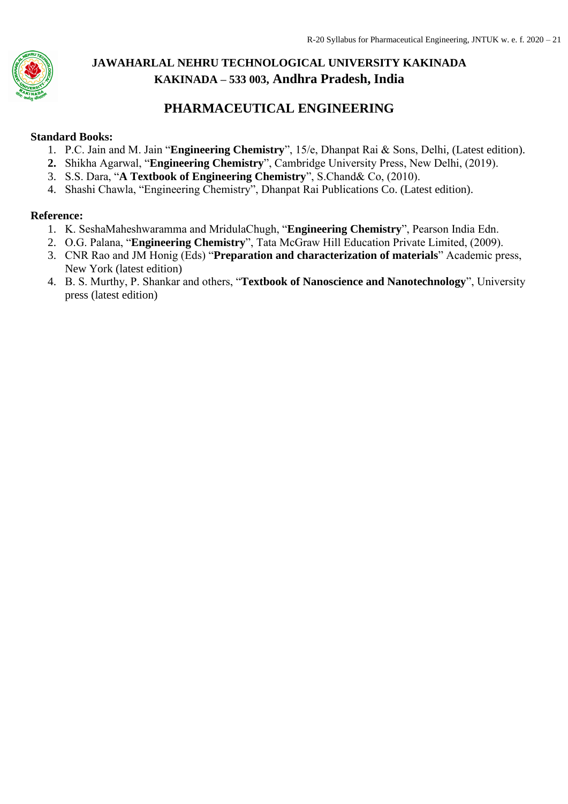

## **PHARMACEUTICAL ENGINEERING**

#### **Standard Books:**

- 1. P.C. Jain and M. Jain "**Engineering Chemistry**", 15/e, Dhanpat Rai & Sons, Delhi, (Latest edition).
- **2.** Shikha Agarwal, "**Engineering Chemistry**", Cambridge University Press, New Delhi, (2019).
- 3. S.S. Dara, "**A Textbook of Engineering Chemistry**", S.Chand& Co, (2010).
- 4. Shashi Chawla, "Engineering Chemistry", Dhanpat Rai Publications Co. (Latest edition).

#### **Reference:**

- 1. K. SeshaMaheshwaramma and MridulaChugh, "**Engineering Chemistry**", Pearson India Edn.
- 2. O.G. Palana, "**Engineering Chemistry**", Tata McGraw Hill Education Private Limited, (2009).
- 3. CNR Rao and JM Honig (Eds) "**Preparation and characterization of materials**" Academic press, New York (latest edition)
- 4. B. S. Murthy, P. Shankar and others, "**Textbook of Nanoscience and Nanotechnology**", University press (latest edition)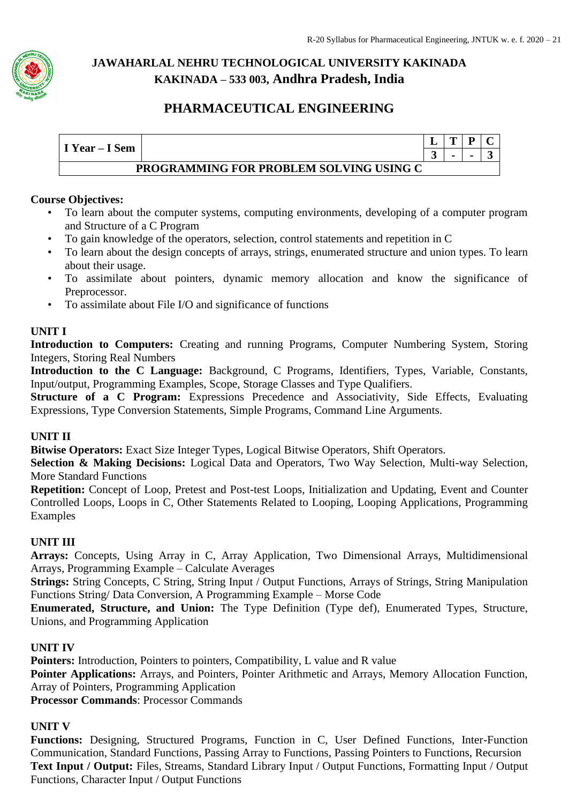

## **PHARMACEUTICAL ENGINEERING**

| I Year – I Sem |                                         |  |  |
|----------------|-----------------------------------------|--|--|
|                | PROGRAMMING FOR PROBLEM SOLVING USING C |  |  |

#### **Course Objectives:**

- To learn about the computer systems, computing environments, developing of a computer program and Structure of a C Program
- To gain knowledge of the operators, selection, control statements and repetition in C
- To learn about the design concepts of arrays, strings, enumerated structure and union types. To learn about their usage.
- To assimilate about pointers, dynamic memory allocation and know the significance of Preprocessor.
- To assimilate about File I/O and significance of functions

### **UNIT I**

**Introduction to Computers:** Creating and running Programs, Computer Numbering System, Storing Integers, Storing Real Numbers

**Introduction to the C Language:** Background, C Programs, Identifiers, Types, Variable, Constants, Input/output, Programming Examples, Scope, Storage Classes and Type Qualifiers.

**Structure of a C Program:** Expressions Precedence and Associativity, Side Effects, Evaluating Expressions, Type Conversion Statements, Simple Programs, Command Line Arguments.

### **UNIT II**

**Bitwise Operators:** Exact Size Integer Types, Logical Bitwise Operators, Shift Operators.

**Selection & Making Decisions:** Logical Data and Operators, Two Way Selection, Multi-way Selection, More Standard Functions

**Repetition:** Concept of Loop, Pretest and Post-test Loops, Initialization and Updating, Event and Counter Controlled Loops, Loops in C, Other Statements Related to Looping, Looping Applications, Programming Examples

### **UNIT III**

**Arrays:** Concepts, Using Array in C, Array Application, Two Dimensional Arrays, Multidimensional Arrays, Programming Example – Calculate Averages

**Strings:** String Concepts, C String, String Input / Output Functions, Arrays of Strings, String Manipulation Functions String/ Data Conversion, A Programming Example – Morse Code

**Enumerated, Structure, and Union:** The Type Definition (Type def), Enumerated Types, Structure, Unions, and Programming Application

#### **UNIT IV**

**Pointers:** Introduction, Pointers to pointers, Compatibility, L value and R value **Pointer Applications:** Arrays, and Pointers, Pointer Arithmetic and Arrays, Memory Allocation Function, Array of Pointers, Programming Application **Processor Commands**: Processor Commands

#### **UNIT V**

**Functions:** Designing, Structured Programs, Function in C, User Defined Functions, Inter-Function Communication, Standard Functions, Passing Array to Functions, Passing Pointers to Functions, Recursion Text Input / Output: Files, Streams, Standard Library Input / Output Functions. Formatting Input / Output Functions, Character Input / Output Functions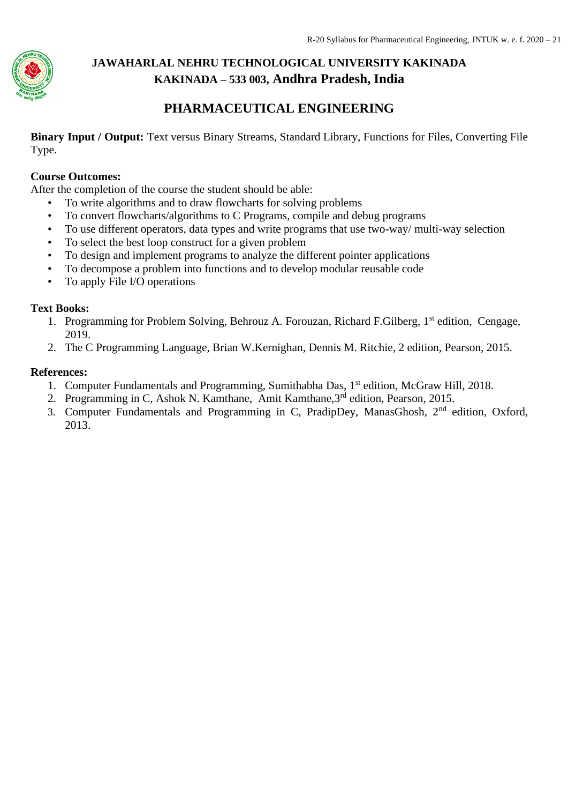

## **PHARMACEUTICAL ENGINEERING**

**Binary Input / Output:** Text versus Binary Streams, Standard Library, Functions for Files, Converting File Type.

### **Course Outcomes:**

After the completion of the course the student should be able:

- To write algorithms and to draw flowcharts for solving problems
- To convert flowcharts/algorithms to C Programs, compile and debug programs
- To use different operators, data types and write programs that use two-way/ multi-way selection
- To select the best loop construct for a given problem
- To design and implement programs to analyze the different pointer applications
- To decompose a problem into functions and to develop modular reusable code
- To apply File I/O operations

#### **Text Books:**

- 1. Programming for Problem Solving, Behrouz A. Forouzan, Richard F. Gilberg, 1<sup>st</sup> edition, Cengage, 2019.
- 2. The C Programming Language, Brian W.Kernighan, Dennis M. Ritchie, 2 edition, Pearson, 2015.

#### **References:**

- 1. Computer Fundamentals and Programming, Sumithabha Das, 1<sup>st</sup> edition, McGraw Hill, 2018.
- 2. Programming in C, Ashok N. Kamthane, Amit Kamthane,3rd edition, Pearson, 2015.
- 3. Computer Fundamentals and Programming in C, PradipDey, ManasGhosh, 2<sup>nd</sup> edition, Oxford, 2013.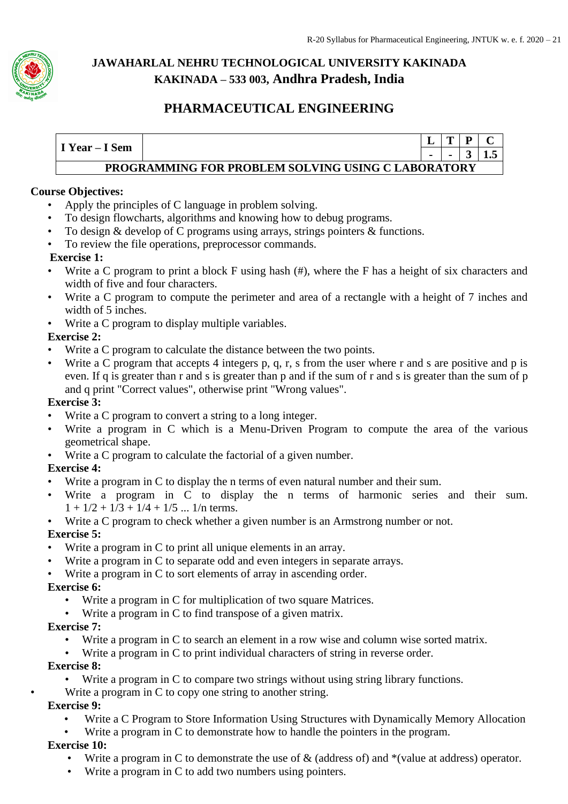

## **PHARMACEUTICAL ENGINEERING**



#### **Course Objectives:**

- Apply the principles of C language in problem solving.
- To design flowcharts, algorithms and knowing how to debug programs.
- To design & develop of C programs using arrays, strings pointers & functions.
- To review the file operations, preprocessor commands.

#### **Exercise 1:**

- Write a C program to print a block F using hash (#), where the F has a height of six characters and width of five and four characters.
- Write a C program to compute the perimeter and area of a rectangle with a height of 7 inches and width of 5 inches.
- Write a C program to display multiple variables.

#### **Exercise 2:**

- Write a C program to calculate the distance between the two points.
- Write a C program that accepts 4 integers p, q, r, s from the user where r and s are positive and p is even. If q is greater than r and s is greater than p and if the sum of r and s is greater than the sum of p and q print "Correct values", otherwise print "Wrong values".

#### **Exercise 3:**

- Write a C program to convert a string to a long integer.
- Write a program in C which is a Menu-Driven Program to compute the area of the various geometrical shape.
- Write a C program to calculate the factorial of a given number.

#### **Exercise 4:**

- Write a program in C to display the n terms of even natural number and their sum.
- Write a program in C to display the n terms of harmonic series and their sum.  $1 + 1/2 + 1/3 + 1/4 + 1/5$  ... 1/n terms.
- Write a C program to check whether a given number is an Armstrong number or not.

#### **Exercise 5:**

- Write a program in C to print all unique elements in an array.
- Write a program in C to separate odd and even integers in separate arrays.
- Write a program in C to sort elements of array in ascending order.

#### **Exercise 6:**

- Write a program in C for multiplication of two square Matrices.
- Write a program in  $C$  to find transpose of a given matrix.

#### **Exercise 7:**

- Write a program in C to search an element in a row wise and column wise sorted matrix.
- Write a program in C to print individual characters of string in reverse order.

#### **Exercise 8:**

- Write a program in C to compare two strings without using string library functions.
- Write a program in  $C$  to copy one string to another string.

#### **Exercise 9:**

- Write a C Program to Store Information Using Structures with Dynamically Memory Allocation
- Write a program in C to demonstrate how to handle the pointers in the program.

#### **Exercise 10:**

- Write a program in C to demonstrate the use of & (address of) and \*(value at address) operator.
- Write a program in C to add two numbers using pointers.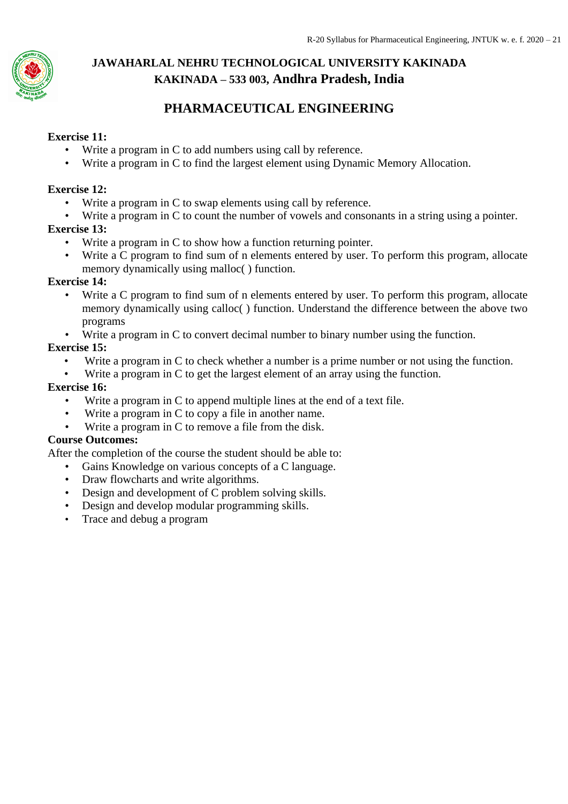

## **PHARMACEUTICAL ENGINEERING**

#### **Exercise 11:**

- Write a program in C to add numbers using call by reference.
- Write a program in C to find the largest element using Dynamic Memory Allocation.

#### **Exercise 12:**

- Write a program in C to swap elements using call by reference.
- Write a program in C to count the number of vowels and consonants in a string using a pointer.

#### **Exercise 13:**

- Write a program in C to show how a function returning pointer.
- Write a C program to find sum of n elements entered by user. To perform this program, allocate memory dynamically using malloc( ) function.

#### **Exercise 14:**

- Write a C program to find sum of n elements entered by user. To perform this program, allocate memory dynamically using calloc( ) function. Understand the difference between the above two programs
- Write a program in C to convert decimal number to binary number using the function.

#### **Exercise 15:**

- Write a program in C to check whether a number is a prime number or not using the function.
- Write a program in C to get the largest element of an array using the function.

#### **Exercise 16:**

- Write a program in C to append multiple lines at the end of a text file.
- Write a program in C to copy a file in another name.
- Write a program in C to remove a file from the disk.

#### **Course Outcomes:**

After the completion of the course the student should be able to:

- Gains Knowledge on various concepts of a C language.
- Draw flowcharts and write algorithms.
- Design and development of C problem solving skills.
- Design and develop modular programming skills.
- Trace and debug a program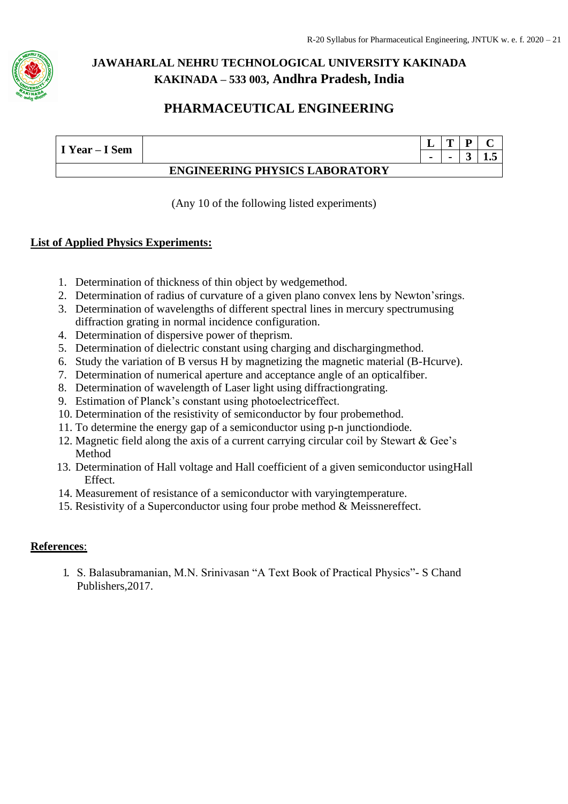

## **PHARMACEUTICAL ENGINEERING**

| I Year – I Sem |                                       | ,,,, |    |
|----------------|---------------------------------------|------|----|
|                |                                       |      | ┸╍ |
|                | <b>ENGINEERING PHYSICS LABORATORY</b> |      |    |

(Any 10 of the following listed experiments)

#### **List of Applied Physics Experiments:**

- 1. Determination of thickness of thin object by wedgemethod.
- 2. Determination of radius of curvature of a given plano convex lens by Newton'srings.
- 3. Determination of wavelengths of different spectral lines in mercury spectrumusing diffraction grating in normal incidence configuration.
- 4. Determination of dispersive power of theprism.
- 5. Determination of dielectric constant using charging and dischargingmethod.
- 6. Study the variation of B versus H by magnetizing the magnetic material (B-Hcurve).
- 7. Determination of numerical aperture and acceptance angle of an opticalfiber.
- 8. Determination of wavelength of Laser light using diffractiongrating.
- 9. Estimation of Planck's constant using photoelectriceffect.
- 10. Determination of the resistivity of semiconductor by four probemethod.
- 11. To determine the energy gap of a semiconductor using p**-**n junctiondiode.
- 12. Magnetic field along the axis of a current carrying circular coil by Stewart & Gee's Method
- 13. Determination of Hall voltage and Hall coefficient of a given semiconductor usingHall Effect.
- 14. Measurement of resistance of a semiconductor with varyingtemperature.
- 15. Resistivity of a Superconductor using four probe method & Meissnereffect.

#### **References**:

1. S. Balasubramanian, M.N. Srinivasan "A Text Book of Practical Physics"- S Chand Publishers,2017.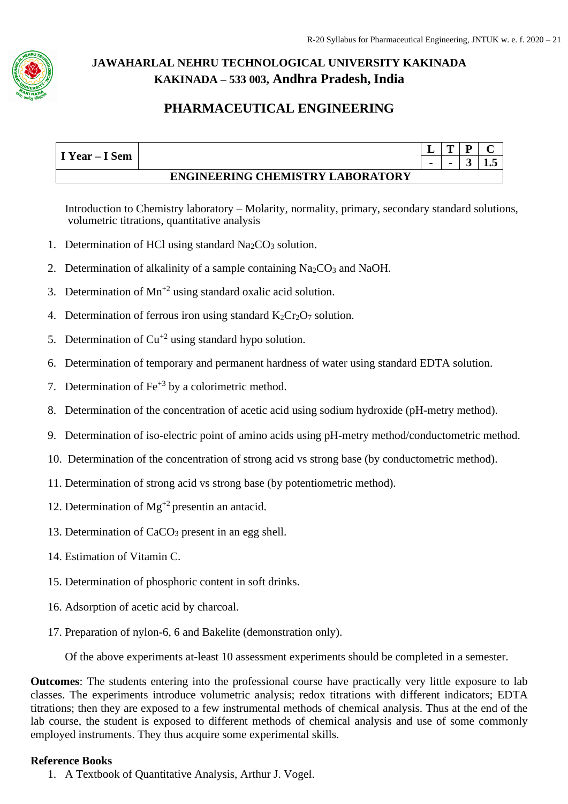

## **PHARMACEUTICAL ENGINEERING**

| I Year – I Sem |                                         | m |    |
|----------------|-----------------------------------------|---|----|
|                |                                         |   | ∸∙ |
|                | <b>ENGINEERING CHEMISTRY LABORATORY</b> |   |    |

Introduction to Chemistry laboratory – Molarity, normality, primary, secondary standard solutions, volumetric titrations, quantitative analysis

- 1. Determination of HCl using standard  $Na<sub>2</sub>CO<sub>3</sub>$  solution.
- 2. Determination of alkalinity of a sample containing Na<sub>2</sub>CO<sub>3</sub> and NaOH.
- 3. Determination of  $Mn^{2}$  using standard oxalic acid solution.
- 4. Determination of ferrous iron using standard  $K_2Cr_2O_7$  solution.
- 5. Determination of  $Cu^{2}$  using standard hypo solution.
- 6. Determination of temporary and permanent hardness of water using standard EDTA solution.
- 7. Determination of  $\text{Fe}^{+3}$  by a colorimetric method.
- 8. Determination of the concentration of acetic acid using sodium hydroxide (pH-metry method).
- 9. Determination of iso-electric point of amino acids using pH-metry method/conductometric method.
- 10. Determination of the concentration of strong acid vs strong base (by conductometric method).
- 11. Determination of strong acid vs strong base (by potentiometric method).
- 12. Determination of  $Mg^{+2}$  presentin an antacid.
- 13. Determination of CaCO<sub>3</sub> present in an egg shell.
- 14. Estimation of Vitamin C.
- 15. Determination of phosphoric content in soft drinks.
- 16. Adsorption of acetic acid by charcoal.
- 17. Preparation of nylon-6, 6 and Bakelite (demonstration only).

Of the above experiments at-least 10 assessment experiments should be completed in a semester.

**Outcomes**: The students entering into the professional course have practically very little exposure to lab classes. The experiments introduce volumetric analysis; redox titrations with different indicators; EDTA titrations; then they are exposed to a few instrumental methods of chemical analysis. Thus at the end of the lab course, the student is exposed to different methods of chemical analysis and use of some commonly employed instruments. They thus acquire some experimental skills.

#### **Reference Books**

1. A Textbook of Quantitative Analysis, Arthur J. Vogel.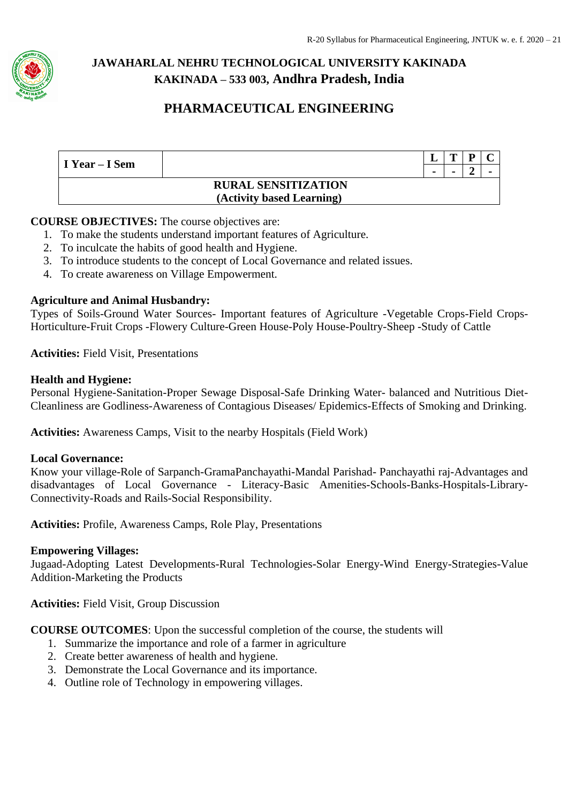

## **PHARMACEUTICAL ENGINEERING**

| I Year – I Sem |                            |                          | m | D |                          |
|----------------|----------------------------|--------------------------|---|---|--------------------------|
|                |                            | $\overline{\phantom{a}}$ |   |   | $\overline{\phantom{a}}$ |
|                | <b>RURAL SENSITIZATION</b> |                          |   |   |                          |
|                | (Activity based Learning)  |                          |   |   |                          |

#### **COURSE OBJECTIVES:** The course objectives are:

- 1. To make the students understand important features of Agriculture.
- 2. To inculcate the habits of good health and Hygiene.
- 3. To introduce students to the concept of Local Governance and related issues.
- 4. To create awareness on Village Empowerment.

#### **Agriculture and Animal Husbandry:**

Types of Soils-Ground Water Sources- Important features of Agriculture -Vegetable Crops-Field Crops-Horticulture-Fruit Crops -Flowery Culture-Green House-Poly House-Poultry-Sheep -Study of Cattle

**Activities:** Field Visit, Presentations

#### **Health and Hygiene:**

Personal Hygiene-Sanitation-Proper Sewage Disposal-Safe Drinking Water- balanced and Nutritious Diet-Cleanliness are Godliness-Awareness of Contagious Diseases/ Epidemics-Effects of Smoking and Drinking.

**Activities:** Awareness Camps, Visit to the nearby Hospitals (Field Work)

#### **Local Governance:**

Know your village-Role of Sarpanch-GramaPanchayathi-Mandal Parishad- Panchayathi raj-Advantages and disadvantages of Local Governance - Literacy-Basic Amenities-Schools-Banks-Hospitals-Library-Connectivity-Roads and Rails-Social Responsibility.

**Activities:** Profile, Awareness Camps, Role Play, Presentations

#### **Empowering Villages:**

Jugaad-Adopting Latest Developments-Rural Technologies-Solar Energy-Wind Energy-Strategies-Value Addition-Marketing the Products

**Activities:** Field Visit, Group Discussion

**COURSE OUTCOMES**: Upon the successful completion of the course, the students will

- 1. Summarize the importance and role of a farmer in agriculture
- 2. Create better awareness of health and hygiene.
- 3. Demonstrate the Local Governance and its importance.
- 4. Outline role of Technology in empowering villages.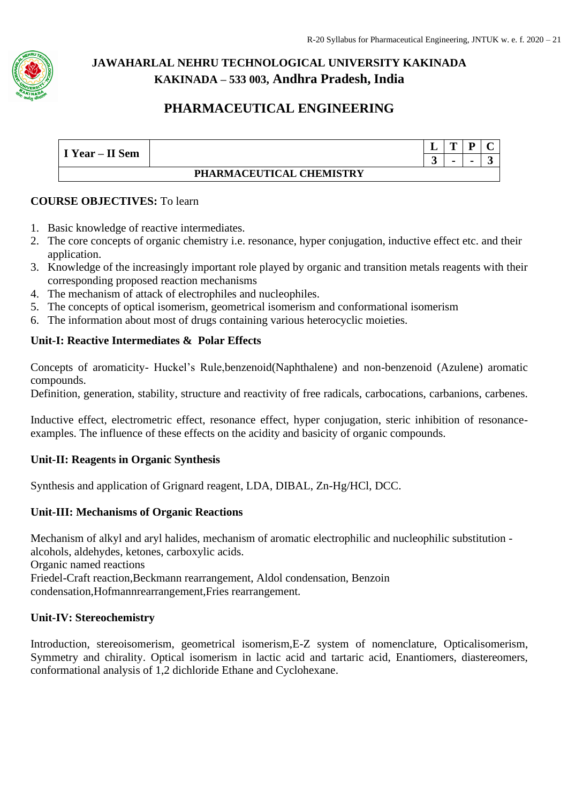

## **PHARMACEUTICAL ENGINEERING**

| I Year – II Sem |                          | -      |                |  |
|-----------------|--------------------------|--------|----------------|--|
|                 |                          | G<br>ັ | $\blacksquare$ |  |
|                 | PHARMACEUTICAL CHEMISTRY |        |                |  |

### **COURSE OBJECTIVES:** To learn

- 1. Basic knowledge of reactive intermediates.
- 2. The core concepts of organic chemistry i.e. resonance, hyper conjugation, inductive effect etc. and their application.
- 3. Knowledge of the increasingly important role played by organic and transition metals reagents with their corresponding proposed reaction mechanisms
- 4. The mechanism of attack of electrophiles and nucleophiles.
- 5. The concepts of optical isomerism, geometrical isomerism and conformational isomerism
- 6. The information about most of drugs containing various heterocyclic moieties.

#### **Unit-I: Reactive Intermediates & Polar Effects**

Concepts of aromaticity- Huckel's Rule,benzenoid(Naphthalene) and non-benzenoid (Azulene) aromatic compounds.

Definition, generation, stability, structure and reactivity of free radicals, carbocations, carbanions, carbenes.

Inductive effect, electrometric effect, resonance effect, hyper conjugation, steric inhibition of resonanceexamples. The influence of these effects on the acidity and basicity of organic compounds.

#### **Unit-II: Reagents in Organic Synthesis**

Synthesis and application of Grignard reagent, LDA, DIBAL, Zn-Hg/HCl, DCC.

#### **Unit-III: Mechanisms of Organic Reactions**

Mechanism of alkyl and aryl halides, mechanism of aromatic electrophilic and nucleophilic substitution alcohols, aldehydes, ketones, carboxylic acids. Organic named reactions Friedel-Craft reaction,Beckmann rearrangement, Aldol condensation, Benzoin condensation,Hofmannrearrangement,Fries rearrangement.

#### **Unit-IV: Stereochemistry**

Introduction, stereoisomerism, geometrical isomerism,E-Z system of nomenclature, Opticalisomerism, Symmetry and chirality. Optical isomerism in lactic acid and tartaric acid, Enantiomers, diastereomers, conformational analysis of 1,2 dichloride Ethane and Cyclohexane.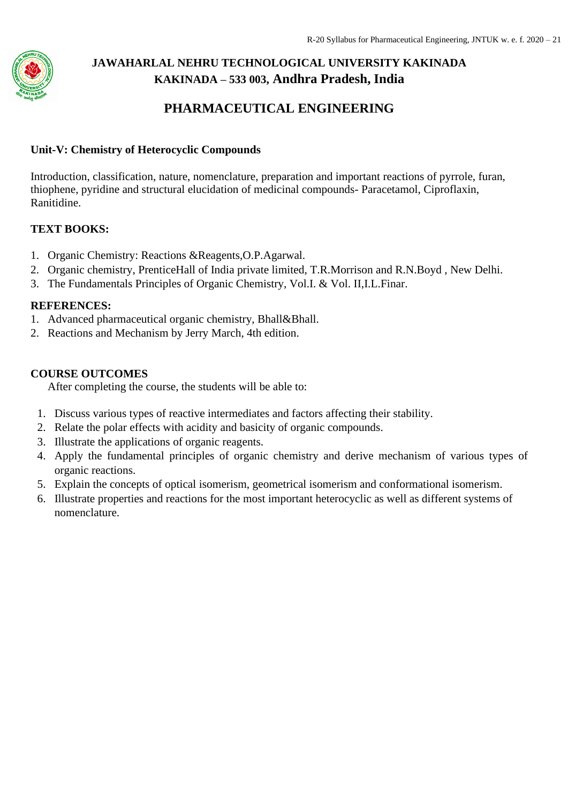

## **PHARMACEUTICAL ENGINEERING**

#### **Unit-V: Chemistry of Heterocyclic Compounds**

Introduction, classification, nature, nomenclature, preparation and important reactions of pyrrole, furan, thiophene, pyridine and structural elucidation of medicinal compounds- Paracetamol, Ciproflaxin, Ranitidine.

#### **TEXT BOOKS:**

- 1. Organic Chemistry: Reactions &Reagents,O.P.Agarwal.
- 2. Organic chemistry, PrenticeHall of India private limited, T.R.Morrison and R.N.Boyd , New Delhi.
- 3. The Fundamentals Principles of Organic Chemistry, Vol.I. & Vol. II,I.L.Finar.

#### **REFERENCES:**

- 1. Advanced pharmaceutical organic chemistry, Bhall&Bhall.
- 2. Reactions and Mechanism by Jerry March, 4th edition.

#### **COURSE OUTCOMES**

After completing the course, the students will be able to:

- 1. Discuss various types of reactive intermediates and factors affecting their stability.
- 2. Relate the polar effects with acidity and basicity of organic compounds.
- 3. Illustrate the applications of organic reagents.
- 4. Apply the fundamental principles of organic chemistry and derive mechanism of various types of organic reactions.
- 5. Explain the concepts of optical isomerism, geometrical isomerism and conformational isomerism.
- 6. Illustrate properties and reactions for the most important heterocyclic as well as different systems of nomenclature.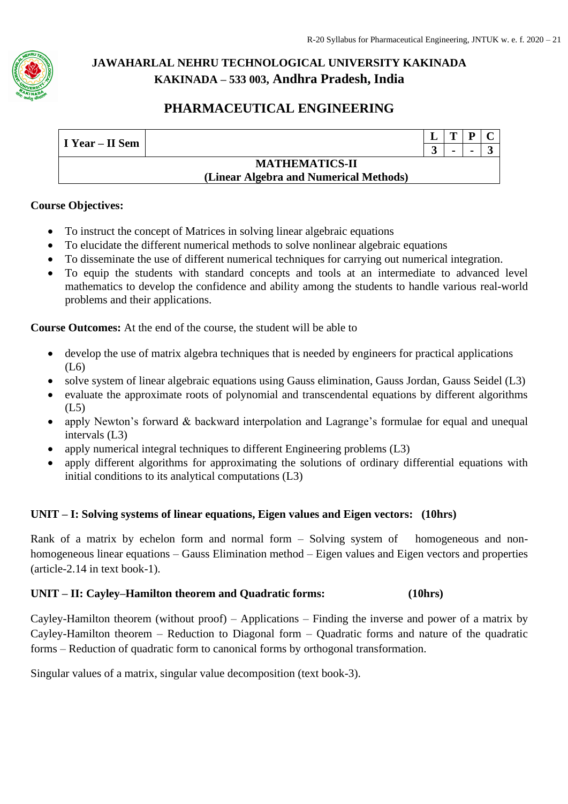

## **PHARMACEUTICAL ENGINEERING**

| I Year – II Sem |                                        | m              | D |  |
|-----------------|----------------------------------------|----------------|---|--|
|                 |                                        | $\blacksquare$ | - |  |
|                 | <b>MATHEMATICS-II</b>                  |                |   |  |
|                 | (Linear Algebra and Numerical Methods) |                |   |  |

#### **Course Objectives:**

- To instruct the concept of Matrices in solving linear algebraic equations
- To elucidate the different numerical methods to solve nonlinear algebraic equations
- To disseminate the use of different numerical techniques for carrying out numerical integration.
- To equip the students with standard concepts and tools at an intermediate to advanced level mathematics to develop the confidence and ability among the students to handle various real-world problems and their applications.

**Course Outcomes:** At the end of the course, the student will be able to

- develop the use of matrix algebra techniques that is needed by engineers for practical applications (L6)
- solve system of linear algebraic equations using Gauss elimination, Gauss Jordan, Gauss Seidel (L3)
- evaluate the approximate roots of polynomial and transcendental equations by different algorithms (L5)
- apply Newton's forward & backward interpolation and Lagrange's formulae for equal and unequal intervals (L3)
- apply numerical integral techniques to different Engineering problems (L3)
- apply different algorithms for approximating the solutions of ordinary differential equations with initial conditions to its analytical computations (L3)

### **UNIT – I: Solving systems of linear equations, Eigen values and Eigen vectors: (10hrs)**

Rank of a matrix by echelon form and normal form – Solving system of homogeneous and nonhomogeneous linear equations – Gauss Elimination method – Eigen values and Eigen vectors and properties (article-2.14 in text book-1).

#### **UNIT – II: Cayley–Hamilton theorem and Quadratic forms: (10hrs)**

Cayley-Hamilton theorem (without proof) – Applications – Finding the inverse and power of a matrix by Cayley-Hamilton theorem – Reduction to Diagonal form – Quadratic forms and nature of the quadratic forms – Reduction of quadratic form to canonical forms by orthogonal transformation.

Singular values of a matrix, singular value decomposition (text book-3).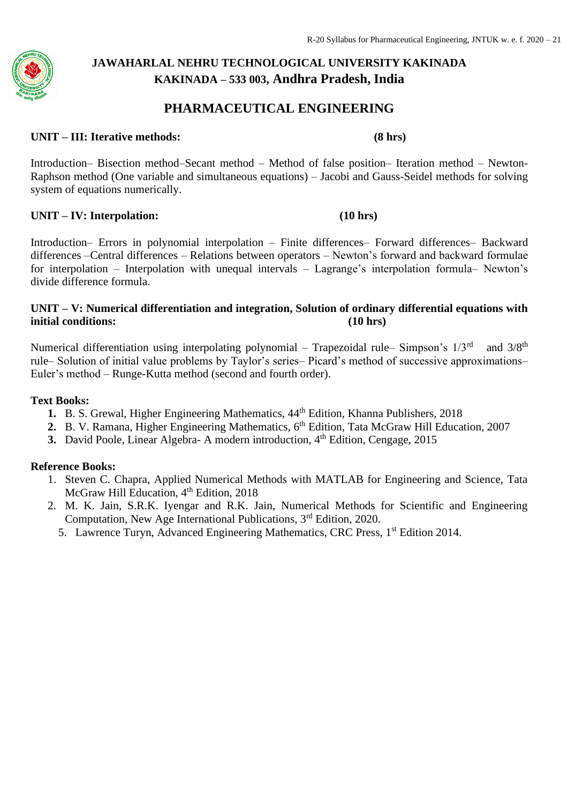#### **PHARMACEUTICAL ENGINEERING**

#### **UNIT – III: Iterative methods: (8 hrs)**

Introduction– Bisection method–Secant method – Method of false position– Iteration method – Newton-Raphson method (One variable and simultaneous equations) – Jacobi and Gauss-Seidel methods for solving system of equations numerically.

#### **UNIT – IV: Interpolation: (10 hrs)**

Introduction– Errors in polynomial interpolation – Finite differences– Forward differences– Backward differences –Central differences – Relations between operators – Newton's forward and backward formulae for interpolation – Interpolation with unequal intervals – Lagrange's interpolation formula– Newton's divide difference formula.

#### **UNIT – V: Numerical differentiation and integration, Solution of ordinary differential equations with initial conditions: (10 hrs)**

Numerical differentiation using interpolating polynomial – Trapezoidal rule– Simpson's  $1/3<sup>rd</sup>$  and  $3/8<sup>th</sup>$ rule– Solution of initial value problems by Taylor's series– Picard's method of successive approximations– Euler's method – Runge-Kutta method (second and fourth order).

#### **Text Books:**

- 1. B. S. Grewal, Higher Engineering Mathematics,  $44<sup>th</sup>$  Edition, Khanna Publishers, 2018
- 2. B. V. Ramana, Higher Engineering Mathematics, 6<sup>th</sup> Edition, Tata McGraw Hill Education, 2007
- **3.** David Poole, Linear Algebra- A modern introduction, 4<sup>th</sup> Edition, Cengage, 2015

#### **Reference Books:**

- 1. Steven C. Chapra, Applied Numerical Methods with MATLAB for Engineering and Science, Tata McGraw Hill Education, 4<sup>th</sup> Edition, 2018
- 2. M. K. Jain, S.R.K. Iyengar and R.K. Jain, Numerical Methods for Scientific and Engineering Computation, New Age International Publications, 3rd Edition, 2020.
	- 5. Lawrence Turyn, Advanced Engineering Mathematics, CRC Press, 1st Edition 2014.

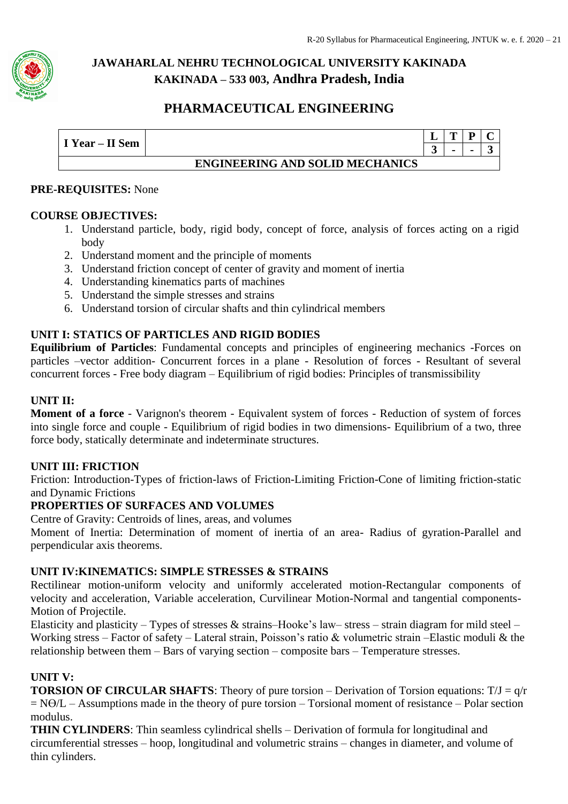

## **PHARMACEUTICAL ENGINEERING**

| I Year – II Sem |                                        | m | D |               |
|-----------------|----------------------------------------|---|---|---------------|
|                 |                                        |   |   | $\rightarrow$ |
|                 | <b>ENGINEERING AND SOLID MECHANICS</b> |   |   |               |

#### **PRE-REQUISITES:** None

#### **COURSE OBJECTIVES:**

- 1. Understand particle, body, rigid body, concept of force, analysis of forces acting on a rigid body
- 2. Understand moment and the principle of moments
- 3. Understand friction concept of center of gravity and moment of inertia
- 4. Understanding kinematics parts of machines
- 5. Understand the simple stresses and strains
- 6. Understand torsion of circular shafts and thin cylindrical members

#### **UNIT I: STATICS OF PARTICLES AND RIGID BODIES**

**Equilibrium of Particles**: Fundamental concepts and principles of engineering mechanics -Forces on particles –vector addition- Concurrent forces in a plane - Resolution of forces - Resultant of several concurrent forces - Free body diagram – Equilibrium of rigid bodies: Principles of transmissibility

#### **UNIT II:**

**Moment of a force** - Varignon's theorem - Equivalent system of forces - Reduction of system of forces into single force and couple - Equilibrium of rigid bodies in two dimensions- Equilibrium of a two, three force body, statically determinate and indeterminate structures.

#### **UNIT III: FRICTION**

Friction: Introduction-Types of friction-laws of Friction-Limiting Friction-Cone of limiting friction-static and Dynamic Frictions

#### **PROPERTIES OF SURFACES AND VOLUMES**

Centre of Gravity: Centroids of lines, areas, and volumes

Moment of Inertia: Determination of moment of inertia of an area- Radius of gyration-Parallel and perpendicular axis theorems.

#### **UNIT IV:KINEMATICS: SIMPLE STRESSES & STRAINS**

Rectilinear motion-uniform velocity and uniformly accelerated motion-Rectangular components of velocity and acceleration, Variable acceleration, Curvilinear Motion-Normal and tangential components-Motion of Projectile.

Elasticity and plasticity – Types of stresses & strains–Hooke's law– stress – strain diagram for mild steel – Working stress – Factor of safety – Lateral strain, Poisson's ratio & volumetric strain –Elastic moduli & the relationship between them – Bars of varying section – composite bars – Temperature stresses.

#### **UNIT V:**

**TORSION OF CIRCULAR SHAFTS**: Theory of pure torsion – Derivation of Torsion equations: T/J = q/r  $= N\Theta/L -$  Assumptions made in the theory of pure torsion – Torsional moment of resistance – Polar section modulus.

**THIN CYLINDERS**: Thin seamless cylindrical shells – Derivation of formula for longitudinal and circumferential stresses – hoop, longitudinal and volumetric strains – changes in diameter, and volume of thin cylinders.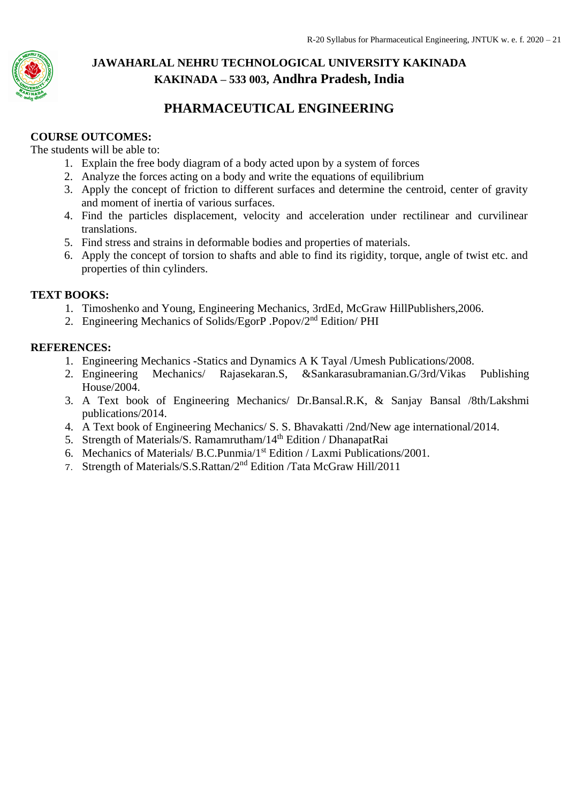

## **PHARMACEUTICAL ENGINEERING**

### **COURSE OUTCOMES:**

The students will be able to:

- 1. Explain the free body diagram of a body acted upon by a system of forces
- 2. Analyze the forces acting on a body and write the equations of equilibrium
- 3. Apply the concept of friction to different surfaces and determine the centroid, center of gravity and moment of inertia of various surfaces.
- 4. Find the particles displacement, velocity and acceleration under rectilinear and curvilinear translations.
- 5. Find stress and strains in deformable bodies and properties of materials.
- 6. Apply the concept of torsion to shafts and able to find its rigidity, torque, angle of twist etc. and properties of thin cylinders.

#### **TEXT BOOKS:**

- 1. Timoshenko and Young, Engineering Mechanics, 3rdEd, McGraw HillPublishers,2006.
- 2. Engineering Mechanics of Solids/EgorP .Popov/2nd Edition/ PHI

#### **REFERENCES:**

- 1. Engineering Mechanics -Statics and Dynamics A K Tayal /Umesh Publications/2008.
- 2. Engineering Mechanics/ Rajasekaran.S, &Sankarasubramanian.G/3rd/Vikas Publishing House/2004.
- 3. A Text book of Engineering Mechanics/ Dr.Bansal.R.K, & Sanjay Bansal /8th/Lakshmi publications/2014.
- 4. A Text book of Engineering Mechanics/ S. S. Bhavakatti /2nd/New age international/2014.
- 5. Strength of Materials/S. Ramamrutham/14<sup>th</sup> Edition / DhanapatRai
- 6. Mechanics of Materials/ B.C.Punmia/1st Edition / Laxmi Publications/2001.
- 7. Strength of Materials/S.S.Rattan/2nd Edition /Tata McGraw Hill/2011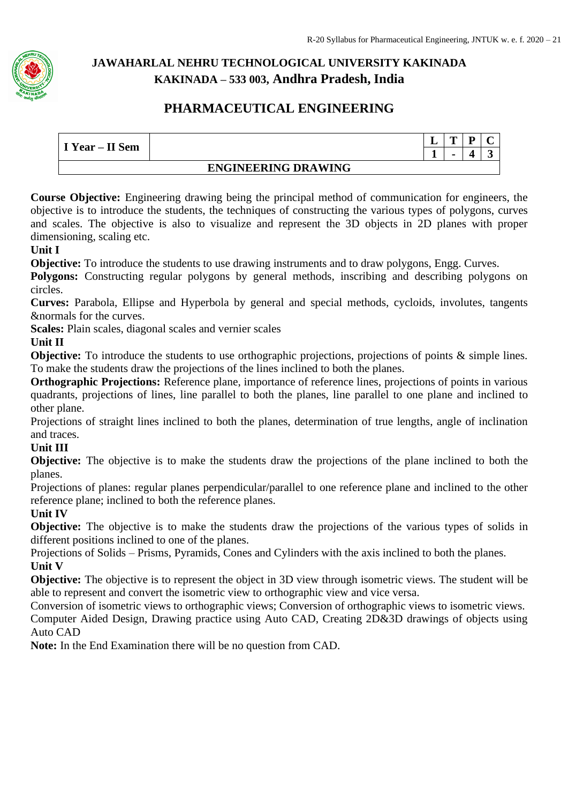

## **PHARMACEUTICAL ENGINEERING**

|                            |  | - | m | D |  |  |  |
|----------------------------|--|---|---|---|--|--|--|
| I Year – II Sem            |  |   |   |   |  |  |  |
| <b>ENGINEERING DRAWING</b> |  |   |   |   |  |  |  |

**Course Objective:** Engineering drawing being the principal method of communication for engineers, the objective is to introduce the students, the techniques of constructing the various types of polygons, curves and scales. The objective is also to visualize and represent the 3D objects in 2D planes with proper dimensioning, scaling etc.

#### **Unit I**

**Objective:** To introduce the students to use drawing instruments and to draw polygons, Engg. Curves.

**Polygons:** Constructing regular polygons by general methods, inscribing and describing polygons on circles.

**Curves:** Parabola, Ellipse and Hyperbola by general and special methods, cycloids, involutes, tangents &normals for the curves.

**Scales:** Plain scales, diagonal scales and vernier scales

#### **Unit II**

**Objective:** To introduce the students to use orthographic projections, projections of points & simple lines. To make the students draw the projections of the lines inclined to both the planes.

**Orthographic Projections:** Reference plane, importance of reference lines, projections of points in various quadrants, projections of lines, line parallel to both the planes, line parallel to one plane and inclined to other plane.

Projections of straight lines inclined to both the planes, determination of true lengths, angle of inclination and traces.

### **Unit III**

**Objective:** The objective is to make the students draw the projections of the plane inclined to both the planes.

Projections of planes: regular planes perpendicular/parallel to one reference plane and inclined to the other reference plane; inclined to both the reference planes.

### **Unit IV**

**Objective:** The objective is to make the students draw the projections of the various types of solids in different positions inclined to one of the planes.

Projections of Solids – Prisms, Pyramids, Cones and Cylinders with the axis inclined to both the planes. **Unit V** 

**Objective:** The objective is to represent the object in 3D view through isometric views. The student will be able to represent and convert the isometric view to orthographic view and vice versa.

Conversion of isometric views to orthographic views; Conversion of orthographic views to isometric views. Computer Aided Design, Drawing practice using Auto CAD, Creating 2D&3D drawings of objects using Auto CAD

**Note:** In the End Examination there will be no question from CAD.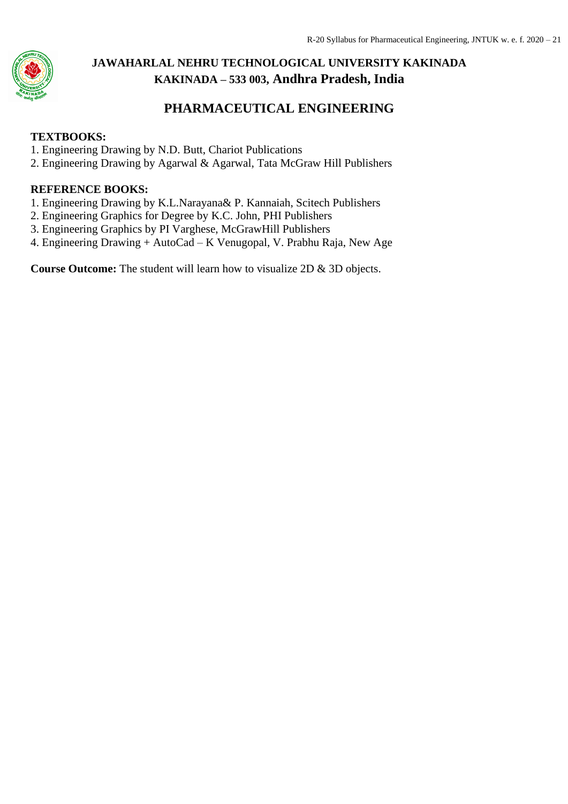

## **PHARMACEUTICAL ENGINEERING**

#### **TEXTBOOKS:**

- 1. Engineering Drawing by N.D. Butt, Chariot Publications
- 2. Engineering Drawing by Agarwal & Agarwal, Tata McGraw Hill Publishers

#### **REFERENCE BOOKS:**

- 1. Engineering Drawing by K.L.Narayana& P. Kannaiah, Scitech Publishers
- 2. Engineering Graphics for Degree by K.C. John, PHI Publishers
- 3. Engineering Graphics by PI Varghese, McGrawHill Publishers
- 4. Engineering Drawing + AutoCad K Venugopal, V. Prabhu Raja, New Age

**Course Outcome:** The student will learn how to visualize 2D & 3D objects.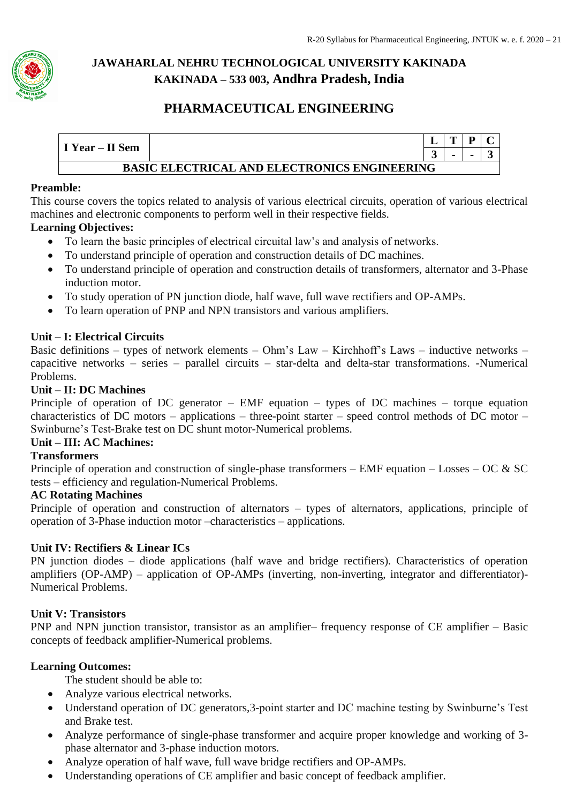

## **PHARMACEUTICAL ENGINEERING**

|                 |                                                     |   | m |  |  |  |
|-----------------|-----------------------------------------------------|---|---|--|--|--|
| I Year – II Sem |                                                     | ັ |   |  |  |  |
|                 | <b>BASIC ELECTRICAL AND ELECTRONICS ENGINEERING</b> |   |   |  |  |  |

#### **Preamble:**

This course covers the topics related to analysis of various electrical circuits, operation of various electrical machines and electronic components to perform well in their respective fields.

#### **Learning Objectives:**

- To learn the basic principles of electrical circuital law's and analysis of networks.
- To understand principle of operation and construction details of DC machines.
- To understand principle of operation and construction details of transformers, alternator and 3-Phase induction motor.
- To study operation of PN junction diode, half wave, full wave rectifiers and OP-AMPs.
- To learn operation of PNP and NPN transistors and various amplifiers.

#### **Unit – I: Electrical Circuits**

Basic definitions – types of network elements – Ohm's Law – Kirchhoff's Laws – inductive networks – capacitive networks – series – parallel circuits – star-delta and delta-star transformations. -Numerical Problems.

#### **Unit – II: DC Machines**

Principle of operation of DC generator – EMF equation – types of DC machines – torque equation characteristics of DC motors – applications – three-point starter – speed control methods of DC motor – Swinburne's Test-Brake test on DC shunt motor-Numerical problems.

#### **Unit – III: AC Machines:**

#### **Transformers**

Principle of operation and construction of single-phase transformers – EMF equation – Losses – OC  $\&$  SC tests – efficiency and regulation-Numerical Problems.

#### **AC Rotating Machines**

Principle of operation and construction of alternators – types of alternators, applications, principle of operation of 3-Phase induction motor –characteristics – applications.

#### **Unit IV: Rectifiers & Linear ICs**

PN junction diodes – diode applications (half wave and bridge rectifiers). Characteristics of operation amplifiers (OP-AMP) – application of OP-AMPs (inverting, non-inverting, integrator and differentiator)- Numerical Problems.

#### **Unit V: Transistors**

PNP and NPN junction transistor, transistor as an amplifier– frequency response of CE amplifier – Basic concepts of feedback amplifier-Numerical problems.

#### **Learning Outcomes:**

The student should be able to:

- Analyze various electrical networks.
- Understand operation of DC generators,3-point starter and DC machine testing by Swinburne's Test and Brake test.
- Analyze performance of single-phase transformer and acquire proper knowledge and working of 3 phase alternator and 3-phase induction motors.
- Analyze operation of half wave, full wave bridge rectifiers and OP-AMPs.
- Understanding operations of CE amplifier and basic concept of feedback amplifier.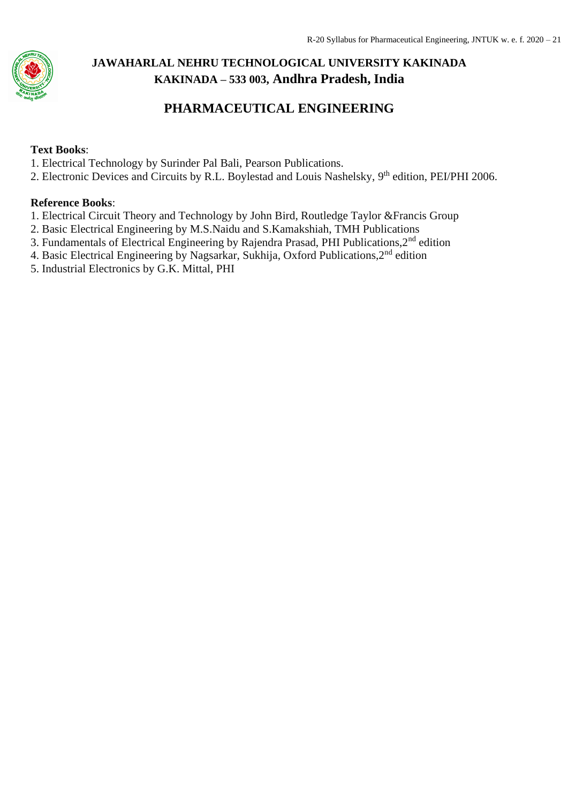

## **PHARMACEUTICAL ENGINEERING**

### **Text Books**:

- 1. Electrical Technology by Surinder Pal Bali, Pearson Publications.
- 2. Electronic Devices and Circuits by R.L. Boylestad and Louis Nashelsky, 9<sup>th</sup> edition, PEI/PHI 2006.

#### **Reference Books**:

- 1. Electrical Circuit Theory and Technology by John Bird, Routledge Taylor &Francis Group
- 2. Basic Electrical Engineering by M.S.Naidu and S.Kamakshiah, TMH Publications
- 3. Fundamentals of Electrical Engineering by Rajendra Prasad, PHI Publications,2nd edition
- 4. Basic Electrical Engineering by Nagsarkar, Sukhija, Oxford Publications,2nd edition
- 5. Industrial Electronics by G.K. Mittal, PHI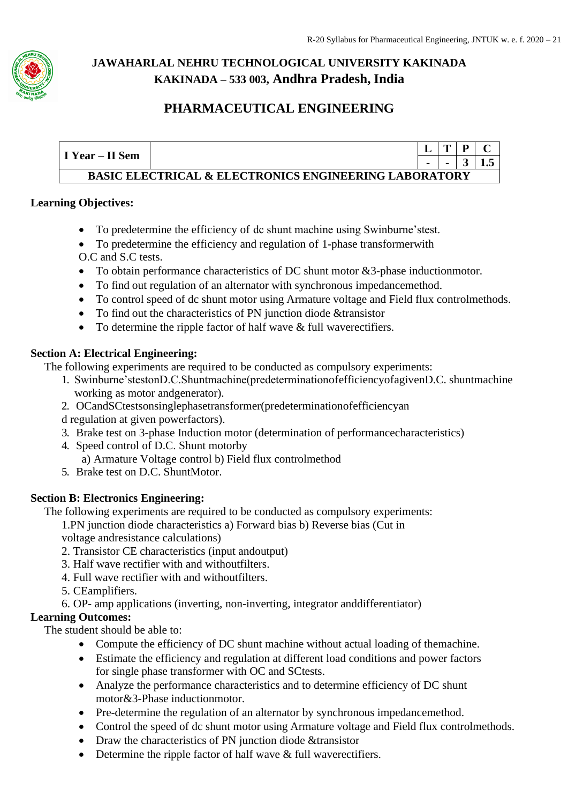

## **PHARMACEUTICAL ENGINEERING**

|                 |                                                                  | m | D |  |
|-----------------|------------------------------------------------------------------|---|---|--|
| I Year – II Sem |                                                                  |   |   |  |
|                 | <b>BASIC ELECTRICAL &amp; ELECTRONICS ENGINEERING LABORATORY</b> |   |   |  |

#### **Learning Objectives:**

- To predetermine the efficiency of dc shunt machine using Swinburne'stest.
- To predetermine the efficiency and regulation of 1-phase transformerwith O.C and S.C tests.
- To obtain performance characteristics of DC shunt motor &3-phase inductionmotor.
- To find out regulation of an alternator with synchronous impedancemethod.
- To control speed of dc shunt motor using Armature voltage and Field flux controlmethods.
- To find out the characteristics of PN junction diode &transistor
- To determine the ripple factor of half wave & full waverectifiers.

#### **Section A: Electrical Engineering:**

The following experiments are required to be conducted as compulsory experiments:

- 1. Swinburne'stestonD.C.Shuntmachine(predeterminationofefficiencyofagivenD.C. shuntmachine working as motor andgenerator).
- 2. OCandSCtestsonsinglephasetransformer(predeterminationofefficiencyan
- d regulation at given powerfactors).
- 3. Brake test on 3-phase Induction motor (determination of performancecharacteristics)
- 4. Speed control of D.C. Shunt motorby
	- a) Armature Voltage control b) Field flux controlmethod
- 5. Brake test on D.C. ShuntMotor.

### **Section B: Electronics Engineering:**

The following experiments are required to be conducted as compulsory experiments:

1.PN junction diode characteristics a) Forward bias b) Reverse bias (Cut in voltage andresistance calculations)

- 
- 2. Transistor CE characteristics (input andoutput)
- 3. Half wave rectifier with and withoutfilters.
- 4. Full wave rectifier with and withoutfilters.
- 5. CEamplifiers.
- 6. OP- amp applications (inverting, non-inverting, integrator anddifferentiator)

## **Learning Outcomes:**

The student should be able to:

- Compute the efficiency of DC shunt machine without actual loading of themachine.
- Estimate the efficiency and regulation at different load conditions and power factors for single phase transformer with OC and SCtests.
- Analyze the performance characteristics and to determine efficiency of DC shunt motor&3-Phase inductionmotor.
- Pre-determine the regulation of an alternator by synchronous impedancemethod.
- Control the speed of dc shunt motor using Armature voltage and Field flux controlmethods.
- Draw the characteristics of PN junction diode &transistor
- Determine the ripple factor of half wave & full waverectifiers.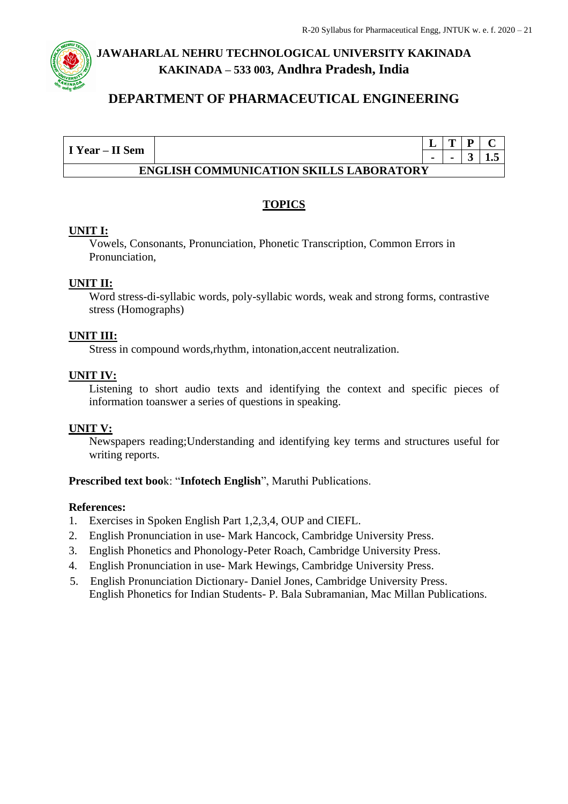

## **DEPARTMENT OF PHARMACEUTICAL ENGINEERING**

|                                                |  |                | m | D |  |  |
|------------------------------------------------|--|----------------|---|---|--|--|
| I Year – II Sem                                |  | $\blacksquare$ |   |   |  |  |
| <b>ENGLISH COMMUNICATION SKILLS LABORATORY</b> |  |                |   |   |  |  |

### **TOPICS**

#### **UNIT I:**

Vowels, Consonants, Pronunciation, Phonetic Transcription, Common Errors in Pronunciation,

#### **UNIT II:**

Word stress-di-syllabic words, poly-syllabic words, weak and strong forms, contrastive stress (Homographs)

#### **UNIT III:**

Stress in compound words,rhythm, intonation,accent neutralization.

#### **UNIT IV:**

Listening to short audio texts and identifying the context and specific pieces of information toanswer a series of questions in speaking.

#### **UNIT V:**

Newspapers reading;Understanding and identifying key terms and structures useful for writing reports.

#### **Prescribed text boo**k: "**Infotech English**", Maruthi Publications.

#### **References:**

- 1. Exercises in Spoken English Part 1,2,3,4, OUP and CIEFL.
- 2. English Pronunciation in use- Mark Hancock, Cambridge University Press.
- 3. English Phonetics and Phonology-Peter Roach, Cambridge University Press.
- 4. English Pronunciation in use- Mark Hewings, Cambridge University Press.
- 5. English Pronunciation Dictionary- Daniel Jones, Cambridge University Press. English Phonetics for Indian Students- P. Bala Subramanian, Mac Millan Publications.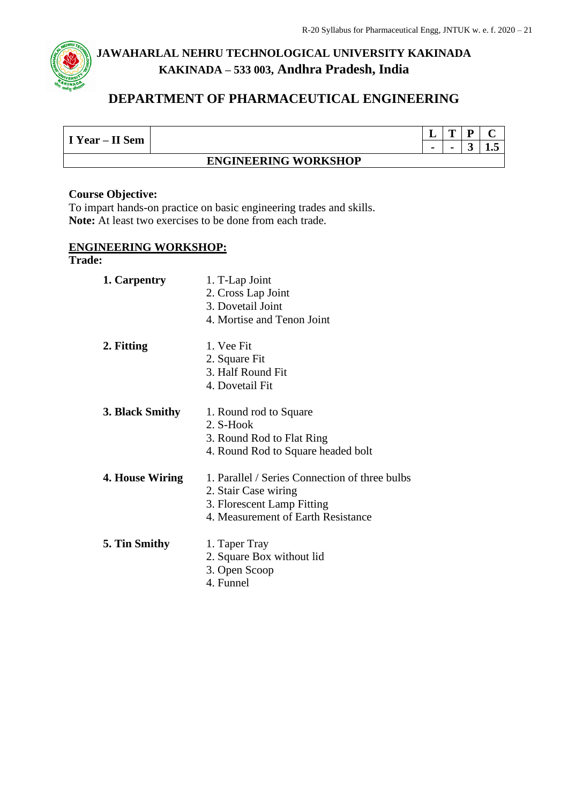## **DEPARTMENT OF PHARMACEUTICAL ENGINEERING**

|                 |                             |                | m | D | ⌒  |  |  |  |
|-----------------|-----------------------------|----------------|---|---|----|--|--|--|
| I Year – II Sem |                             | $\blacksquare$ |   | ັ | ∸∙ |  |  |  |
|                 | <b>ENGINEERING WORKSHOP</b> |                |   |   |    |  |  |  |

#### **Course Objective:**

To impart hands-on practice on basic engineering trades and skills. **Note:** At least two exercises to be done from each trade.

#### **ENGINEERING WORKSHOP:**

#### **Trade:**

| 1. Carpentry    | 1. T-Lap Joint<br>2. Cross Lap Joint<br>3. Dovetail Joint<br>4. Mortise and Tenon Joint                                                    |
|-----------------|--------------------------------------------------------------------------------------------------------------------------------------------|
| 2. Fitting      | 1. Vee Fit<br>2. Square Fit<br>3. Half Round Fit<br>4. Dovetail Fit                                                                        |
| 3. Black Smithy | 1. Round rod to Square<br>2. S-Hook<br>3. Round Rod to Flat Ring<br>4. Round Rod to Square headed bolt                                     |
| 4. House Wiring | 1. Parallel / Series Connection of three bulbs<br>2. Stair Case wiring<br>3. Florescent Lamp Fitting<br>4. Measurement of Earth Resistance |
| 5. Tin Smithy   | 1. Taper Tray<br>2. Square Box without lid<br>3. Open Scoop<br>4. Funnel                                                                   |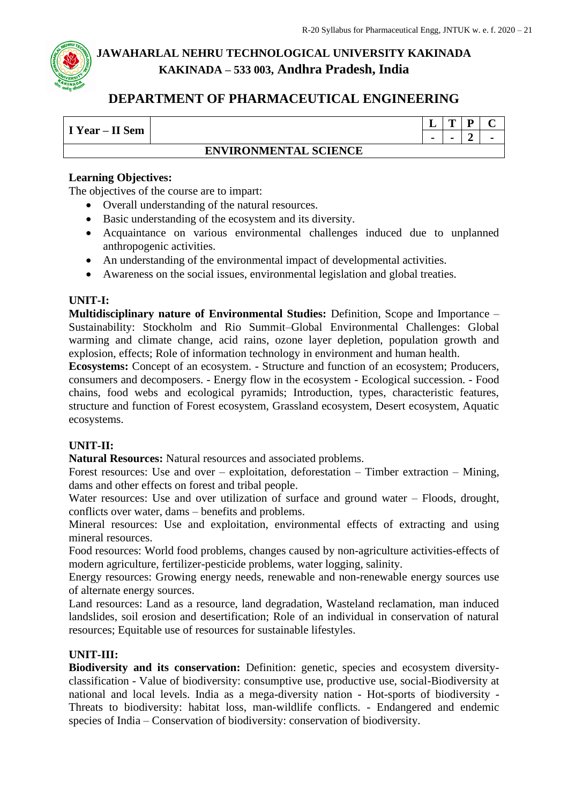

## **DEPARTMENT OF PHARMACEUTICAL ENGINEERING**

|                 |                              | . .            | œ | n | ⌒              |
|-----------------|------------------------------|----------------|---|---|----------------|
| I Year - II Sem |                              | $\blacksquare$ |   |   | $\blacksquare$ |
|                 | <b>ENVIRONMENTAL SCIENCE</b> |                |   |   |                |

#### **Learning Objectives:**

The objectives of the course are to impart:

- Overall understanding of the natural resources.
- Basic understanding of the ecosystem and its diversity.
- Acquaintance on various environmental challenges induced due to unplanned anthropogenic activities.
- An understanding of the environmental impact of developmental activities.
- Awareness on the social issues, environmental legislation and global treaties.

#### **UNIT-I:**

**Multidisciplinary nature of Environmental Studies:** Definition, Scope and Importance – Sustainability: Stockholm and Rio Summit–Global Environmental Challenges: Global warming and climate change, acid rains, ozone layer depletion, population growth and explosion, effects; Role of information technology in environment and human health.

**Ecosystems:** Concept of an ecosystem. - Structure and function of an ecosystem; Producers, consumers and decomposers. - Energy flow in the ecosystem - Ecological succession. - Food chains, food webs and ecological pyramids; Introduction, types, characteristic features, structure and function of Forest ecosystem, Grassland ecosystem, Desert ecosystem, Aquatic ecosystems.

#### **UNIT-II:**

**Natural Resources:** Natural resources and associated problems.

Forest resources: Use and over – exploitation, deforestation – Timber extraction – Mining, dams and other effects on forest and tribal people.

Water resources: Use and over utilization of surface and ground water – Floods, drought, conflicts over water, dams – benefits and problems.

Mineral resources: Use and exploitation, environmental effects of extracting and using mineral resources.

Food resources: World food problems, changes caused by non-agriculture activities-effects of modern agriculture, fertilizer-pesticide problems, water logging, salinity.

Energy resources: Growing energy needs, renewable and non-renewable energy sources use of alternate energy sources.

Land resources: Land as a resource, land degradation, Wasteland reclamation, man induced landslides, soil erosion and desertification; Role of an individual in conservation of natural resources; Equitable use of resources for sustainable lifestyles.

#### **UNIT-III:**

**Biodiversity and its conservation:** Definition: genetic, species and ecosystem diversityclassification - Value of biodiversity: consumptive use, productive use, social-Biodiversity at national and local levels. India as a mega-diversity nation - Hot-sports of biodiversity - Threats to biodiversity: habitat loss, man-wildlife conflicts. - Endangered and endemic species of India – Conservation of biodiversity: conservation of biodiversity.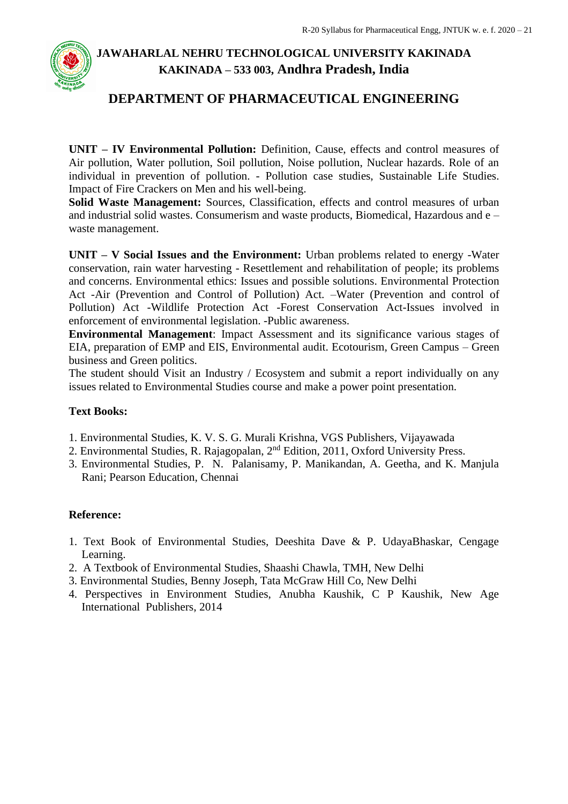

## **DEPARTMENT OF PHARMACEUTICAL ENGINEERING**

**UNIT – IV Environmental Pollution:** Definition, Cause, effects and control measures of Air pollution, Water pollution, Soil pollution, Noise pollution, Nuclear hazards. Role of an individual in prevention of pollution. - Pollution case studies, Sustainable Life Studies. Impact of Fire Crackers on Men and his well-being.

**Solid Waste Management:** Sources, Classification, effects and control measures of urban and industrial solid wastes. Consumerism and waste products, Biomedical, Hazardous and e – waste management.

**UNIT – V Social Issues and the Environment:** Urban problems related to energy -Water conservation, rain water harvesting - Resettlement and rehabilitation of people; its problems and concerns. Environmental ethics: Issues and possible solutions. Environmental Protection Act -Air (Prevention and Control of Pollution) Act. –Water (Prevention and control of Pollution) Act -Wildlife Protection Act -Forest Conservation Act-Issues involved in enforcement of environmental legislation. -Public awareness.

**Environmental Management**: Impact Assessment and its significance various stages of EIA, preparation of EMP and EIS, Environmental audit. Ecotourism, Green Campus – Green business and Green politics.

The student should Visit an Industry / Ecosystem and submit a report individually on any issues related to Environmental Studies course and make a power point presentation.

#### **Text Books:**

- 1. Environmental Studies, K. V. S. G. Murali Krishna, VGS Publishers, Vijayawada
- 2. Environmental Studies, R. Rajagopalan, 2nd Edition, 2011, Oxford University Press.
- 3. Environmental Studies, P. N. Palanisamy, P. Manikandan, A. Geetha, and K. Manjula Rani; Pearson Education, Chennai

#### **Reference:**

- 1. Text Book of Environmental Studies, Deeshita Dave & P. UdayaBhaskar, Cengage Learning.
- 2. A Textbook of Environmental Studies, Shaashi Chawla, TMH, New Delhi
- 3. Environmental Studies, Benny Joseph, Tata McGraw Hill Co, New Delhi
- 4. Perspectives in Environment Studies, Anubha Kaushik, C P Kaushik, New Age International Publishers, 2014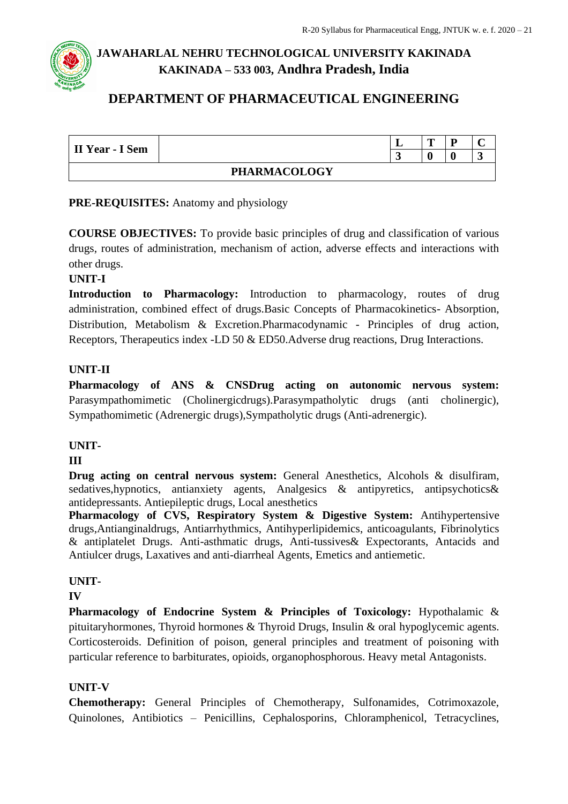## **DEPARTMENT OF PHARMACEUTICAL ENGINEERING**

| II Year - I Sem |                     | m |  |
|-----------------|---------------------|---|--|
|                 |                     |   |  |
|                 | <b>PHARMACOLOGY</b> |   |  |

### **PRE-REQUISITES:** Anatomy and physiology

**COURSE OBJECTIVES:** To provide basic principles of drug and classification of various drugs, routes of administration, mechanism of action, adverse effects and interactions with other drugs.

#### **UNIT-I**

**Introduction to Pharmacology:** Introduction to pharmacology, routes of drug administration, combined effect of drugs.Basic Concepts of Pharmacokinetics- Absorption, Distribution, Metabolism & Excretion.Pharmacodynamic - Principles of drug action, Receptors, Therapeutics index -LD 50 & ED50.Adverse drug reactions, Drug Interactions.

### **UNIT-II**

**Pharmacology of ANS & CNSDrug acting on autonomic nervous system:**  Parasympathomimetic (Cholinergicdrugs).Parasympatholytic drugs (anti cholinergic), Sympathomimetic (Adrenergic drugs),Sympatholytic drugs (Anti-adrenergic).

### **UNIT-**

#### **III**

**Drug acting on central nervous system:** General Anesthetics, Alcohols & disulfiram, sedatives, hypnotics, antianxiety agents, Analgesics & antipyretics, antipsychotics& antidepressants. Antiepileptic drugs, Local anesthetics

**Pharmacology of CVS, Respiratory System & Digestive System:** Antihypertensive drugs,Antianginaldrugs, Antiarrhythmics, Antihyperlipidemics, anticoagulants, Fibrinolytics & antiplatelet Drugs. Anti-asthmatic drugs, Anti-tussives& Expectorants, Antacids and Antiulcer drugs, Laxatives and anti-diarrheal Agents, Emetics and antiemetic.

### **UNIT-**

#### **IV**

**Pharmacology of Endocrine System & Principles of Toxicology:** Hypothalamic & pituitaryhormones, Thyroid hormones & Thyroid Drugs, Insulin & oral hypoglycemic agents. Corticosteroids. Definition of poison, general principles and treatment of poisoning with particular reference to barbiturates, opioids, organophosphorous. Heavy metal Antagonists.

### **UNIT-V**

**Chemotherapy:** General Principles of Chemotherapy, Sulfonamides, Cotrimoxazole, Quinolones, Antibiotics – Penicillins, Cephalosporins, Chloramphenicol, Tetracyclines,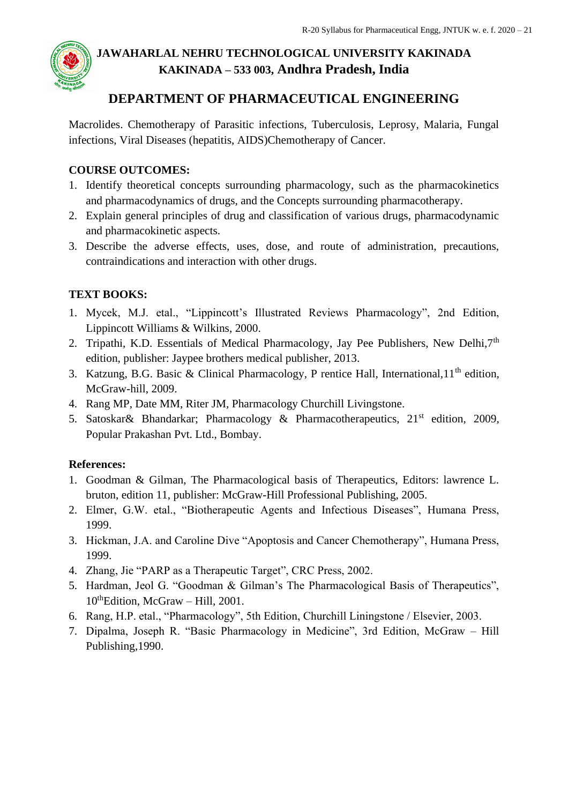

## **DEPARTMENT OF PHARMACEUTICAL ENGINEERING**

Macrolides. Chemotherapy of Parasitic infections, Tuberculosis, Leprosy, Malaria, Fungal infections, Viral Diseases (hepatitis, AIDS)Chemotherapy of Cancer.

### **COURSE OUTCOMES:**

- 1. Identify theoretical concepts surrounding pharmacology, such as the pharmacokinetics and pharmacodynamics of drugs, and the Concepts surrounding pharmacotherapy.
- 2. Explain general principles of drug and classification of various drugs, pharmacodynamic and pharmacokinetic aspects.
- 3. Describe the adverse effects, uses, dose, and route of administration, precautions, contraindications and interaction with other drugs.

### **TEXT BOOKS:**

- 1. Mycek, M.J. etal., "Lippincott's Illustrated Reviews Pharmacology", 2nd Edition, Lippincott Williams & Wilkins, 2000.
- 2. Tripathi, K.D. Essentials of Medical Pharmacology, Jay Pee Publishers, New Delhi,  $7<sup>th</sup>$ edition, publisher: Jaypee brothers medical publisher, 2013.
- 3. Katzung, B.G. Basic & Clinical Pharmacology, P rentice Hall, International,11th edition, McGraw-hill, 2009.
- 4. Rang MP, Date MM, Riter JM, Pharmacology Churchill Livingstone.
- 5. Satoskar& Bhandarkar; Pharmacology & Pharmacotherapeutics, 21st edition, 2009, Popular Prakashan Pvt. Ltd., Bombay.

### **References:**

- 1. Goodman & Gilman, The Pharmacological basis of Therapeutics, Editors: lawrence L. bruton, edition 11, publisher: McGraw-Hill Professional Publishing, 2005.
- 2. Elmer, G.W. etal., "Biotherapeutic Agents and Infectious Diseases", Humana Press, 1999.
- 3. Hickman, J.A. and Caroline Dive "Apoptosis and Cancer Chemotherapy", Humana Press, 1999.
- 4. Zhang, Jie "PARP as a Therapeutic Target", CRC Press, 2002.
- 5. Hardman, Jeol G. "Goodman & Gilman's The Pharmacological Basis of Therapeutics", 10<sup>th</sup>Edition, McGraw – Hill, 2001.
- 6. Rang, H.P. etal., "Pharmacology", 5th Edition, Churchill Liningstone / Elsevier, 2003.
- 7. Dipalma, Joseph R. "Basic Pharmacology in Medicine", 3rd Edition, McGraw Hill Publishing,1990.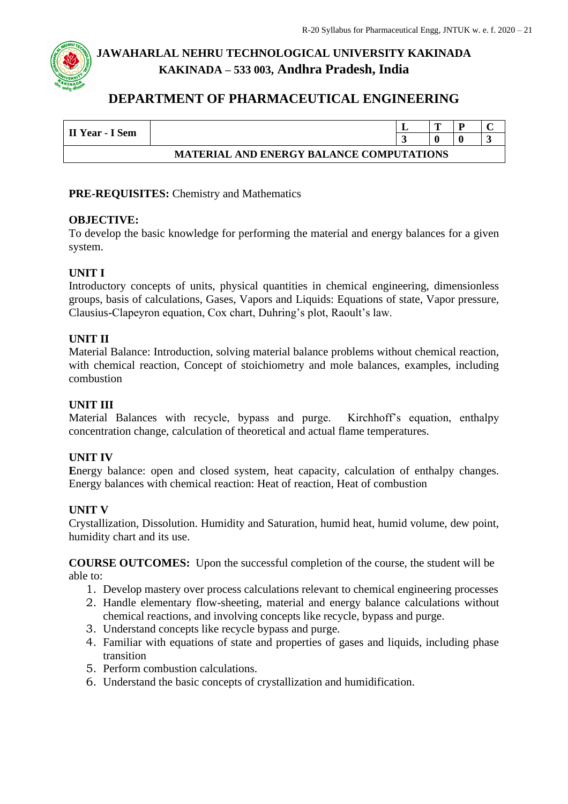## **DEPARTMENT OF PHARMACEUTICAL ENGINEERING**

| II Year - I Sem                                 |  |  | m |  |  |  |  |  |  |
|-------------------------------------------------|--|--|---|--|--|--|--|--|--|
|                                                 |  |  |   |  |  |  |  |  |  |
| <b>MATERIAL AND ENERGY BALANCE COMPUTATIONS</b> |  |  |   |  |  |  |  |  |  |

#### **PRE-REQUISITES:** Chemistry and Mathematics

#### **OBJECTIVE:**

To develop the basic knowledge for performing the material and energy balances for a given system.

#### **UNIT I**

Introductory concepts of units, physical quantities in chemical engineering, dimensionless groups, basis of calculations, Gases, Vapors and Liquids: Equations of state, Vapor pressure, Clausius-Clapeyron equation, Cox chart, Duhring's plot, Raoult's law.

#### **UNIT II**

Material Balance: Introduction, solving material balance problems without chemical reaction, with chemical reaction, Concept of stoichiometry and mole balances, examples, including combustion

#### **UNIT III**

Material Balances with recycle, bypass and purge. Kirchhoff's equation, enthalpy concentration change, calculation of theoretical and actual flame temperatures.

#### **UNIT IV**

Energy balance: open and closed system, heat capacity, calculation of enthalpy changes. Energy balances with chemical reaction: Heat of reaction, Heat of combustion

#### **UNIT V**

Crystallization, Dissolution. Humidity and Saturation, humid heat, humid volume, dew point, humidity chart and its use.

**COURSE OUTCOMES:** Upon the successful completion of the course, the student will be able to:

- 1. Develop mastery over process calculations relevant to chemical engineering processes
- 2. Handle elementary flow-sheeting, material and energy balance calculations without chemical reactions, and involving concepts like recycle, bypass and purge.
- 3. Understand concepts like recycle bypass and purge.
- 4. Familiar with equations of state and properties of gases and liquids, including phase transition
- 5. Perform combustion calculations.
- 6. Understand the basic concepts of crystallization and humidification.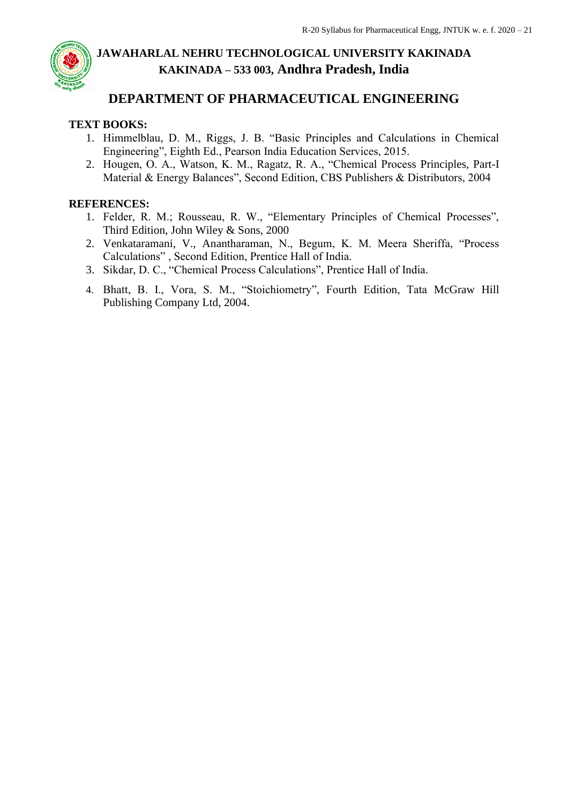## **DEPARTMENT OF PHARMACEUTICAL ENGINEERING**

### **TEXT BOOKS:**

- 1. Himmelblau, D. M., Riggs, J. B. "Basic Principles and Calculations in Chemical Engineering", Eighth Ed., Pearson India Education Services, 2015.
- 2. Hougen, O. A., Watson, K. M., Ragatz, R. A., "Chemical Process Principles, Part-I Material & Energy Balances", Second Edition, CBS Publishers & Distributors, 2004

### **REFERENCES:**

- 1. Felder, R. M.; Rousseau, R. W., "Elementary Principles of Chemical Processes", Third Edition, John Wiley & Sons, 2000
- 2. Venkataramani, V., Anantharaman, N., Begum, K. M. Meera Sheriffa, "Process Calculations" , Second Edition, Prentice Hall of India.
- 3. Sikdar, D. C., "Chemical Process Calculations", Prentice Hall of India.
- 4. Bhatt, B. I., Vora, S. M., "Stoichiometry", Fourth Edition, Tata McGraw Hill Publishing Company Ltd, 2004.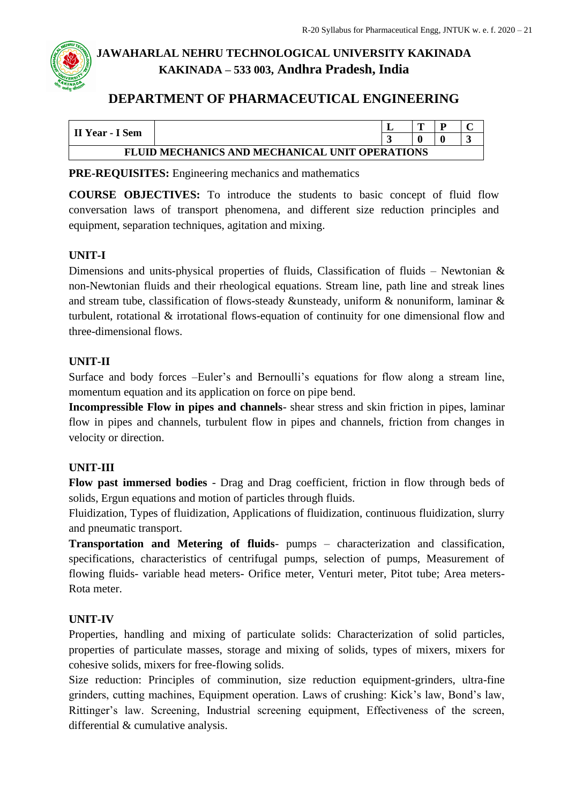## **DEPARTMENT OF PHARMACEUTICAL ENGINEERING**

| II Year - I Sem                                |  |  | m |  |   |  |  |
|------------------------------------------------|--|--|---|--|---|--|--|
|                                                |  |  |   |  | ັ |  |  |
| FLUID MECHANICS AND MECHANICAL UNIT OPERATIONS |  |  |   |  |   |  |  |

**PRE-REQUISITES:** Engineering mechanics and mathematics

**COURSE OBJECTIVES:** To introduce the students to basic concept of fluid flow conversation laws of transport phenomena, and different size reduction principles and equipment, separation techniques, agitation and mixing.

### **UNIT-I**

Dimensions and units-physical properties of fluids, Classification of fluids – Newtonian  $\&$ non-Newtonian fluids and their rheological equations. Stream line, path line and streak lines and stream tube, classification of flows-steady &unsteady, uniform & nonuniform, laminar & turbulent, rotational & irrotational flows-equation of continuity for one dimensional flow and three-dimensional flows.

### **UNIT-II**

Surface and body forces –Euler's and Bernoulli's equations for flow along a stream line, momentum equation and its application on force on pipe bend.

**Incompressible Flow in pipes and channels**- shear stress and skin friction in pipes, laminar flow in pipes and channels, turbulent flow in pipes and channels, friction from changes in velocity or direction.

### **UNIT-III**

**Flow past immersed bodies** - Drag and Drag coefficient, friction in flow through beds of solids, Ergun equations and motion of particles through fluids.

Fluidization, Types of fluidization, Applications of fluidization, continuous fluidization, slurry and pneumatic transport.

**Transportation and Metering of fluids**- pumps – characterization and classification, specifications, characteristics of centrifugal pumps, selection of pumps, Measurement of flowing fluids- variable head meters- Orifice meter, Venturi meter, Pitot tube; Area meters-Rota meter.

### **UNIT-IV**

Properties, handling and mixing of particulate solids: Characterization of solid particles, properties of particulate masses, storage and mixing of solids, types of mixers, mixers for cohesive solids, mixers for free-flowing solids.

Size reduction: Principles of comminution, size reduction equipment-grinders, ultra-fine grinders, cutting machines, Equipment operation. Laws of crushing: Kick's law, Bond's law, Rittinger's law. Screening, Industrial screening equipment, Effectiveness of the screen, differential & cumulative analysis.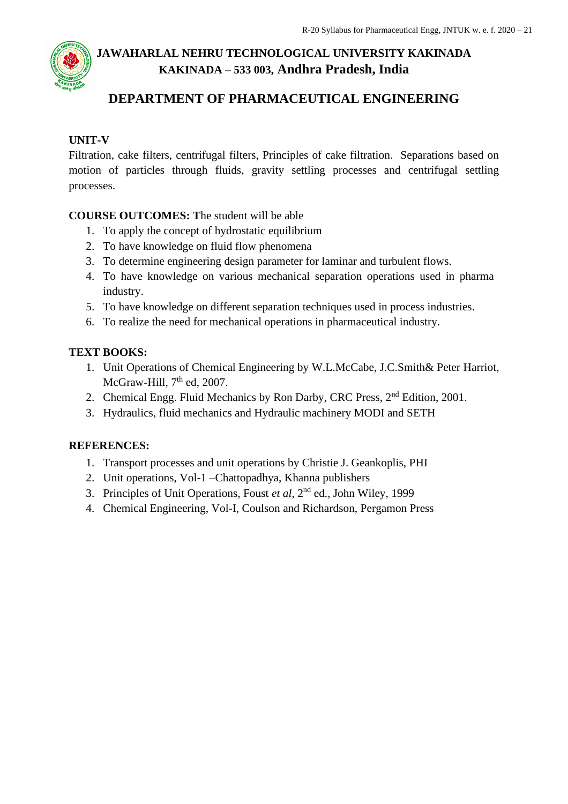## **DEPARTMENT OF PHARMACEUTICAL ENGINEERING**

### **UNIT-V**

Filtration, cake filters, centrifugal filters, Principles of cake filtration. Separations based on motion of particles through fluids, gravity settling processes and centrifugal settling processes.

### **COURSE OUTCOMES: T**he student will be able

- 1. To apply the concept of hydrostatic equilibrium
- 2. To have knowledge on fluid flow phenomena
- 3. To determine engineering design parameter for laminar and turbulent flows.
- 4. To have knowledge on various mechanical separation operations used in pharma industry.
- 5. To have knowledge on different separation techniques used in process industries.
- 6. To realize the need for mechanical operations in pharmaceutical industry.

### **TEXT BOOKS:**

- 1. Unit Operations of Chemical Engineering by W.L.McCabe, J.C.Smith& Peter Harriot, McGraw-Hill,  $7<sup>th</sup>$  ed, 2007.
- 2. Chemical Engg. Fluid Mechanics by Ron Darby, CRC Press, 2nd Edition, 2001.
- 3. Hydraulics, fluid mechanics and Hydraulic machinery MODI and SETH

### **REFERENCES:**

- 1. Transport processes and unit operations by Christie J. Geankoplis, PHI
- 2. Unit operations, Vol-1 –Chattopadhya, Khanna publishers
- 3. Principles of Unit Operations, Foust *et al*, 2nd ed., John Wiley, 1999
- 4. Chemical Engineering, Vol-I, Coulson and Richardson, Pergamon Press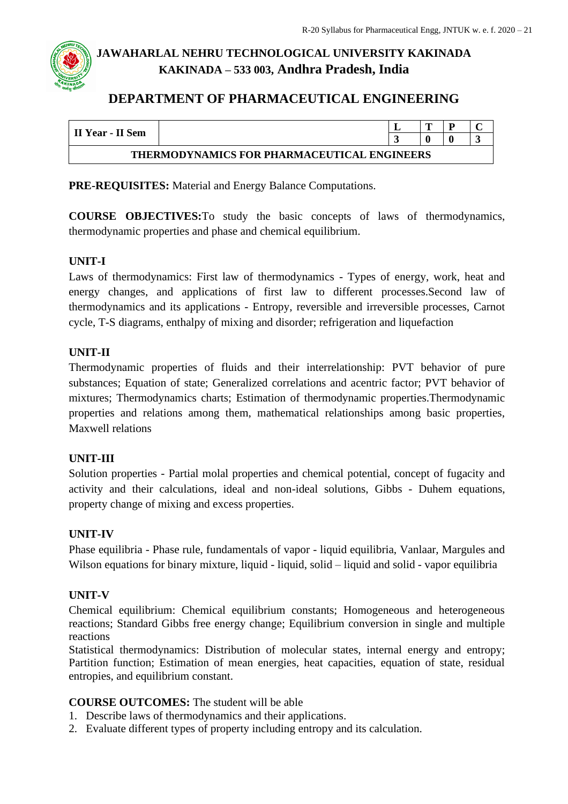## **DEPARTMENT OF PHARMACEUTICAL ENGINEERING**

| II Year - II Sem                            |  |  |  |  |  |  |  |  |
|---------------------------------------------|--|--|--|--|--|--|--|--|
| THERMODYNAMICS FOR PHARMACEUTICAL ENGINEERS |  |  |  |  |  |  |  |  |

**PRE-REQUISITES:** Material and Energy Balance Computations.

**COURSE OBJECTIVES:**To study the basic concepts of laws of thermodynamics, thermodynamic properties and phase and chemical equilibrium.

#### **UNIT-I**

Laws of thermodynamics: First law of thermodynamics - Types of energy, work, heat and energy changes, and applications of first law to different processes.Second law of thermodynamics and its applications - Entropy, reversible and irreversible processes, Carnot cycle, T-S diagrams, enthalpy of mixing and disorder; refrigeration and liquefaction

#### **UNIT-II**

Thermodynamic properties of fluids and their interrelationship: PVT behavior of pure substances; Equation of state; Generalized correlations and acentric factor; PVT behavior of mixtures; Thermodynamics charts; Estimation of thermodynamic properties.Thermodynamic properties and relations among them, mathematical relationships among basic properties, Maxwell relations

#### **UNIT-III**

Solution properties - Partial molal properties and chemical potential, concept of fugacity and activity and their calculations, ideal and non-ideal solutions, Gibbs - Duhem equations, property change of mixing and excess properties.

#### **UNIT-IV**

Phase equilibria - Phase rule, fundamentals of vapor - liquid equilibria, Vanlaar, Margules and Wilson equations for binary mixture, liquid - liquid, solid – liquid and solid - vapor equilibria

#### **UNIT-V**

Chemical equilibrium: Chemical equilibrium constants; Homogeneous and heterogeneous reactions; Standard Gibbs free energy change; Equilibrium conversion in single and multiple reactions

Statistical thermodynamics: Distribution of molecular states, internal energy and entropy; Partition function; Estimation of mean energies, heat capacities, equation of state, residual entropies, and equilibrium constant.

#### **COURSE OUTCOMES:** The student will be able

- 1. Describe laws of thermodynamics and their applications.
- 2. Evaluate different types of property including entropy and its calculation.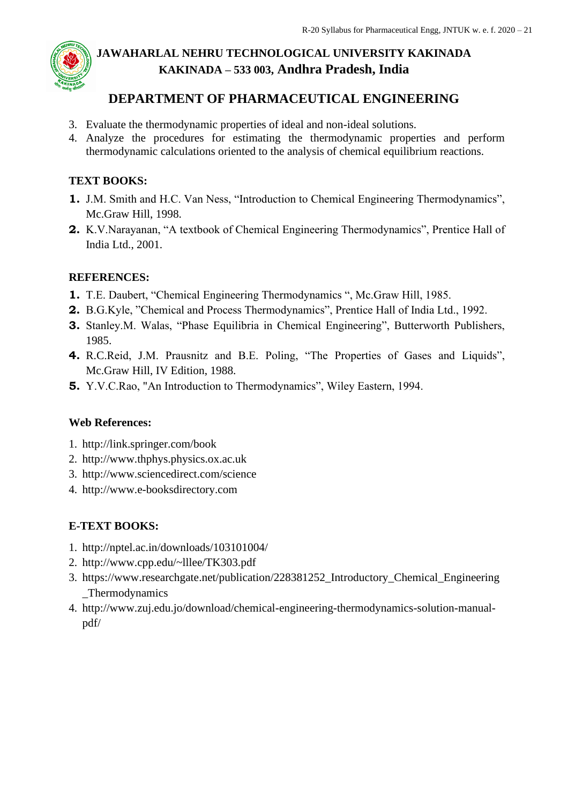

## **DEPARTMENT OF PHARMACEUTICAL ENGINEERING**

- 3. Evaluate the thermodynamic properties of ideal and non-ideal solutions.
- 4. Analyze the procedures for estimating the thermodynamic properties and perform thermodynamic calculations oriented to the analysis of chemical equilibrium reactions.

#### **TEXT BOOKS:**

- **1.** J.M. Smith and H.C. Van Ness, "Introduction to Chemical Engineering Thermodynamics", Mc.Graw Hill, 1998.
- **2.** K.V.Narayanan, "A textbook of Chemical Engineering Thermodynamics", Prentice Hall of India Ltd., 2001.

#### **REFERENCES:**

- **1.** T.E. Daubert, "Chemical Engineering Thermodynamics ", Mc.Graw Hill, 1985.
- **2.** B.G.Kyle, "Chemical and Process Thermodynamics", Prentice Hall of India Ltd., 1992.
- **3.** Stanley.M. Walas, "Phase Equilibria in Chemical Engineering", Butterworth Publishers, 1985.
- **4.** R.C.Reid, J.M. Prausnitz and B.E. Poling, "The Properties of Gases and Liquids", Mc.Graw Hill, IV Edition, 1988.
- **5.** Y.V.C.Rao, "An Introduction to Thermodynamics", Wiley Eastern, 1994.

#### **Web References:**

- 1. http://link.springer.com/book
- 2. http://www.thphys.physics.ox.ac.uk
- 3. http://www.sciencedirect.com/science
- 4. http://www.e-booksdirectory.com

#### **E-TEXT BOOKS:**

- 1. http://nptel.ac.in/downloads/103101004/
- 2. <http://www.cpp.edu/~lllee/TK303.pdf>
- 3. [https://www.researchgate.net/publication/228381252\\_Introductory\\_Chemical\\_Engineering](https://www.researchgate.net/publication/228381252_Introductory_Chemical_Engineering_Thermodynamics) [\\_Thermodynamics](https://www.researchgate.net/publication/228381252_Introductory_Chemical_Engineering_Thermodynamics)
- 4. http://www.zuj.edu.jo/download/chemical-engineering-thermodynamics-solution-manualpdf/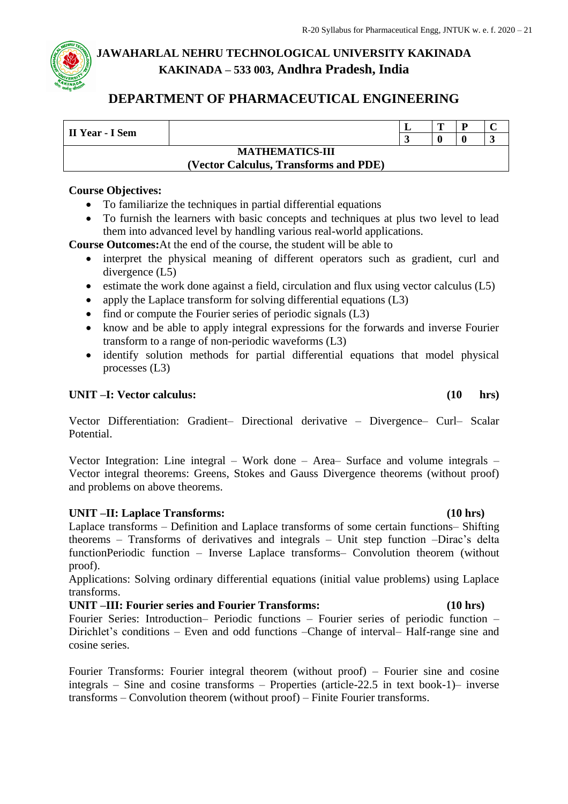## **DEPARTMENT OF PHARMACEUTICAL ENGINEERING**

| II Year - I Sem | m                                     | $\sqrt{ }$ |  |
|-----------------|---------------------------------------|------------|--|
|                 |                                       |            |  |
|                 | <b>MATHEMATICS-III</b>                |            |  |
|                 | (Vector Calculus, Transforms and PDE) |            |  |

#### **Course Objectives:**

- To familiarize the techniques in partial differential equations
- To furnish the learners with basic concepts and techniques at plus two level to lead them into advanced level by handling various real-world applications.

**Course Outcomes:**At the end of the course, the student will be able to

- interpret the physical meaning of different operators such as gradient, curl and divergence (L5)
- estimate the work done against a field, circulation and flux using vector calculus (L5)
- apply the Laplace transform for solving differential equations (L3)
- find or compute the Fourier series of periodic signals (L3)
- know and be able to apply integral expressions for the forwards and inverse Fourier transform to a range of non-periodic waveforms (L3)
- identify solution methods for partial differential equations that model physical processes (L3)

#### **UNIT –I: Vector calculus: (10 hrs)**

Vector Differentiation: Gradient– Directional derivative – Divergence– Curl– Scalar Potential.

Vector Integration: Line integral – Work done – Area– Surface and volume integrals – Vector integral theorems: Greens, Stokes and Gauss Divergence theorems (without proof) and problems on above theorems.

#### **UNIT –II: Laplace Transforms: (10 hrs)**

Laplace transforms – Definition and Laplace transforms of some certain functions– Shifting theorems – Transforms of derivatives and integrals – Unit step function –Dirac's delta functionPeriodic function – Inverse Laplace transforms– Convolution theorem (without proof).

Applications: Solving ordinary differential equations (initial value problems) using Laplace transforms.

**UNIT –III: Fourier series and Fourier Transforms: (10 hrs)** Fourier Series: Introduction– Periodic functions – Fourier series of periodic function – Dirichlet's conditions – Even and odd functions –Change of interval– Half-range sine and cosine series.

Fourier Transforms: Fourier integral theorem (without proof) – Fourier sine and cosine integrals – Sine and cosine transforms – Properties (article-22.5 in text book-1)– inverse transforms – Convolution theorem (without proof) – Finite Fourier transforms.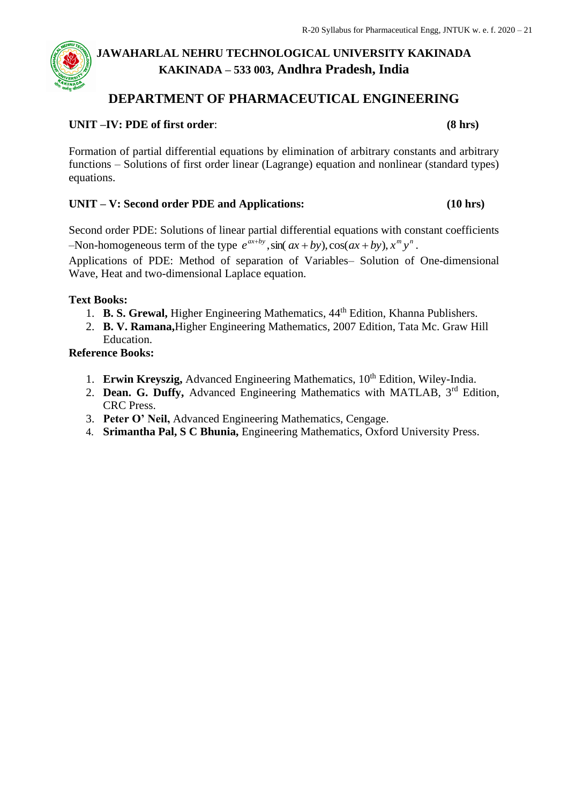## **DEPARTMENT OF PHARMACEUTICAL ENGINEERING**

#### **UNIT –IV: PDE of first order**: **(8 hrs)**

Formation of partial differential equations by elimination of arbitrary constants and arbitrary functions – Solutions of first order linear (Lagrange) equation and nonlinear (standard types) equations.

#### **UNIT – V: Second order PDE and Applications: (10 hrs)**

Second order PDE: Solutions of linear partial differential equations with constant coefficients  $-\text{Non-homogeneous term of the type } e^{ax+by}, \sin(ax+by), \cos(ax+by), x^m y^n.$ 

Applications of PDE: Method of separation of Variables– Solution of One-dimensional Wave, Heat and two-dimensional Laplace equation.

#### **Text Books:**

- 1. **B. S. Grewal,** Higher Engineering Mathematics, 44th Edition, Khanna Publishers.
- 2. **B. V. Ramana,**Higher Engineering Mathematics, 2007 Edition, Tata Mc. Graw Hill Education.

#### **Reference Books:**

- 1. **Erwin Kreyszig,** Advanced Engineering Mathematics, 10<sup>th</sup> Edition, Wiley-India.
- 2. **Dean. G. Duffy,** Advanced Engineering Mathematics with MATLAB, 3rd Edition, CRC Press.
- 3. **Peter O' Neil,** Advanced Engineering Mathematics, Cengage.
- 4. **Srimantha Pal, S C Bhunia,** Engineering Mathematics, Oxford University Press.

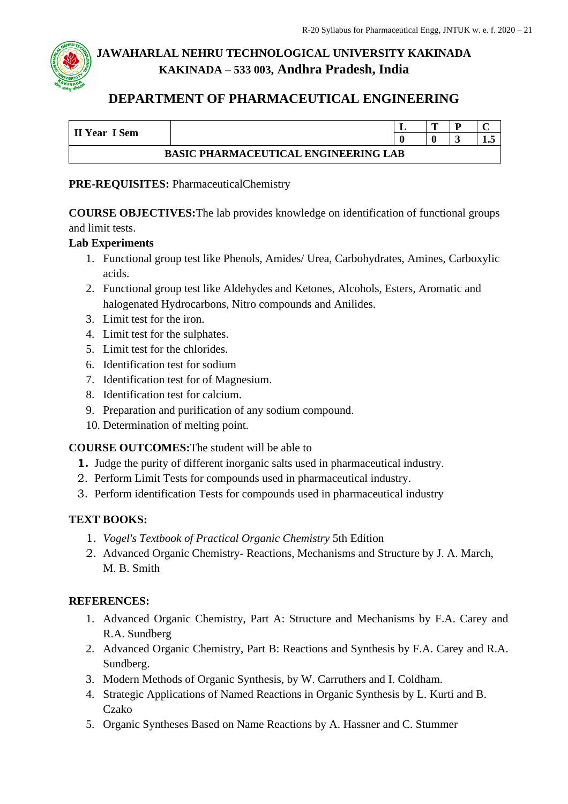## **DEPARTMENT OF PHARMACEUTICAL ENGINEERING**

|                                             |  |  | m |  | ⌒   |  |  |  |
|---------------------------------------------|--|--|---|--|-----|--|--|--|
| II Year I Sem                               |  |  |   |  | 1.J |  |  |  |
| <b>BASIC PHARMACEUTICAL ENGINEERING LAB</b> |  |  |   |  |     |  |  |  |

#### **PRE-REQUISITES:** PharmaceuticalChemistry

**COURSE OBJECTIVES:**The lab provides knowledge on identification of functional groups and limit tests.

#### **Lab Experiments**

- 1. Functional group test like Phenols, Amides/ Urea, Carbohydrates, Amines, Carboxylic acids.
- 2. Functional group test like Aldehydes and Ketones, Alcohols, Esters, Aromatic and halogenated Hydrocarbons, Nitro compounds and Anilides.
- 3. Limit test for the iron.
- 4. Limit test for the sulphates.
- 5. Limit test for the chlorides.
- 6. Identification test for sodium
- 7. Identification test for of Magnesium.
- 8. Identification test for calcium.
- 9. Preparation and purification of any sodium compound.
- 10. Determination of melting point.

#### **COURSE OUTCOMES:**The student will be able to

- **1.** Judge the purity of different inorganic salts used in pharmaceutical industry.
- 2. Perform Limit Tests for compounds used in pharmaceutical industry.
- 3. Perform identification Tests for compounds used in pharmaceutical industry

### **TEXT BOOKS:**

- 1. *Vogel's Textbook of Practical Organic Chemistry* 5th Edition
- 2. Advanced Organic Chemistry- Reactions, Mechanisms and Structure by J. A. March, M. B. Smith

#### **REFERENCES:**

- 1. Advanced Organic Chemistry, Part A: Structure and Mechanisms by F.A. Carey and R.A. Sundberg
- 2. Advanced Organic Chemistry, Part B: Reactions and Synthesis by F.A. Carey and R.A. Sundberg.
- 3. Modern Methods of Organic Synthesis, by W. Carruthers and I. Coldham.
- 4. Strategic Applications of Named Reactions in Organic Synthesis by L. Kurti and B. Czako
- 5. Organic Syntheses Based on Name Reactions by A. Hassner and C. Stummer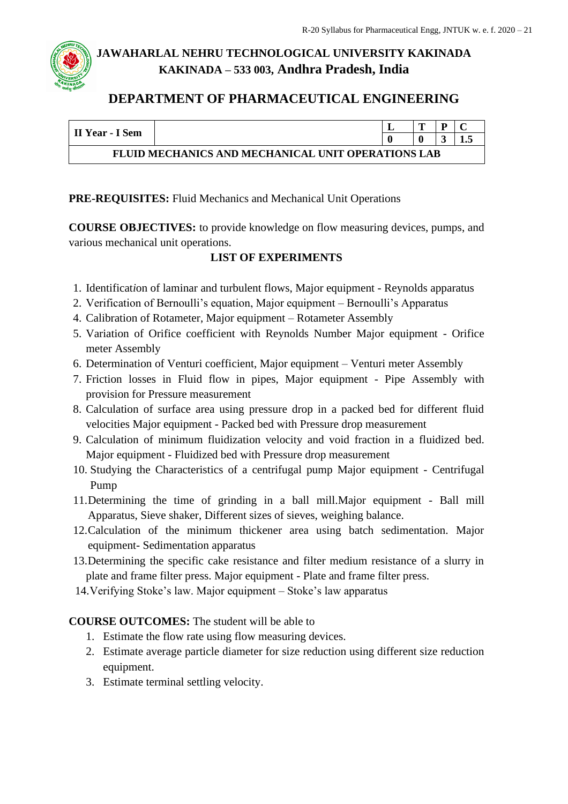

## **DEPARTMENT OF PHARMACEUTICAL ENGINEERING**

| II Year - I Sem                                           |  |  |  |  |  |  |  |  |  |  |
|-----------------------------------------------------------|--|--|--|--|--|--|--|--|--|--|
|                                                           |  |  |  |  |  |  |  |  |  |  |
| <b>FLUID MECHANICS AND MECHANICAL UNIT OPERATIONS LAB</b> |  |  |  |  |  |  |  |  |  |  |

#### **PRE-REQUISITES:** Fluid Mechanics and Mechanical Unit Operations

**COURSE OBJECTIVES:** to provide knowledge on flow measuring devices, pumps, and various mechanical unit operations.

#### **LIST OF EXPERIMENTS**

- 1. Identificat*i*on of laminar and turbulent flows, Major equipment Reynolds apparatus
- 2. Verification of Bernoulli's equation, Major equipment Bernoulli's Apparatus
- 4. Calibration of Rotameter, Major equipment Rotameter Assembly
- 5. Variation of Orifice coefficient with Reynolds Number Major equipment Orifice meter Assembly
- 6. Determination of Venturi coefficient, Major equipment Venturi meter Assembly
- 7. Friction losses in Fluid flow in pipes, Major equipment Pipe Assembly with provision for Pressure measurement
- 8. Calculation of surface area using pressure drop in a packed bed for different fluid velocities Major equipment - Packed bed with Pressure drop measurement
- 9. Calculation of minimum fluidization velocity and void fraction in a fluidized bed. Major equipment - Fluidized bed with Pressure drop measurement
- 10. Studying the Characteristics of a centrifugal pump Major equipment Centrifugal Pump
- 11.Determining the time of grinding in a ball mill.Major equipment Ball mill Apparatus, Sieve shaker, Different sizes of sieves, weighing balance.
- 12.Calculation of the minimum thickener area using batch sedimentation. Major equipment- Sedimentation apparatus
- 13.Determining the specific cake resistance and filter medium resistance of a slurry in plate and frame filter press. Major equipment - Plate and frame filter press.
- 14.Verifying Stoke's law. Major equipment Stoke's law apparatus

### **COURSE OUTCOMES:** The student will be able to

- 1. Estimate the flow rate using flow measuring devices.
- 2. Estimate average particle diameter for size reduction using different size reduction equipment.
- 3. Estimate terminal settling velocity.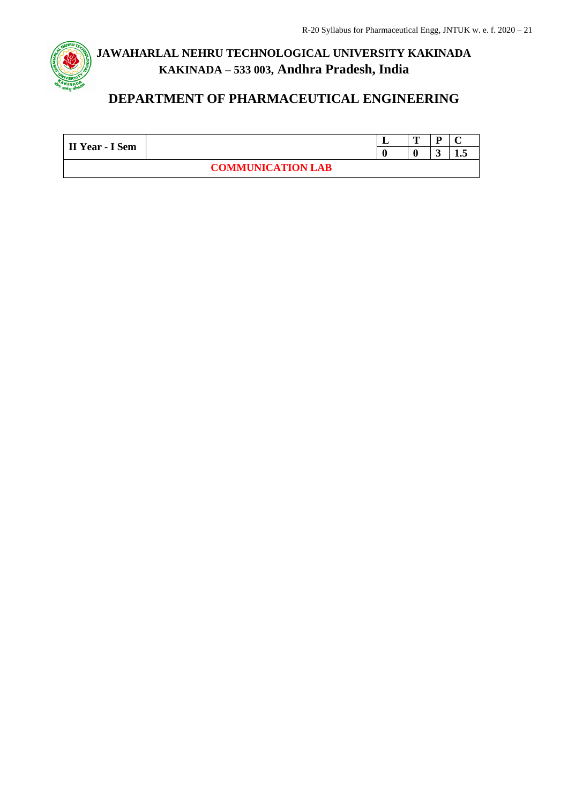

# **DEPARTMENT OF PHARMACEUTICAL ENGINEERING**

| II Year - I Sem |                          | $\blacksquare$ | D |     |
|-----------------|--------------------------|----------------|---|-----|
|                 |                          |                |   | ⊥•◡ |
|                 | <b>COMMUNICATION LAB</b> |                |   |     |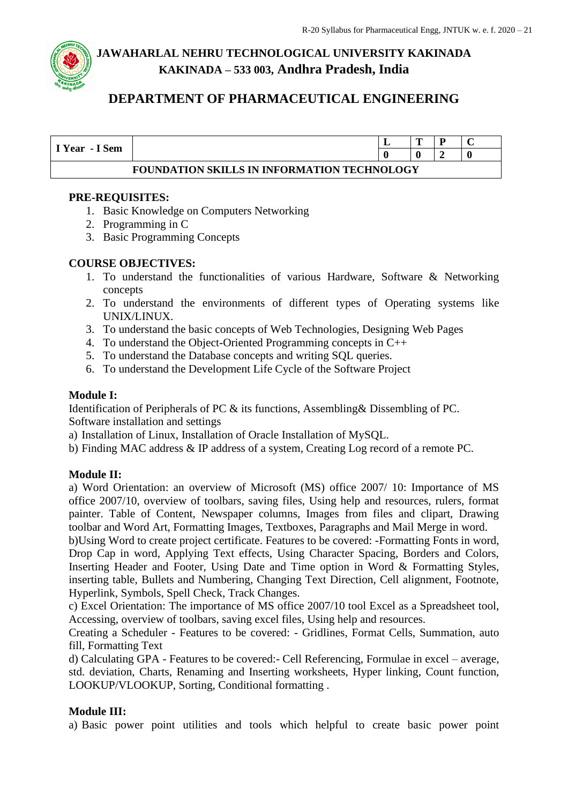

## **DEPARTMENT OF PHARMACEUTICAL ENGINEERING**

| I Year - I Sem                              |  |  | m |  |  |  |  |  |  |
|---------------------------------------------|--|--|---|--|--|--|--|--|--|
|                                             |  |  |   |  |  |  |  |  |  |
| FOUNDATION SKILLS IN INFORMATION TECHNOLOGY |  |  |   |  |  |  |  |  |  |

#### **PRE-REQUISITES:**

- 1. Basic Knowledge on Computers Networking
- 2. Programming in C
- 3. Basic Programming Concepts

#### **COURSE OBJECTIVES:**

- 1. To understand the functionalities of various Hardware, Software & Networking concepts
- 2. To understand the environments of different types of Operating systems like UNIX/LINUX.
- 3. To understand the basic concepts of Web Technologies, Designing Web Pages
- 4. To understand the Object-Oriented Programming concepts in C++
- 5. To understand the Database concepts and writing SQL queries.
- 6. To understand the Development Life Cycle of the Software Project

#### **Module I:**

Identification of Peripherals of PC & its functions, Assembling& Dissembling of PC. Software installation and settings

- a) Installation of Linux, Installation of Oracle Installation of MySQL.
- b) Finding MAC address & IP address of a system, Creating Log record of a remote PC.

#### **Module II:**

a) Word Orientation: an overview of Microsoft (MS) office 2007/ 10: Importance of MS office 2007/10, overview of toolbars, saving files, Using help and resources, rulers, format painter. Table of Content, Newspaper columns, Images from files and clipart, Drawing toolbar and Word Art, Formatting Images, Textboxes, Paragraphs and Mail Merge in word.

b)Using Word to create project certificate. Features to be covered: -Formatting Fonts in word, Drop Cap in word, Applying Text effects, Using Character Spacing, Borders and Colors, Inserting Header and Footer, Using Date and Time option in Word & Formatting Styles, inserting table, Bullets and Numbering, Changing Text Direction, Cell alignment, Footnote, Hyperlink, Symbols, Spell Check, Track Changes.

c) Excel Orientation: The importance of MS office 2007/10 tool Excel as a Spreadsheet tool, Accessing, overview of toolbars, saving excel files, Using help and resources.

Creating a Scheduler - Features to be covered: - Gridlines, Format Cells, Summation, auto fill, Formatting Text

d) Calculating GPA - Features to be covered:- Cell Referencing, Formulae in excel – average, std. deviation, Charts, Renaming and Inserting worksheets, Hyper linking, Count function, LOOKUP/VLOOKUP, Sorting, Conditional formatting .

#### **Module III:**

a) Basic power point utilities and tools which helpful to create basic power point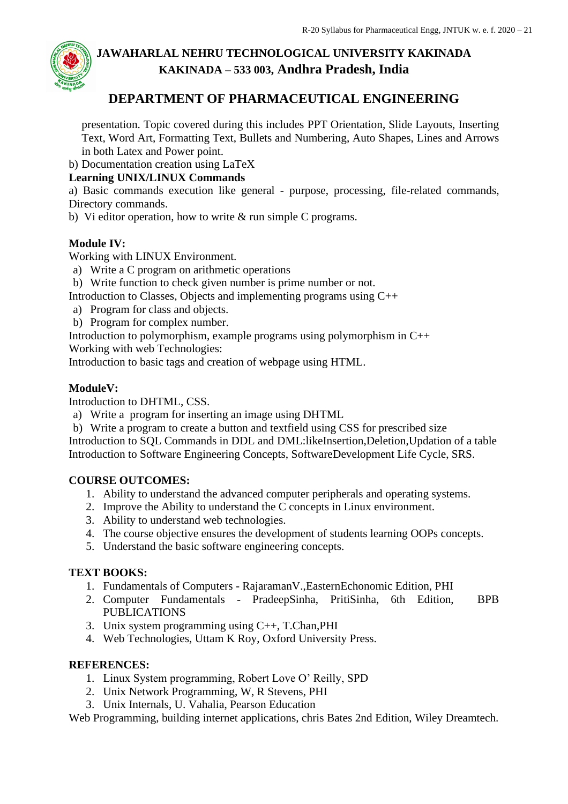

## **DEPARTMENT OF PHARMACEUTICAL ENGINEERING**

presentation. Topic covered during this includes PPT Orientation, Slide Layouts, Inserting Text, Word Art, Formatting Text, Bullets and Numbering, Auto Shapes, Lines and Arrows in both Latex and Power point.

b) Documentation creation using LaTeX

#### **Learning UNIX/LINUX Commands**

a) Basic commands execution like general - purpose, processing, file-related commands, Directory commands.

b) Vi editor operation, how to write & run simple C programs.

#### **Module IV:**

Working with LINUX Environment.

- a) Write a C program on arithmetic operations
- b) Write function to check given number is prime number or not.
- Introduction to Classes, Objects and implementing programs using C++
- a) Program for class and objects.
- b) Program for complex number.

Introduction to polymorphism, example programs using polymorphism in C++

Working with web Technologies:

Introduction to basic tags and creation of webpage using HTML.

#### **ModuleV:**

Introduction to DHTML, CSS.

- a) Write a program for inserting an image using DHTML
- b) Write a program to create a button and textfield using CSS for prescribed size

Introduction to SQL Commands in DDL and DML:likeInsertion,Deletion,Updation of a table Introduction to Software Engineering Concepts, SoftwareDevelopment Life Cycle, SRS.

#### **COURSE OUTCOMES:**

- 1. Ability to understand the advanced computer peripherals and operating systems.
- 2. Improve the Ability to understand the C concepts in Linux environment.
- 3. Ability to understand web technologies.
- 4. The course objective ensures the development of students learning OOPs concepts.
- 5. Understand the basic software engineering concepts.

#### **TEXT BOOKS:**

- 1. Fundamentals of Computers RajaramanV.,EasternEchonomic Edition, PHI
- 2. Computer Fundamentals PradeepSinha, PritiSinha, 6th Edition, BPB PUBLICATIONS
- 3. Unix system programming using C++, T.Chan,PHI
- 4. Web Technologies, Uttam K Roy, Oxford University Press.

#### **REFERENCES:**

- 1. Linux System programming, Robert Love O' Reilly, SPD
- 2. Unix Network Programming, W, R Stevens, PHI
- 3. Unix Internals, U. Vahalia, Pearson Education

Web Programming, building internet applications, chris Bates 2nd Edition, Wiley Dreamtech.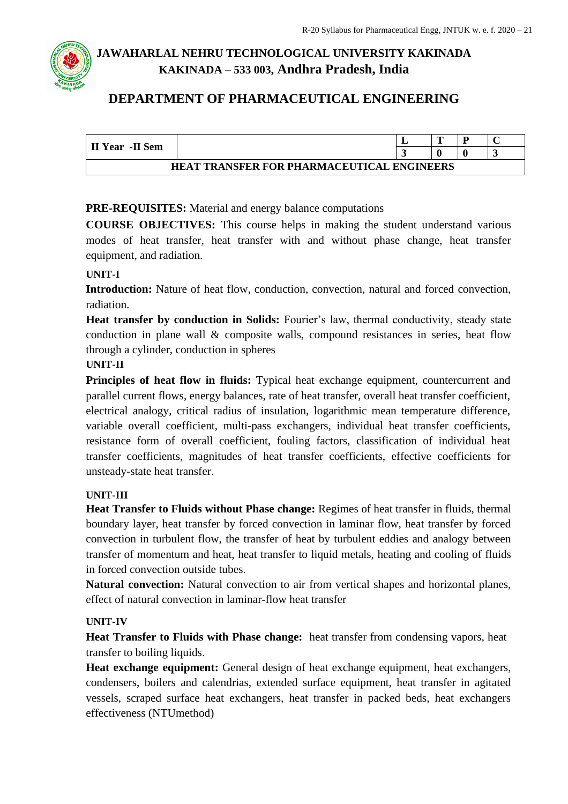## **DEPARTMENT OF PHARMACEUTICAL ENGINEERING**

| II Year -II Sem                                   |  |  | m |  |  |  |  |  |  |
|---------------------------------------------------|--|--|---|--|--|--|--|--|--|
|                                                   |  |  |   |  |  |  |  |  |  |
| <b>HEAT TRANSFER FOR PHARMACEUTICAL ENGINEERS</b> |  |  |   |  |  |  |  |  |  |

#### **PRE-REQUISITES:** Material and energy balance computations

**COURSE OBJECTIVES:** This course helps in making the student understand various modes of heat transfer, heat transfer with and without phase change, heat transfer equipment, and radiation.

#### **UNIT-I**

**Introduction:** Nature of heat flow, conduction, convection, natural and forced convection, radiation.

**Heat transfer by conduction in Solids:** Fourier's law, thermal conductivity, steady state conduction in plane wall & composite walls, compound resistances in series, heat flow through a cylinder, conduction in spheres

#### **UNIT-II**

**Principles of heat flow in fluids:** Typical heat exchange equipment, countercurrent and parallel current flows, energy balances, rate of heat transfer, overall heat transfer coefficient, electrical analogy, critical radius of insulation, logarithmic mean temperature difference, variable overall coefficient, multi-pass exchangers, individual heat transfer coefficients, resistance form of overall coefficient, fouling factors, classification of individual heat transfer coefficients, magnitudes of heat transfer coefficients, effective coefficients for unsteady-state heat transfer.

#### **UNIT-III**

**Heat Transfer to Fluids without Phase change:** Regimes of heat transfer in fluids, thermal boundary layer, heat transfer by forced convection in laminar flow, heat transfer by forced convection in turbulent flow, the transfer of heat by turbulent eddies and analogy between transfer of momentum and heat, heat transfer to liquid metals, heating and cooling of fluids in forced convection outside tubes.

**Natural convection:** Natural convection to air from vertical shapes and horizontal planes, effect of natural convection in laminar-flow heat transfer

#### **UNIT-IV**

**Heat Transfer to Fluids with Phase change:** heat transfer from condensing vapors, heat transfer to boiling liquids.

**Heat exchange equipment:** General design of heat exchange equipment, heat exchangers, condensers, boilers and calendrias, extended surface equipment, heat transfer in agitated vessels, scraped surface heat exchangers, heat transfer in packed beds, heat exchangers effectiveness (NTUmethod)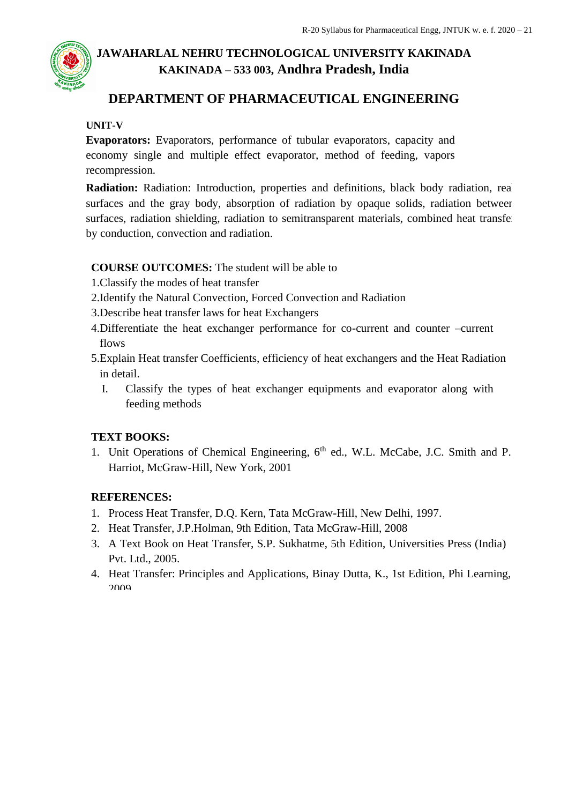## **DEPARTMENT OF PHARMACEUTICAL ENGINEERING**

#### **UNIT-V**

**Evaporators:** Evaporators, performance of tubular evaporators, capacity and economy single and multiple effect evaporator, method of feeding, vapors recompression.

**Radiation:** Radiation: Introduction, properties and definitions, black body radiation, real surfaces and the gray body, absorption of radiation by opaque solids, radiation between surfaces, radiation shielding, radiation to semitransparent materials, combined heat transferences by conduction, convection and radiation.

#### **COURSE OUTCOMES:** The student will be able to

- 1.Classify the modes of heat transfer
- 2.Identify the Natural Convection, Forced Convection and Radiation
- 3.Describe heat transfer laws for heat Exchangers
- 4.Differentiate the heat exchanger performance for co-current and counter –current flows
- 5.Explain Heat transfer Coefficients, efficiency of heat exchangers and the Heat Radiation in detail.
	- I. Classify the types of heat exchanger equipments and evaporator along with feeding methods

### **TEXT BOOKS:**

1. Unit Operations of Chemical Engineering, 6<sup>th</sup> ed., W.L. McCabe, J.C. Smith and P. Harriot, McGraw-Hill, New York, 2001

### **REFERENCES:**

- 1. Process Heat Transfer, D.Q. Kern, Tata McGraw-Hill, New Delhi, 1997.
- 2. Heat Transfer, J.P.Holman, 9th Edition, Tata McGraw-Hill, 2008
- 3. A Text Book on Heat Transfer, S.P. Sukhatme, 5th Edition, Universities Press (India) Pvt. Ltd., 2005.
- 4. Heat Transfer: Principles and Applications, Binay Dutta, K., 1st Edition, Phi Learning,  $2000$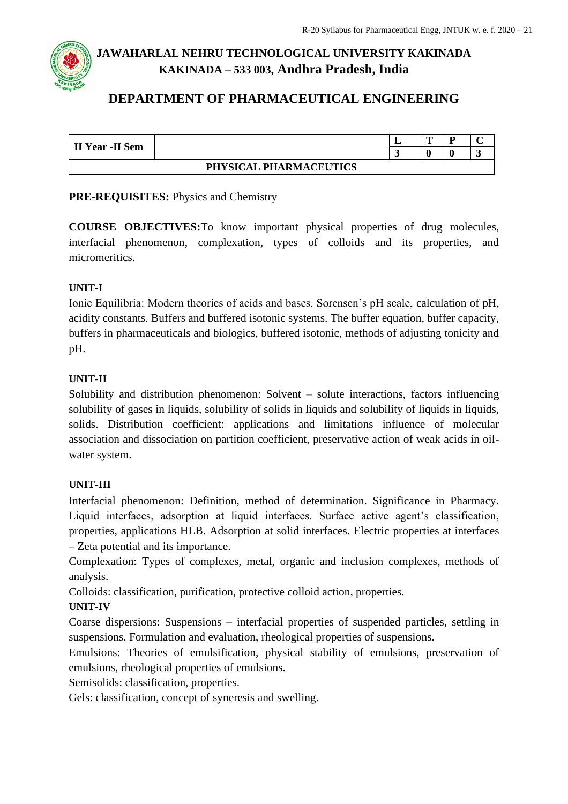## **DEPARTMENT OF PHARMACEUTICAL ENGINEERING**

| <b>II Year - II Sem</b> |                        | ┻ | m |  |
|-------------------------|------------------------|---|---|--|
|                         |                        |   |   |  |
|                         | PHYSICAL PHARMACEUTICS |   |   |  |

#### **PRE-REQUISITES:** Physics and Chemistry

**COURSE OBJECTIVES:**To know important physical properties of drug molecules, interfacial phenomenon, complexation, types of colloids and its properties, and micromeritics.

#### **UNIT-I**

Ionic Equilibria: Modern theories of acids and bases. Sorensen's pH scale, calculation of pH, acidity constants. Buffers and buffered isotonic systems. The buffer equation, buffer capacity, buffers in pharmaceuticals and biologics, buffered isotonic, methods of adjusting tonicity and pH.

#### **UNIT-II**

Solubility and distribution phenomenon: Solvent – solute interactions, factors influencing solubility of gases in liquids, solubility of solids in liquids and solubility of liquids in liquids, solids. Distribution coefficient: applications and limitations influence of molecular association and dissociation on partition coefficient, preservative action of weak acids in oilwater system.

#### **UNIT-III**

Interfacial phenomenon: Definition, method of determination. Significance in Pharmacy. Liquid interfaces, adsorption at liquid interfaces. Surface active agent's classification, properties, applications HLB. Adsorption at solid interfaces. Electric properties at interfaces – Zeta potential and its importance.

Complexation: Types of complexes, metal, organic and inclusion complexes, methods of analysis.

Colloids: classification, purification, protective colloid action, properties.

#### **UNIT-IV**

Coarse dispersions: Suspensions – interfacial properties of suspended particles, settling in suspensions. Formulation and evaluation, rheological properties of suspensions.

Emulsions: Theories of emulsification, physical stability of emulsions, preservation of emulsions, rheological properties of emulsions.

Semisolids: classification, properties.

Gels: classification, concept of syneresis and swelling.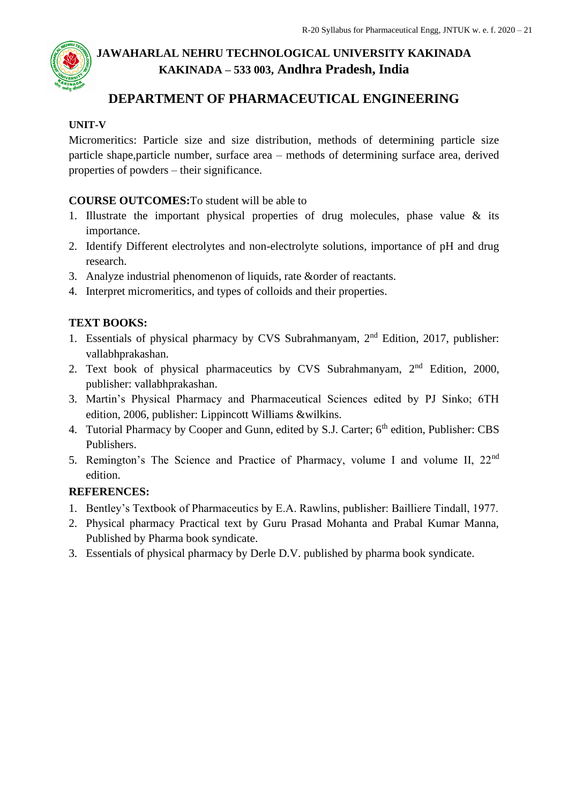

## **DEPARTMENT OF PHARMACEUTICAL ENGINEERING**

#### **UNIT-V**

Micromeritics: Particle size and size distribution, methods of determining particle size particle shape,particle number, surface area – methods of determining surface area, derived properties of powders – their significance.

#### **COURSE OUTCOMES:**To student will be able to

- 1. Illustrate the important physical properties of drug molecules, phase value & its importance.
- 2. Identify Different electrolytes and non-electrolyte solutions, importance of pH and drug research.
- 3. Analyze industrial phenomenon of liquids, rate &order of reactants.
- 4. Interpret micromeritics, and types of colloids and their properties.

#### **TEXT BOOKS:**

- 1. Essentials of physical pharmacy by CVS Subrahmanyam, 2nd Edition, 2017, publisher: vallabhprakashan.
- 2. Text book of physical pharmaceutics by CVS Subrahmanyam, 2nd Edition, 2000, publisher: vallabhprakashan.
- 3. Martin's Physical Pharmacy and Pharmaceutical Sciences edited by PJ Sinko; 6TH edition, 2006, publisher: Lippincott Williams &wilkins.
- 4. Tutorial Pharmacy by Cooper and Gunn, edited by S.J. Carter; 6<sup>th</sup> edition, Publisher: CBS Publishers.
- 5. Remington's The Science and Practice of Pharmacy, volume I and volume II, 22nd edition.

### **REFERENCES:**

- 1. Bentley's Textbook of Pharmaceutics by E.A. Rawlins, publisher: Bailliere Tindall, 1977.
- 2. Physical pharmacy Practical text by Guru Prasad Mohanta and Prabal Kumar Manna, Published by Pharma book syndicate.
- 3. Essentials of physical pharmacy by Derle D.V. published by pharma book syndicate.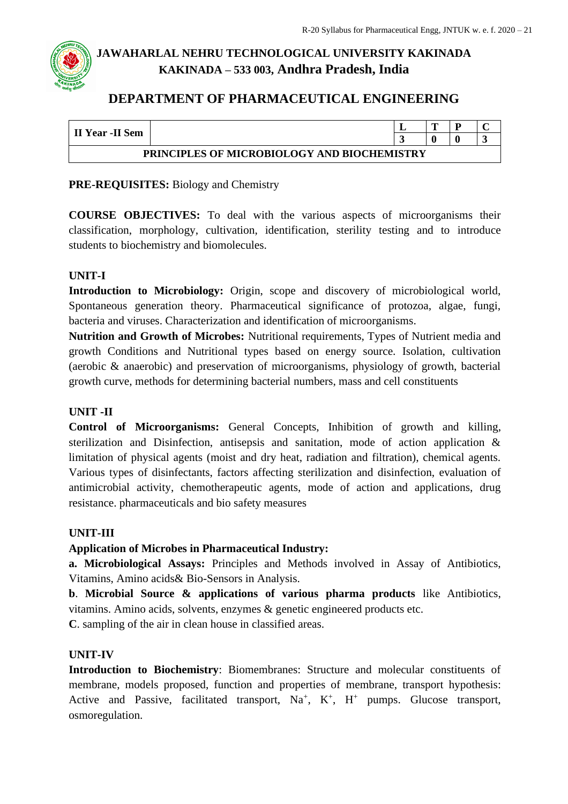## **DEPARTMENT OF PHARMACEUTICAL ENGINEERING**

| II Year -II Sem                                    |  | m |  |  |  |  |  |  |
|----------------------------------------------------|--|---|--|--|--|--|--|--|
|                                                    |  |   |  |  |  |  |  |  |
| <b>PRINCIPLES OF MICROBIOLOGY AND BIOCHEMISTRY</b> |  |   |  |  |  |  |  |  |

#### **PRE-REQUISITES:** Biology and Chemistry

**COURSE OBJECTIVES:** To deal with the various aspects of microorganisms their classification, morphology, cultivation, identification, sterility testing and to introduce students to biochemistry and biomolecules.

#### **UNIT-I**

**Introduction to Microbiology:** Origin, scope and discovery of microbiological world, Spontaneous generation theory. Pharmaceutical significance of protozoa, algae, fungi, bacteria and viruses. Characterization and identification of microorganisms.

**Nutrition and Growth of Microbes:** Nutritional requirements, Types of Nutrient media and growth Conditions and Nutritional types based on energy source. Isolation, cultivation (aerobic & anaerobic) and preservation of microorganisms, physiology of growth, bacterial growth curve, methods for determining bacterial numbers, mass and cell constituents

#### **UNIT -II**

**Control of Microorganisms:** General Concepts, Inhibition of growth and killing, sterilization and Disinfection, antisepsis and sanitation, mode of action application & limitation of physical agents (moist and dry heat, radiation and filtration), chemical agents. Various types of disinfectants, factors affecting sterilization and disinfection, evaluation of antimicrobial activity, chemotherapeutic agents, mode of action and applications, drug resistance. pharmaceuticals and bio safety measures

### **UNIT-III**

**Application of Microbes in Pharmaceutical Industry:**

**a. Microbiological Assays:** Principles and Methods involved in Assay of Antibiotics, Vitamins, Amino acids& Bio-Sensors in Analysis.

**b**. **Microbial Source & applications of various pharma products** like Antibiotics, vitamins. Amino acids, solvents, enzymes & genetic engineered products etc.

**C**. sampling of the air in clean house in classified areas.

### **UNIT-IV**

**Introduction to Biochemistry**: Biomembranes: Structure and molecular constituents of membrane, models proposed, function and properties of membrane, transport hypothesis: Active and Passive, facilitated transport,  $Na^+$ ,  $K^+$ ,  $H^+$  pumps. Glucose transport, osmoregulation.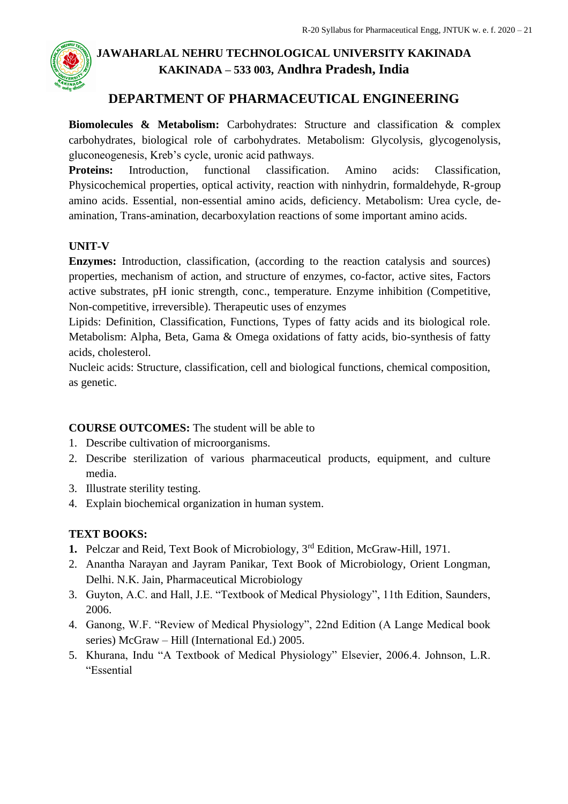

## **DEPARTMENT OF PHARMACEUTICAL ENGINEERING**

**Biomolecules & Metabolism:** Carbohydrates: Structure and classification & complex carbohydrates, biological role of carbohydrates. Metabolism: Glycolysis, glycogenolysis, gluconeogenesis, Kreb's cycle, uronic acid pathways.

**Proteins:** Introduction, functional classification. Amino acids: Classification, Physicochemical properties, optical activity, reaction with ninhydrin, formaldehyde, R-group amino acids. Essential, non-essential amino acids, deficiency. Metabolism: Urea cycle, deamination, Trans-amination, decarboxylation reactions of some important amino acids.

#### **UNIT-V**

**Enzymes:** Introduction, classification, (according to the reaction catalysis and sources) properties, mechanism of action, and structure of enzymes, co-factor, active sites, Factors active substrates, pH ionic strength, conc., temperature. Enzyme inhibition (Competitive, Non-competitive, irreversible). Therapeutic uses of enzymes

Lipids: Definition, Classification, Functions, Types of fatty acids and its biological role. Metabolism: Alpha, Beta, Gama & Omega oxidations of fatty acids, bio-synthesis of fatty acids, cholesterol.

Nucleic acids: Structure, classification, cell and biological functions, chemical composition, as genetic.

#### **COURSE OUTCOMES:** The student will be able to

- 1. Describe cultivation of microorganisms.
- 2. Describe sterilization of various pharmaceutical products, equipment, and culture media.
- 3. Illustrate sterility testing.
- 4. Explain biochemical organization in human system.

### **TEXT BOOKS:**

- **1.** Pelczar and Reid, Text Book of Microbiology, 3rd Edition, McGraw-Hill, 1971.
- 2. Anantha Narayan and Jayram Panikar, Text Book of Microbiology, Orient Longman, Delhi. N.K. Jain, Pharmaceutical Microbiology
- 3. Guyton, A.C. and Hall, J.E. "Textbook of Medical Physiology", 11th Edition, Saunders, 2006.
- 4. Ganong, W.F. "Review of Medical Physiology", 22nd Edition (A Lange Medical book series) McGraw – Hill (International Ed.) 2005.
- 5. Khurana, Indu "A Textbook of Medical Physiology" Elsevier, 2006.4. Johnson, L.R. "Essential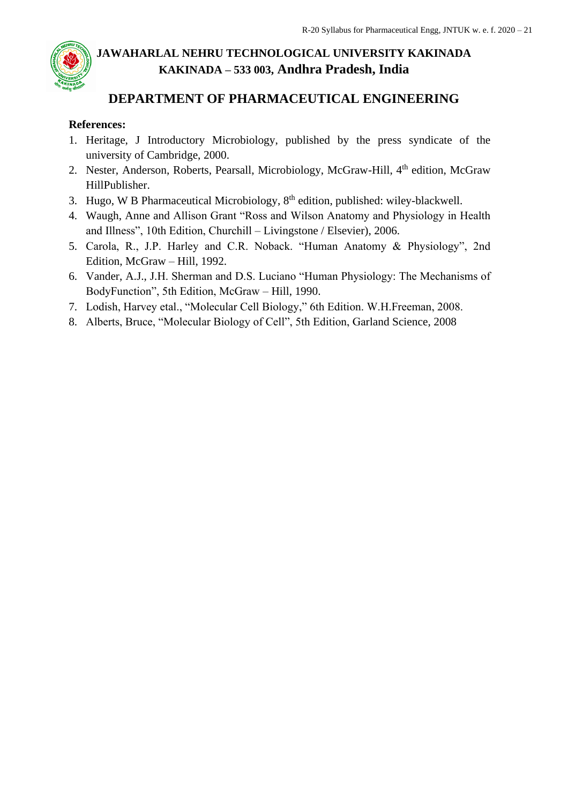## **DEPARTMENT OF PHARMACEUTICAL ENGINEERING**

### **References:**

- 1. Heritage, J Introductory Microbiology, published by the press syndicate of the university of Cambridge, 2000.
- 2. Nester, Anderson, Roberts, Pearsall, Microbiology, McGraw-Hill, 4<sup>th</sup> edition, McGraw HillPublisher.
- 3. Hugo, W B Pharmaceutical Microbiology, 8th edition, published: wiley-blackwell.
- 4. Waugh, Anne and Allison Grant "Ross and Wilson Anatomy and Physiology in Health and Illness", 10th Edition, Churchill – Livingstone / Elsevier), 2006.
- 5. Carola, R., J.P. Harley and C.R. Noback. "Human Anatomy & Physiology", 2nd Edition, McGraw – Hill, 1992.
- 6. Vander, A.J., J.H. Sherman and D.S. Luciano "Human Physiology: The Mechanisms of BodyFunction", 5th Edition, McGraw – Hill, 1990.
- 7. Lodish, Harvey etal., "Molecular Cell Biology," 6th Edition. W.H.Freeman, 2008.
- 8. Alberts, Bruce, "Molecular Biology of Cell", 5th Edition, Garland Science, 2008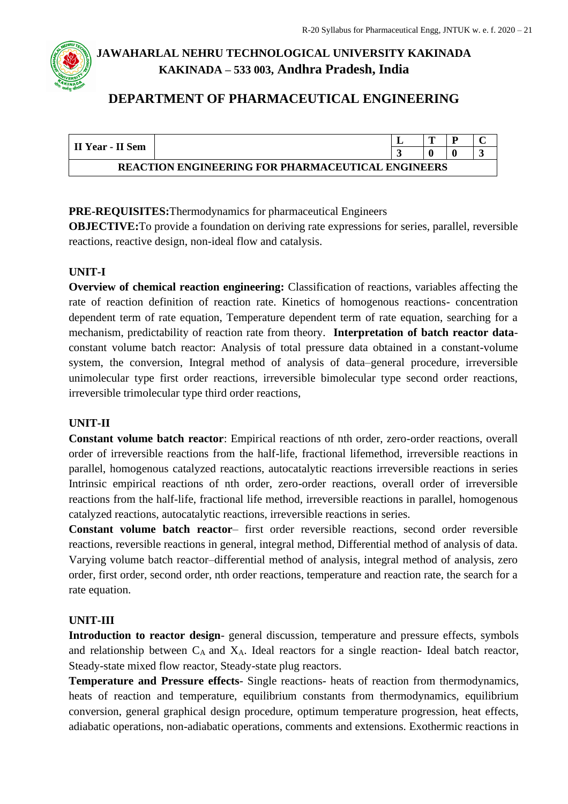## **DEPARTMENT OF PHARMACEUTICAL ENGINEERING**

| II Year - II Sem                                         |  |  |  |  |  |  |  |  |  |
|----------------------------------------------------------|--|--|--|--|--|--|--|--|--|
|                                                          |  |  |  |  |  |  |  |  |  |
| <b>REACTION ENGINEERING FOR PHARMACEUTICAL ENGINEERS</b> |  |  |  |  |  |  |  |  |  |

#### **PRE-REQUISITES:**Thermodynamics for pharmaceutical Engineers

**OBJECTIVE:**To provide a foundation on deriving rate expressions for series, parallel, reversible reactions, reactive design, non-ideal flow and catalysis.

#### **UNIT-I**

**Overview of chemical reaction engineering:** Classification of reactions, variables affecting the rate of reaction definition of reaction rate. Kinetics of homogenous reactions- concentration dependent term of rate equation, Temperature dependent term of rate equation, searching for a mechanism, predictability of reaction rate from theory. **Interpretation of batch reactor data**constant volume batch reactor: Analysis of total pressure data obtained in a constant-volume system, the conversion, Integral method of analysis of data–general procedure, irreversible unimolecular type first order reactions, irreversible bimolecular type second order reactions, irreversible trimolecular type third order reactions,

#### **UNIT-II**

**Constant volume batch reactor**: Empirical reactions of nth order, zero-order reactions, overall order of irreversible reactions from the half-life, fractional lifemethod, irreversible reactions in parallel, homogenous catalyzed reactions, autocatalytic reactions irreversible reactions in series Intrinsic empirical reactions of nth order, zero-order reactions, overall order of irreversible reactions from the half-life, fractional life method, irreversible reactions in parallel, homogenous catalyzed reactions, autocatalytic reactions, irreversible reactions in series.

**Constant volume batch reactor**– first order reversible reactions, second order reversible reactions, reversible reactions in general, integral method, Differential method of analysis of data. Varying volume batch reactor–differential method of analysis, integral method of analysis, zero order, first order, second order, nth order reactions, temperature and reaction rate, the search for a rate equation.

### **UNIT-III**

**Introduction to reactor design**- general discussion, temperature and pressure effects, symbols and relationship between  $C_A$  and  $X_A$ . Ideal reactors for a single reaction- Ideal batch reactor, Steady-state mixed flow reactor, Steady-state plug reactors.

**Temperature and Pressure effects**- Single reactions- heats of reaction from thermodynamics, heats of reaction and temperature, equilibrium constants from thermodynamics, equilibrium conversion, general graphical design procedure, optimum temperature progression, heat effects, adiabatic operations, non-adiabatic operations, comments and extensions. Exothermic reactions in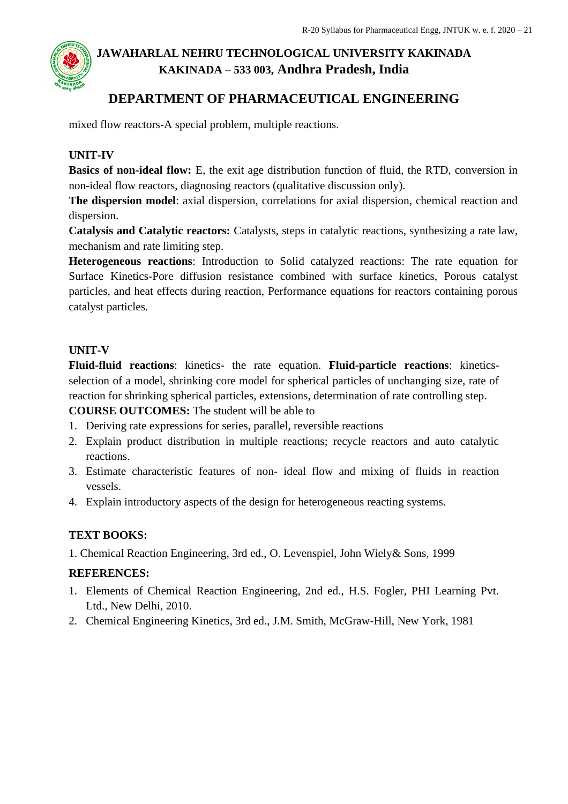

## **DEPARTMENT OF PHARMACEUTICAL ENGINEERING**

mixed flow reactors-A special problem, multiple reactions.

#### **UNIT-IV**

**Basics of non-ideal flow:** E, the exit age distribution function of fluid, the RTD, conversion in non-ideal flow reactors, diagnosing reactors (qualitative discussion only).

**The dispersion model**: axial dispersion, correlations for axial dispersion, chemical reaction and dispersion.

**Catalysis and Catalytic reactors:** Catalysts, steps in catalytic reactions, synthesizing a rate law, mechanism and rate limiting step.

**Heterogeneous reactions**: Introduction to Solid catalyzed reactions: The rate equation for Surface Kinetics-Pore diffusion resistance combined with surface kinetics, Porous catalyst particles, and heat effects during reaction, Performance equations for reactors containing porous catalyst particles.

#### **UNIT-V**

**Fluid-fluid reactions**: kinetics- the rate equation. **Fluid-particle reactions**: kineticsselection of a model, shrinking core model for spherical particles of unchanging size, rate of reaction for shrinking spherical particles, extensions, determination of rate controlling step.

**COURSE OUTCOMES:** The student will be able to

- 1. Deriving rate expressions for series, parallel, reversible reactions
- 2. Explain product distribution in multiple reactions; recycle reactors and auto catalytic reactions.
- 3. Estimate characteristic features of non- ideal flow and mixing of fluids in reaction vessels.
- 4. Explain introductory aspects of the design for heterogeneous reacting systems.

#### **TEXT BOOKS:**

1. Chemical Reaction Engineering, 3rd ed., O. Levenspiel, John Wiely& Sons, 1999

#### **REFERENCES:**

- 1. Elements of Chemical Reaction Engineering, 2nd ed., H.S. Fogler, PHI Learning Pvt. Ltd., New Delhi, 2010.
- 2. Chemical Engineering Kinetics, 3rd ed., J.M. Smith, McGraw-Hill, New York, 1981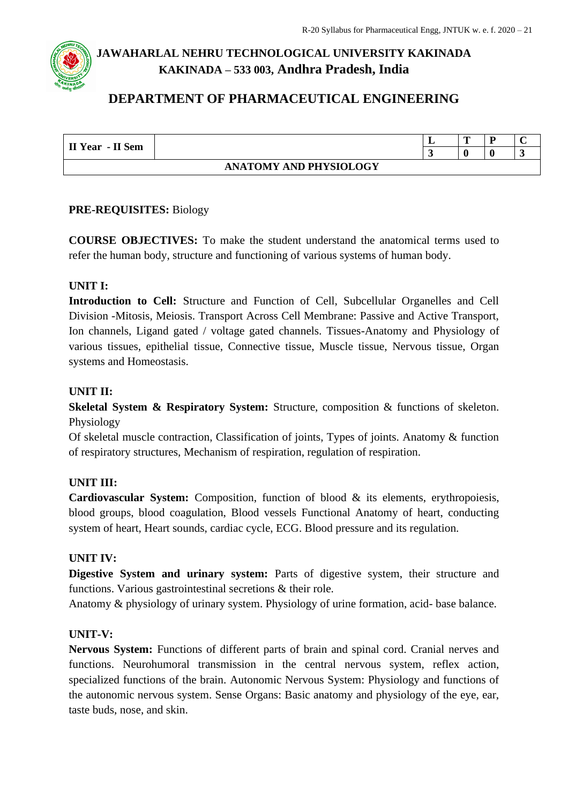## **DEPARTMENT OF PHARMACEUTICAL ENGINEERING**

| II Year - II Sem |                               | m |  |
|------------------|-------------------------------|---|--|
|                  |                               |   |  |
|                  | <b>ANATOMY AND PHYSIOLOGY</b> |   |  |

#### **PRE-REQUISITES:** Biology

**COURSE OBJECTIVES:** To make the student understand the anatomical terms used to refer the human body, structure and functioning of various systems of human body.

#### **UNIT I:**

**Introduction to Cell:** Structure and Function of Cell, Subcellular Organelles and Cell Division -Mitosis, Meiosis. Transport Across Cell Membrane: Passive and Active Transport, Ion channels, Ligand gated / voltage gated channels. Tissues-Anatomy and Physiology of various tissues, epithelial tissue, Connective tissue, Muscle tissue, Nervous tissue, Organ systems and Homeostasis.

#### **UNIT II:**

**Skeletal System & Respiratory System:** Structure, composition & functions of skeleton. Physiology

Of skeletal muscle contraction, Classification of joints, Types of joints. Anatomy & function of respiratory structures, Mechanism of respiration, regulation of respiration.

#### **UNIT III:**

**Cardiovascular System:** Composition, function of blood & its elements, erythropoiesis, blood groups, blood coagulation, Blood vessels Functional Anatomy of heart, conducting system of heart, Heart sounds, cardiac cycle, ECG. Blood pressure and its regulation.

#### **UNIT IV:**

**Digestive System and urinary system:** Parts of digestive system, their structure and functions. Various gastrointestinal secretions & their role.

Anatomy & physiology of urinary system. Physiology of urine formation, acid- base balance.

#### **UNIT-V:**

**Nervous System:** Functions of different parts of brain and spinal cord. Cranial nerves and functions. Neurohumoral transmission in the central nervous system, reflex action, specialized functions of the brain. Autonomic Nervous System: Physiology and functions of the autonomic nervous system. Sense Organs: Basic anatomy and physiology of the eye, ear, taste buds, nose, and skin.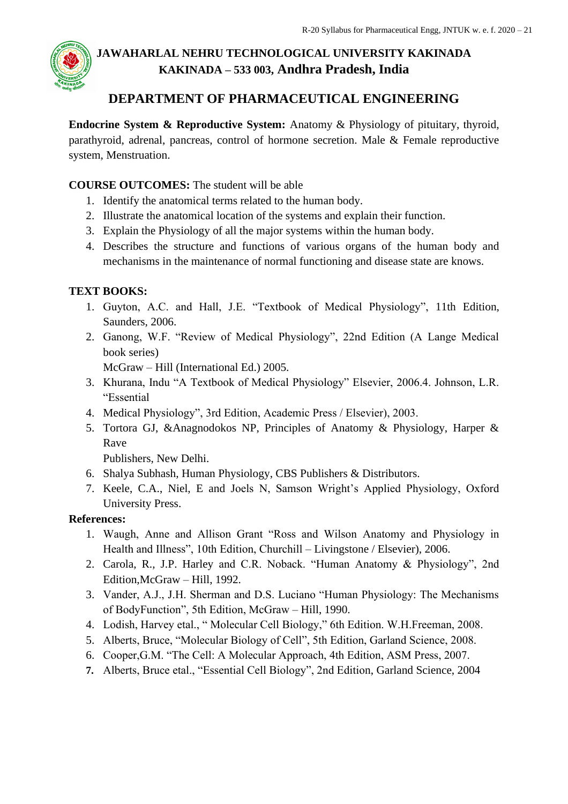

## **DEPARTMENT OF PHARMACEUTICAL ENGINEERING**

**Endocrine System & Reproductive System:** Anatomy & Physiology of pituitary, thyroid, parathyroid, adrenal, pancreas, control of hormone secretion. Male & Female reproductive system, Menstruation.

### **COURSE OUTCOMES:** The student will be able

- 1. Identify the anatomical terms related to the human body.
- 2. Illustrate the anatomical location of the systems and explain their function.
- 3. Explain the Physiology of all the major systems within the human body.
- 4. Describes the structure and functions of various organs of the human body and mechanisms in the maintenance of normal functioning and disease state are knows.

### **TEXT BOOKS:**

- 1. Guyton, A.C. and Hall, J.E. "Textbook of Medical Physiology", 11th Edition, Saunders, 2006.
- 2. Ganong, W.F. "Review of Medical Physiology", 22nd Edition (A Lange Medical book series)

McGraw – Hill (International Ed.) 2005.

- 3. Khurana, Indu "A Textbook of Medical Physiology" Elsevier, 2006.4. Johnson, L.R. "Essential
- 4. Medical Physiology", 3rd Edition, Academic Press / Elsevier), 2003.
- 5. Tortora GJ, &Anagnodokos NP, Principles of Anatomy & Physiology, Harper & Rave

Publishers, New Delhi.

- 6. Shalya Subhash, Human Physiology, CBS Publishers & Distributors.
- 7. Keele, C.A., Niel, E and Joels N, Samson Wright's Applied Physiology, Oxford University Press.

#### **References:**

- 1. Waugh, Anne and Allison Grant "Ross and Wilson Anatomy and Physiology in Health and Illness", 10th Edition, Churchill – Livingstone / Elsevier), 2006.
- 2. Carola, R., J.P. Harley and C.R. Noback. "Human Anatomy & Physiology", 2nd Edition,McGraw – Hill, 1992.
- 3. Vander, A.J., J.H. Sherman and D.S. Luciano "Human Physiology: The Mechanisms of BodyFunction", 5th Edition, McGraw – Hill, 1990.
- 4. Lodish, Harvey etal., " Molecular Cell Biology," 6th Edition. W.H.Freeman, 2008.
- 5. Alberts, Bruce, "Molecular Biology of Cell", 5th Edition, Garland Science, 2008.
- 6. Cooper,G.M. "The Cell: A Molecular Approach, 4th Edition, ASM Press, 2007.
- **7.** Alberts, Bruce etal., "Essential Cell Biology", 2nd Edition, Garland Science, 2004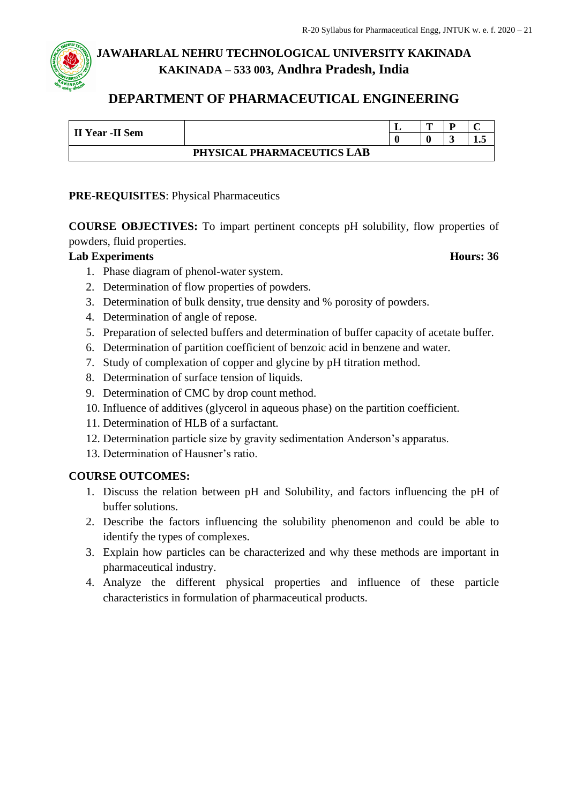## **DEPARTMENT OF PHARMACEUTICAL ENGINEERING**

| II Year -II Sem            |  | - | m |  |     |
|----------------------------|--|---|---|--|-----|
|                            |  |   |   |  | ⊥∙∾ |
| PHYSICAL PHARMACEUTICS LAB |  |   |   |  |     |

### **PRE-REQUISITES**: Physical Pharmaceutics

**COURSE OBJECTIVES:** To impart pertinent concepts pH solubility, flow properties of powders, fluid properties.

#### **Lab Experiments Hours: 36**

- 1. Phase diagram of phenol-water system.
- 2. Determination of flow properties of powders.
- 3. Determination of bulk density, true density and % porosity of powders.
- 4. Determination of angle of repose.
- 5. Preparation of selected buffers and determination of buffer capacity of acetate buffer.
- 6. Determination of partition coefficient of benzoic acid in benzene and water.
- 7. Study of complexation of copper and glycine by pH titration method.
- 8. Determination of surface tension of liquids.
- 9. Determination of CMC by drop count method.
- 10. Influence of additives (glycerol in aqueous phase) on the partition coefficient.
- 11. Determination of HLB of a surfactant.
- 12. Determination particle size by gravity sedimentation Anderson's apparatus.
- 13. Determination of Hausner's ratio.

#### **COURSE OUTCOMES:**

- 1. Discuss the relation between pH and Solubility, and factors influencing the pH of buffer solutions.
- 2. Describe the factors influencing the solubility phenomenon and could be able to identify the types of complexes.
- 3. Explain how particles can be characterized and why these methods are important in pharmaceutical industry.
- 4. Analyze the different physical properties and influence of these particle characteristics in formulation of pharmaceutical products.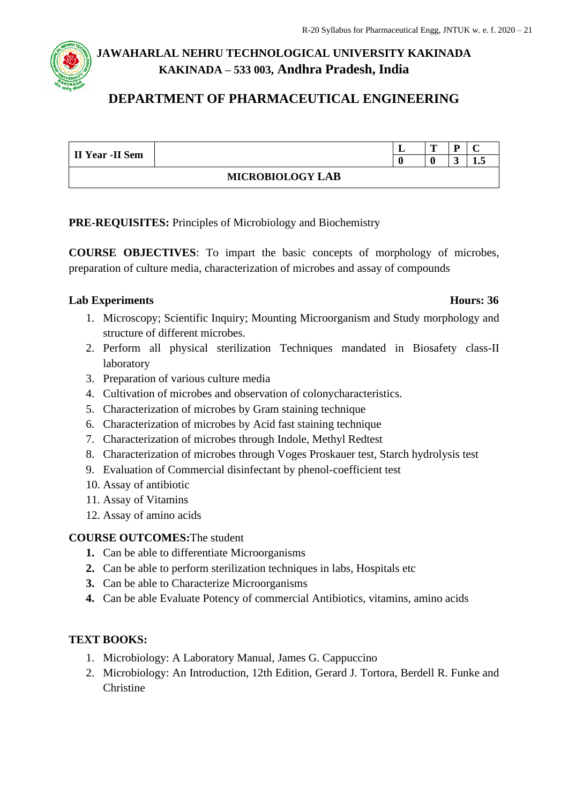## **DEPARTMENT OF PHARMACEUTICAL ENGINEERING**

| II Year -II Sem         |  | ≖ | m |  |    |
|-------------------------|--|---|---|--|----|
|                         |  |   |   |  | ┸╍ |
| <b>MICROBIOLOGY LAB</b> |  |   |   |  |    |

**PRE-REQUISITES:** Principles of Microbiology and Biochemistry

**COURSE OBJECTIVES**: To impart the basic concepts of morphology of microbes, preparation of culture media, characterization of microbes and assay of compounds

#### **Lab Experiments Hours: 36**

- 1. Microscopy; Scientific Inquiry; Mounting Microorganism and Study morphology and structure of different microbes.
- 2. Perform all physical sterilization Techniques mandated in Biosafety class-II laboratory
- 3. Preparation of various culture media
- 4. Cultivation of microbes and observation of colonycharacteristics.
- 5. Characterization of microbes by Gram staining technique
- 6. Characterization of microbes by Acid fast staining technique
- 7. Characterization of microbes through Indole, Methyl Redtest
- 8. Characterization of microbes through Voges Proskauer test, Starch hydrolysis test
- 9. Evaluation of Commercial disinfectant by phenol-coefficient test
- 10. Assay of antibiotic
- 11. Assay of Vitamins
- 12. Assay of amino acids

### **COURSE OUTCOMES:**The student

- **1.** Can be able to differentiate Microorganisms
- **2.** Can be able to perform sterilization techniques in labs, Hospitals etc
- **3.** Can be able to Characterize Microorganisms
- **4.** Can be able Evaluate Potency of commercial Antibiotics, vitamins, amino acids

### **TEXT BOOKS:**

- 1. Microbiology: A Laboratory Manual, [James G. Cappuccino](https://www.amazon.in/James-G.-Cappuccino/e/B001KHSFKE/ref=dp_byline_cont_book_1)
- 2. Microbiology: An Introduction, 12th Edition, Gerard J. Tortora, Berdell R. Funke and Christine

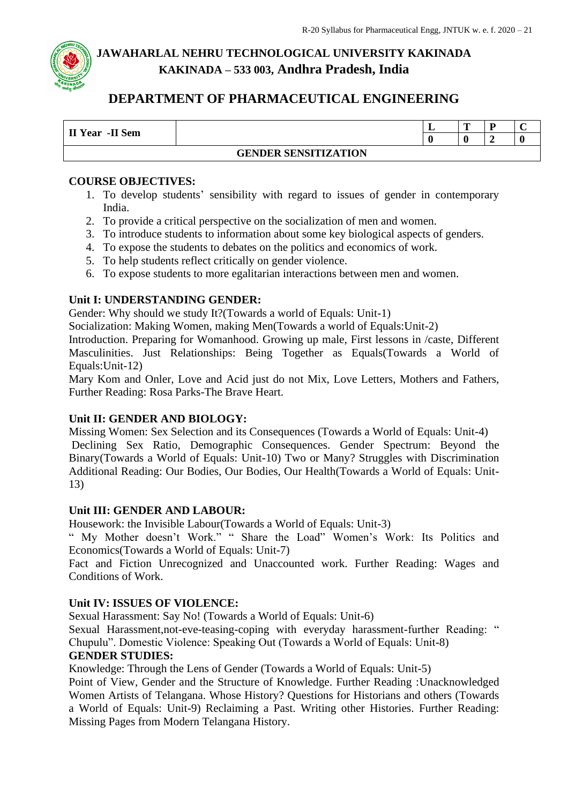## **DEPARTMENT OF PHARMACEUTICAL ENGINEERING**

| II Year -II Sem |                             | . . | m |  |
|-----------------|-----------------------------|-----|---|--|
|                 |                             |     |   |  |
|                 | <b>GENDER SENSITIZATION</b> |     |   |  |

#### **COURSE OBJECTIVES:**

- 1. To develop students' sensibility with regard to issues of gender in contemporary India.
- 2. To provide a critical perspective on the socialization of men and women.
- 3. To introduce students to information about some key biological aspects of genders.
- 4. To expose the students to debates on the politics and economics of work.
- 5. To help students reflect critically on gender violence.
- 6. To expose students to more egalitarian interactions between men and women.

#### **Unit I: UNDERSTANDING GENDER:**

Gender: Why should we study It?(Towards a world of Equals: Unit-1)

Socialization: Making Women, making Men(Towards a world of Equals:Unit-2)

Introduction. Preparing for Womanhood. Growing up male, First lessons in /caste, Different Masculinities. Just Relationships: Being Together as Equals(Towards a World of Equals:Unit-12)

Mary Kom and Onler, Love and Acid just do not Mix, Love Letters, Mothers and Fathers, Further Reading: Rosa Parks-The Brave Heart.

#### **Unit II: GENDER AND BIOLOGY:**

Missing Women: Sex Selection and its Consequences (Towards a World of Equals: Unit-4) Declining Sex Ratio, Demographic Consequences. Gender Spectrum: Beyond the Binary(Towards a World of Equals: Unit-10) Two or Many? Struggles with Discrimination Additional Reading: Our Bodies, Our Bodies, Our Health(Towards a World of Equals: Unit-13)

#### **Unit III: GENDER AND LABOUR:**

Housework: the Invisible Labour(Towards a World of Equals: Unit-3)

" My Mother doesn't Work." " Share the Load" Women's Work: Its Politics and Economics(Towards a World of Equals: Unit-7)

Fact and Fiction Unrecognized and Unaccounted work. Further Reading: Wages and Conditions of Work.

#### **Unit IV: ISSUES OF VIOLENCE:**

Sexual Harassment: Say No! (Towards a World of Equals: Unit-6)

Sexual Harassment,not-eve-teasing-coping with everyday harassment-further Reading: " Chupulu". Domestic Violence: Speaking Out (Towards a World of Equals: Unit-8)

#### **GENDER STUDIES:**

Knowledge: Through the Lens of Gender (Towards a World of Equals: Unit-5)

Point of View, Gender and the Structure of Knowledge. Further Reading :Unacknowledged Women Artists of Telangana. Whose History? Questions for Historians and others (Towards a World of Equals: Unit-9) Reclaiming a Past. Writing other Histories. Further Reading: Missing Pages from Modern Telangana History.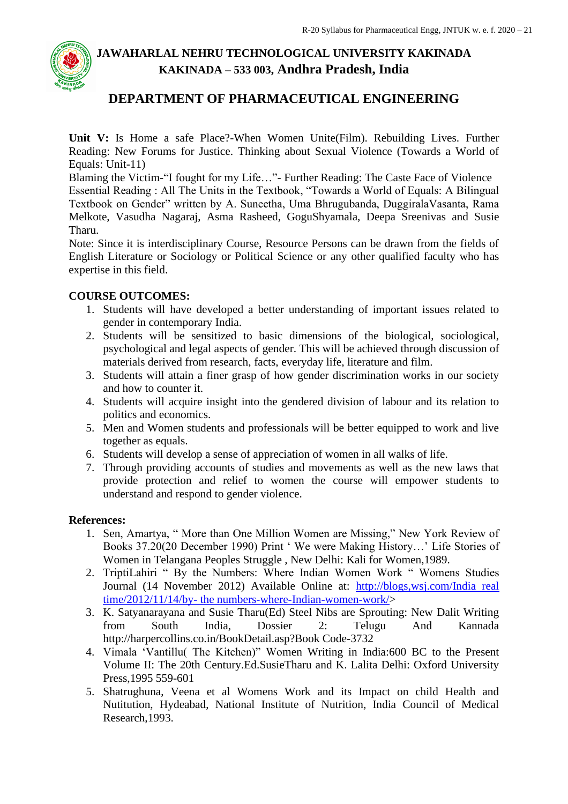## **DEPARTMENT OF PHARMACEUTICAL ENGINEERING**

**Unit V:** Is Home a safe Place?-When Women Unite(Film). Rebuilding Lives. Further Reading: New Forums for Justice. Thinking about Sexual Violence (Towards a World of Equals: Unit-11)

Blaming the Victim-"I fought for my Life…"- Further Reading: The Caste Face of Violence Essential Reading : All The Units in the Textbook, "Towards a World of Equals: A Bilingual Textbook on Gender" written by A. Suneetha, Uma Bhrugubanda, DuggiralaVasanta, Rama Melkote, Vasudha Nagaraj, Asma Rasheed, GoguShyamala, Deepa Sreenivas and Susie Tharu.

Note: Since it is interdisciplinary Course, Resource Persons can be drawn from the fields of English Literature or Sociology or Political Science or any other qualified faculty who has expertise in this field.

#### **COURSE OUTCOMES:**

- 1. Students will have developed a better understanding of important issues related to gender in contemporary India.
- 2. Students will be sensitized to basic dimensions of the biological, sociological, psychological and legal aspects of gender. This will be achieved through discussion of materials derived from research, facts, everyday life, literature and film.
- 3. Students will attain a finer grasp of how gender discrimination works in our society and how to counter it.
- 4. Students will acquire insight into the gendered division of labour and its relation to politics and economics.
- 5. Men and Women students and professionals will be better equipped to work and live together as equals.
- 6. Students will develop a sense of appreciation of women in all walks of life.
- 7. Through providing accounts of studies and movements as well as the new laws that provide protection and relief to women the course will empower students to understand and respond to gender violence.

#### **References:**

- 1. Sen, Amartya, " More than One Million Women are Missing," New York Review of Books 37.20(20 December 1990) Print ' We were Making History…' Life Stories of Women in Telangana Peoples Struggle , New Delhi: Kali for Women,1989.
- 2. TriptiLahiri " By the Numbers: Where Indian Women Work " Womens Studies Journal (14 November 2012) Available Online at: [http://blogs,wsj.com/India real](http://blogs,wsj.com/India%20real%20time/2012/11/14/by-%20the%20numbers-where-Indian-women-work/)  time/2012/11/14/by- the [numbers-where-Indian-women-work/>](http://blogs,wsj.com/India%20real%20time/2012/11/14/by-%20the%20numbers-where-Indian-women-work/)
- 3. K. Satyanarayana and Susie Tharu(Ed) Steel Nibs are Sprouting: New Dalit Writing from South India, Dossier 2: Telugu And Kannada http://harpercollins.co.in/BookDetail.asp?Book Code-3732
- 4. Vimala 'Vantillu( The Kitchen)" Women Writing in India:600 BC to the Present Volume II: The 20th Century.Ed.SusieTharu and K. Lalita Delhi: Oxford University Press,1995 559-601
- 5. Shatrughuna, Veena et al Womens Work and its Impact on child Health and Nutitution, Hydeabad, National Institute of Nutrition, India Council of Medical Research,1993.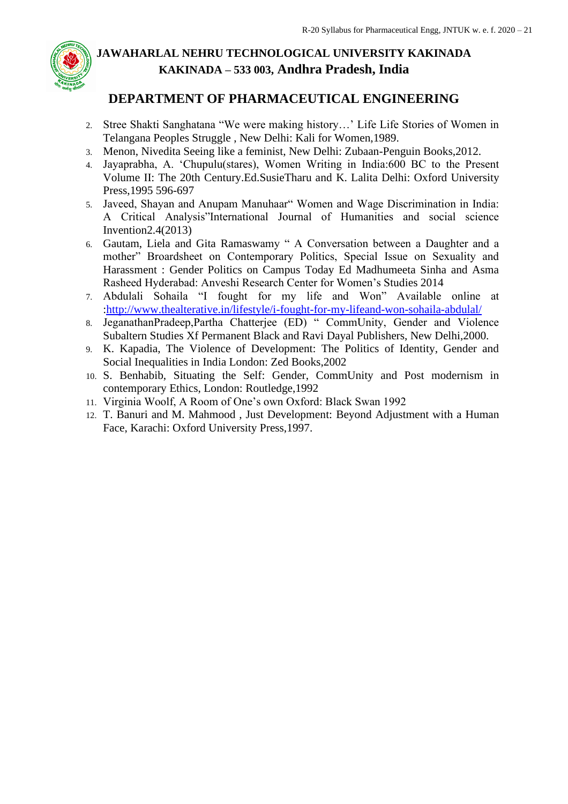

## **DEPARTMENT OF PHARMACEUTICAL ENGINEERING**

- 2. Stree Shakti Sanghatana "We were making history…' Life Life Stories of Women in Telangana Peoples Struggle , New Delhi: Kali for Women,1989.
- 3. Menon, Nivedita Seeing like a feminist, New Delhi: Zubaan-Penguin Books,2012.
- 4. Jayaprabha, A. 'Chupulu(stares), Women Writing in India:600 BC to the Present Volume II: The 20th Century.Ed.SusieTharu and K. Lalita Delhi: Oxford University Press,1995 596-697
- 5. Javeed, Shayan and Anupam Manuhaar" Women and Wage Discrimination in India: A Critical Analysis"International Journal of Humanities and social science Invention2.4(2013)
- 6. Gautam, Liela and Gita Ramaswamy " A Conversation between a Daughter and a mother" Broardsheet on Contemporary Politics, Special Issue on Sexuality and Harassment : Gender Politics on Campus Today Ed Madhumeeta Sinha and Asma Rasheed Hyderabad: Anveshi Research Center for Women's Studies 2014
- 7. Abdulali Sohaila "I fought for my life and Won" Available online at [:http://www.thealterative.in/lifestyle/i-fought-for-my-lifeand-won-sohaila-abdulal/](http://www.thealterative.in/lifestyle/i-fought-for-my-lifeand-won-sohaila-abdulal/)
- 8. JeganathanPradeep,Partha Chatterjee (ED) " CommUnity, Gender and Violence Subaltern Studies Xf Permanent Black and Ravi Dayal Publishers, New Delhi,2000.
- 9. K. Kapadia, The Violence of Development: The Politics of Identity, Gender and Social Inequalities in India London: Zed Books,2002
- 10. S. Benhabib, Situating the Self: Gender, CommUnity and Post modernism in contemporary Ethics, London: Routledge,1992
- 11. Virginia Woolf, A Room of One's own Oxford: Black Swan 1992
- 12. T. Banuri and M. Mahmood , Just Development: Beyond Adjustment with a Human Face, Karachi: Oxford University Press,1997.